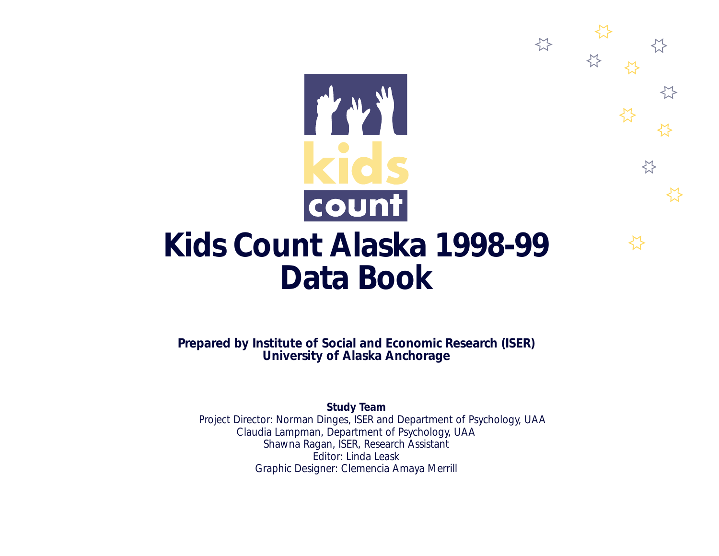

\*

☆

**Prepared by Institute of Social and Economic Research (ISER) University of Alaska Anchorage**

**Study Team** Project Director: Norman Dinges, ISER and Department of Psychology, UAA Claudia Lampman, Department of Psychology, UAA Shawna Ragan, ISER, Research Assistant Editor: Linda Leask Graphic Designer: Clemencia Amaya Merrill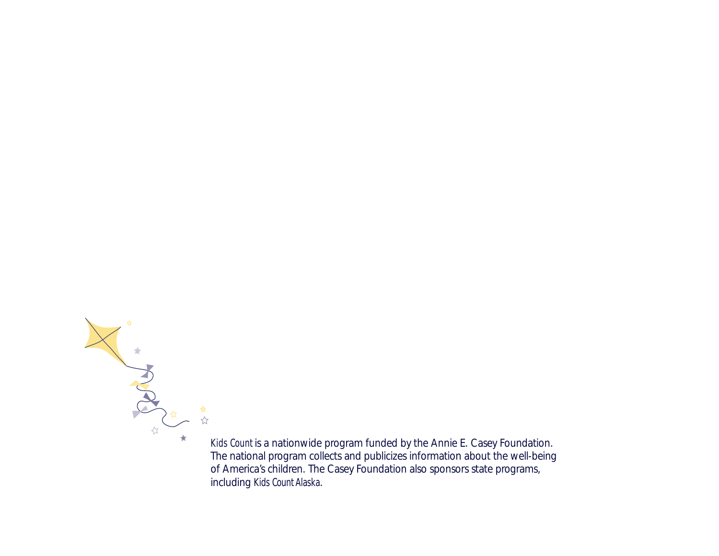

The national program collects and publicizes information about the well-being of America's children. The Casey Foundation also sponsors state programs, including Kids Count Alaska.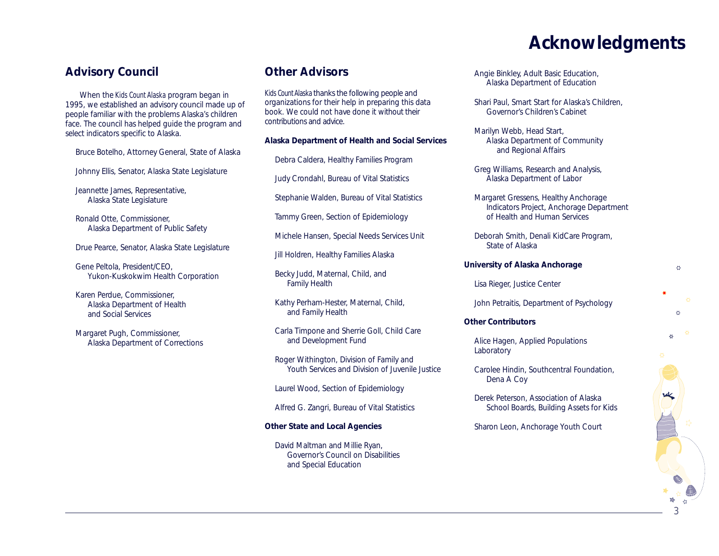### **Acknowledgments**

### **Advisory Council**

*When the* Kids Count Alaska *program began in 1995, we established an advisory council made up of people familiar with the problems Alaska's children face. The council has helped guide the program and select indicators specific to Alaska.*

Bruce Botelho, Attorney General, State of Alaska

Johnny Ellis, Senator, Alaska State Legislature

Jeannette James, Representative, Alaska State Legislature

Ronald Otte, Commissioner, Alaska Department of Public Safety

Drue Pearce, Senator, Alaska State Legislature

Gene Peltola, President/CEO, Yukon-Kuskokwim Health Corporation

Karen Perdue, Commissioner, Alaska Department of Health and Social Services

Margaret Pugh, Commissioner, Alaska Department of Corrections

### **Other Advisors**

Kids Count Alaska *thanks the following people and organizations for their help in preparing this data book. We could not have done it without their contributions and advice.*

#### **Alaska Department of Health and Social Services**

Debra Caldera, Healthy Families Program

Judy Crondahl, Bureau of Vital Statistics

Stephanie Walden, Bureau of Vital Statistics

Tammy Green, Section of Epidemiology

Michele Hansen, Special Needs Services Unit

Jill Holdren, Healthy Families Alaska

Becky Judd, Maternal, Child, and Family Health

Kathy Perham-Hester, Maternal, Child, and Family Health

Carla Timpone and Sherrie Goll, Child Care and Development Fund

Roger Withington, Division of Family and Youth Services and Division of Juvenile Justice

Laurel Wood, Section of Epidemiology

Alfred G. Zangri, Bureau of Vital Statistics

#### **Other State and Local Agencies**

David Maltman and Millie Ryan, Governor's Council on Disabilities and Special Education

Angie Binkley, Adult Basic Education, Alaska Department of Education

Shari Paul, Smart Start for Alaska's Children, Governor's Children's Cabinet

Marilyn Webb, Head Start, Alaska Department of Community and Regional Affairs

Greg Williams, Research and Analysis, Alaska Department of Labor

Margaret Gressens, Healthy Anchorage Indicators Project, Anchorage Department of Health and Human Services

Deborah Smith, Denali KidCare Program, State of Alaska

#### **University of Alaska Anchorage**

Lisa Rieger, Justice Center

John Petraitis, Department of Psychology

#### **Other Contributors**

Alice Hagen, Applied Populations Laboratory

Carolee Hindin, Southcentral Foundation, Dena A Coy

Derek Peterson, Association of Alaska School Boards, Building Assets for Kids

Sharon Leon, Anchorage Youth Court

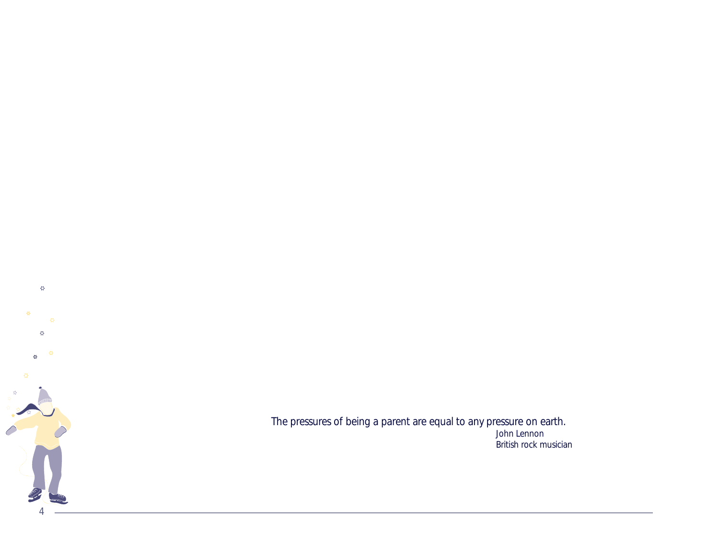

*The pressures of being a parent are equal to any pressure on earth. John Lennon British rock musician*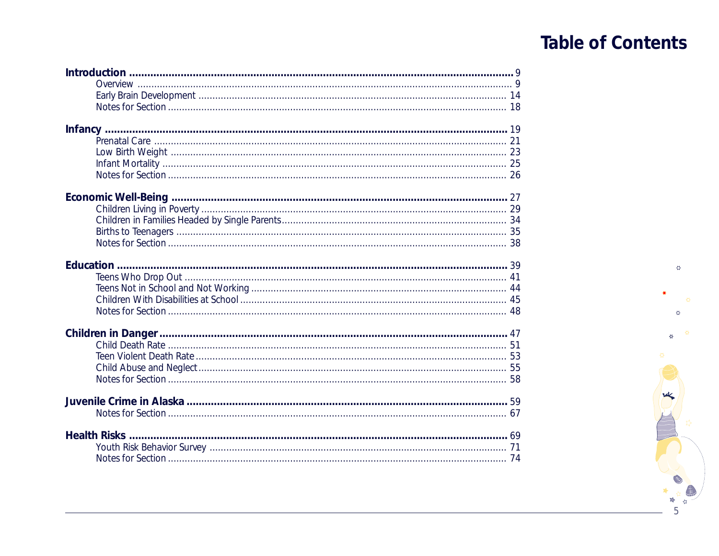# **Table of Contents**

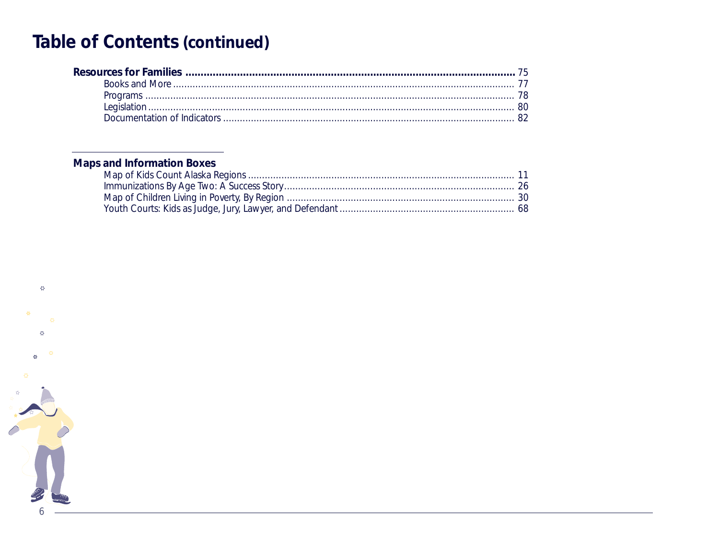# **Table of Contents (continued)**

### **Maps and Information Boxes**

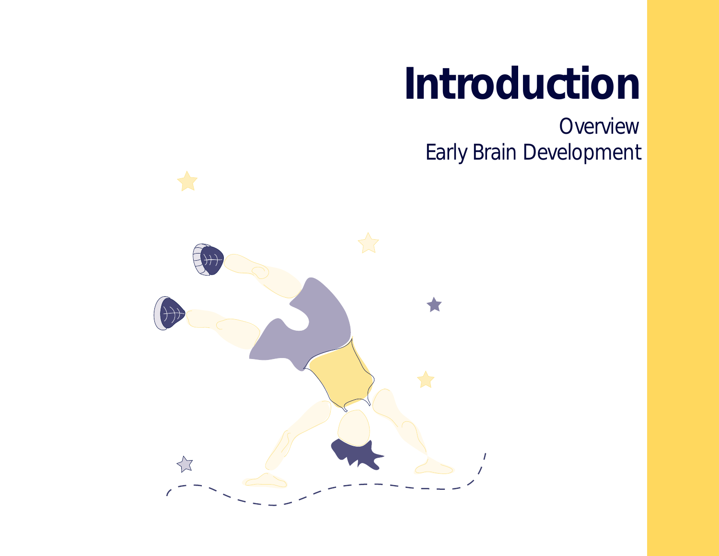# **Introduction**

**Overview** Early Brain Development

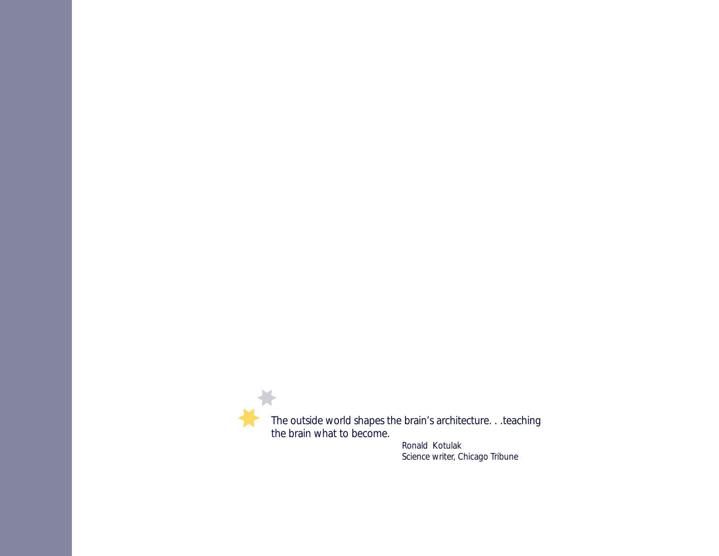

*Ronald Kotulak Science writer, Chicago Tribune*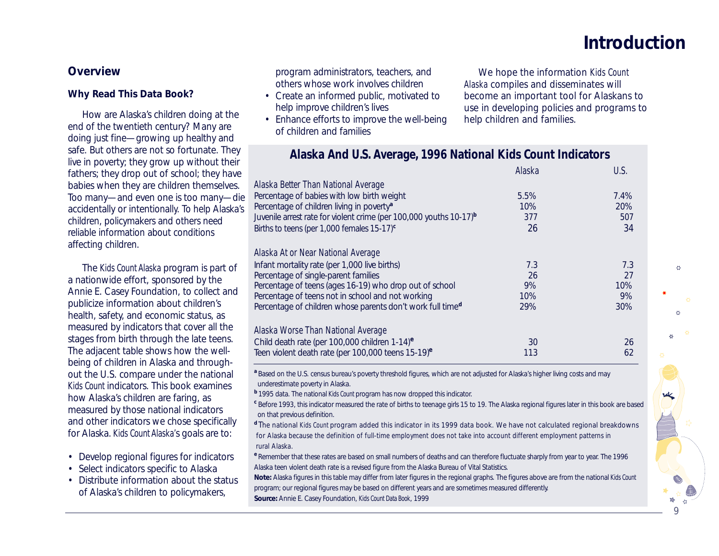### **Introduction**

9

 $\Rightarrow$ 

 $\frac{1}{2}$ 

45

#### **Overview**

#### *Why Read This Data Book?*

How are Alaska's children doing at the end of the twentieth century? Many are doing just fine—growing up healthy and safe. But others are not so fortunate. They live in poverty; they grow up without their fathers; they drop out of school; they have babies when they are children themselves. Too many—and even one is too many—die accidentally or intentionally. To help Alaska's children, policymakers and others need reliable information about conditions affecting children.

The Kids Count Alaska program is part of a nationwide effort, sponsored by the Annie E. Casey Foundation, to collect and publicize information about children's health, safety, and economic status, as measured by indicators that cover all the stages from birth through the late teens. The adjacent table shows how the wellbeing of children in Alaska and throughout the U.S. compare under the national Kids Count indicators. This book examines how Alaska's children are faring, as measured by those national indicators and other indicators we chose specifically for Alaska. Kids Count Alaska's goals are to:

- Develop regional figures for indicators
- Select indicators specific to Alaska
- Distribute information about the status of Alaska's children to policymakers,

program administrators, teachers, and others whose work involves children

- Create an informed public, motivated to help improve children's lives
- Enhance efforts to improve the well-being of children and families

We hope the information Kids Count Alaska compiles and disseminates will become an important tool for Alaskans to use in developing policies and programs to help children and families.

### **Alaska And U.S. Average, 1996 National Kids Count Indicators**

|                                                                                | Alaska | U.S. |
|--------------------------------------------------------------------------------|--------|------|
| Alaska Better Than National Average                                            |        |      |
| Percentage of babies with low birth weight                                     | 5.5%   | 7.4% |
| Percentage of children living in poverty <sup>a</sup>                          | 10%    | 20%  |
| Juvenile arrest rate for violent crime (per 100,000 youths 10-17) <sup>b</sup> | 377    | 507  |
| Births to teens (per 1,000 females 15-17) <sup>c</sup>                         | 26     | 34   |
| Alaska At or Near National Average                                             |        |      |
| Infant mortality rate (per 1,000 live births)                                  | 7.3    | 7.3  |
| Percentage of single-parent families                                           | 26     | 27   |
| Percentage of teens (ages 16-19) who drop out of school                        | 9%     | 10%  |
| Percentage of teens not in school and not working                              | 10%    | 9%   |
| Percentage of children whose parents don't work full time <sup>d</sup>         | 29%    | 30%  |
| Alaska Worse Than National Average                                             |        |      |
| Child death rate (per 100,000 children 1-14) <sup>e</sup>                      | 30     | 26   |
| Teen violent death rate (per 100,000 teens 15-19) <sup>e</sup>                 | 113    | 62   |
|                                                                                |        |      |

**<sup>a</sup>** *Based on the U.S. census bureau's poverty threshold figures, which are not adjusted for Alaska's higher living costs and may underestimate poverty in Alaska.*

**<sup>b</sup>** *1995 data. The national* Kids Count *program has now dropped this indicator.*

**<sup>c</sup>** *Before 1993, this indicator measured the rate of births to teenage girls 15 to 19. The Alaska regional figures later in this book are based on that previous definition.*

**<sup>d</sup>** *The national* Kids Count *program added this indicator in its 1999 data book. We have not calculated regional breakdowns for Alaska because the definition of full-time employment does not take into account different employment patterns in rural Alaska.*

**<sup>e</sup>** *Remember that these rates are based on small numbers of deaths and can therefore fluctuate sharply from year to year. The 1996 Alaska teen violent death rate is a revised figure from the Alaska Bureau of Vital Statistics.*

Note: Alaska figures in this table may differ from later figures in the regional graphs. The figures above are from the national Kids Count *program; our regional figures may be based on different years and are sometimes measured differently.* **Source:** *Annie E. Casey Foundation,* Kids Count Data Book*, 1999*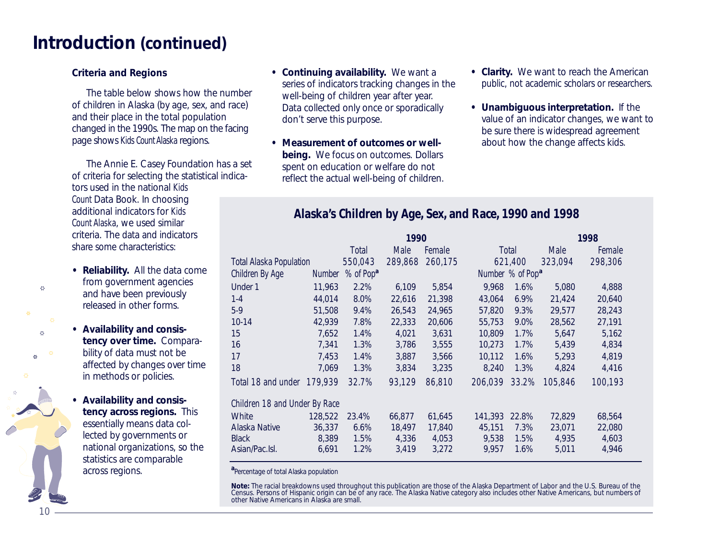#### *Criteria and Regions*

The table below shows how the number of children in Alaska (by age, sex, and race) and their place in the total population changed in the 1990s. The map on the facing page shows Kids Count Alaska regions.

The Annie E. Casey Foundation has a set of criteria for selecting the statistical indicators used in the national Kids Count Data Book. In choosing additional indicators for Kids Count Alaska, we used similar criteria. The data and indicators share some characteristics:

**• Reliability.** All the data come from government agencies and have been previously released in other forms.

**• Availability and consistency over time.** Comparability of data must not be affected by changes over time in methods or policies.

**• Availability and consistency across regions.** This essentially means data collected by governments or national organizations, so the statistics are comparable across regions.

10

A,

ó

- **Continuing availability.** We want a series of indicators tracking changes in the well-being of children year after year. Data collected only once or sporadically don't serve this purpose.
- **Measurement of outcomes or wellbeing.** We focus on *outcomes*. Dollars spent on education or welfare do not reflect the actual well-being of children.
- **Clarity.** We want to reach the American public, not academic scholars or researchers.
- **Unambiguous interpretation.** If the value of an indicator changes, we want to be sure there is widespread agreement about how the change affects kids.

### **Alaska's Children by Age, Sex, and Race, 1990 and 1998**

| 1990                           |               |                         |         |         |         |                              |         | 1998    |
|--------------------------------|---------------|-------------------------|---------|---------|---------|------------------------------|---------|---------|
|                                |               | Total                   | Male    | Female  |         | Total                        | Male    | Female  |
| <b>Total Alaska Population</b> |               | 550,043                 | 289,868 | 260,175 |         | 621,400                      | 323,094 | 298,306 |
| Children By Age                | <b>Number</b> | $%$ of Pop <sup>a</sup> |         |         |         | Number % of Pop <sup>a</sup> |         |         |
| Under 1                        | 11,963        | 2.2%                    | 6,109   | 5,854   | 9,968   | 1.6%                         | 5,080   | 4,888   |
| $1 - 4$                        | 44,014        | 8.0%                    | 22,616  | 21,398  | 43,064  | 6.9%                         | 21,424  | 20,640  |
| $5-9$                          | 51,508        | 9.4%                    | 26,543  | 24,965  | 57,820  | 9.3%                         | 29,577  | 28,243  |
| $10 - 14$                      | 42,939        | 7.8%                    | 22,333  | 20,606  | 55,753  | 9.0%                         | 28,562  | 27,191  |
| 15                             | 7,652         | 1.4%                    | 4,021   | 3,631   | 10,809  | 1.7%                         | 5,647   | 5,162   |
| 16                             | 7,341         | 1.3%                    | 3,786   | 3,555   | 10,273  | 1.7%                         | 5,439   | 4,834   |
| 17                             | 7,453         | 1.4%                    | 3,887   | 3,566   | 10.112  | 1.6%                         | 5,293   | 4,819   |
| 18                             | 7.069         | 1.3%                    | 3,834   | 3,235   | 8,240   | 1.3%                         | 4,824   | 4,416   |
| Total 18 and under 179,939     |               | 32.7%                   | 93,129  | 86,810  | 206,039 | 33.2%                        | 105,846 | 100,193 |
| Children 18 and Under By Race  |               |                         |         |         |         |                              |         |         |
| White                          | 128,522       | 23.4%                   | 66,877  | 61,645  | 141,393 | 22.8%                        | 72,829  | 68,564  |
| Alaska Native                  | 36.337        | 6.6%                    | 18,497  | 17,840  | 45.151  | 7.3%                         | 23,071  | 22,080  |
| <b>Black</b>                   | 8,389         | 1.5%                    | 4,336   | 4,053   | 9,538   | 1.5%                         | 4,935   | 4,603   |
| Asian/Pac.Isl.                 | 6,691         | 1.2%                    | 3,419   | 3,272   | 9.957   | 1.6%                         | 5,011   | 4,946   |

**a** Percentage of total Alaska population

**Note:** The racial breakdowns used throughout this publication are those of the Alaska Department of Labor and the U.S. Bureau of the<br>Census. Persons of Hispanic origin can be of any race. The Alaska Native category also i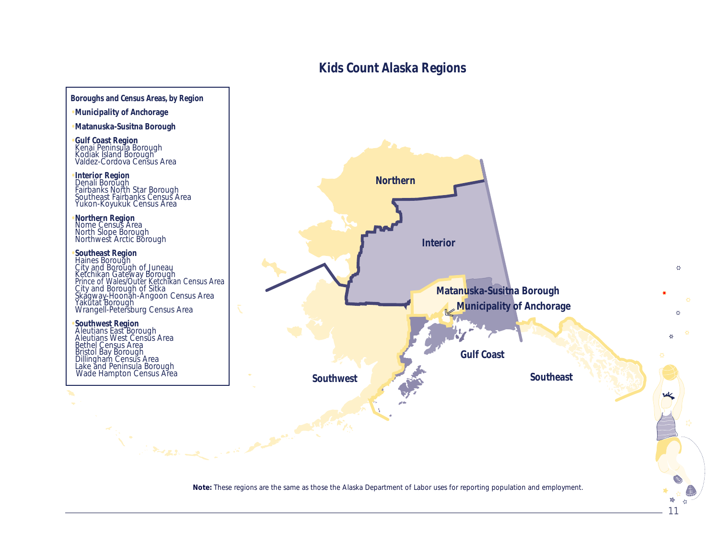### **Kids Count Alaska Regions**

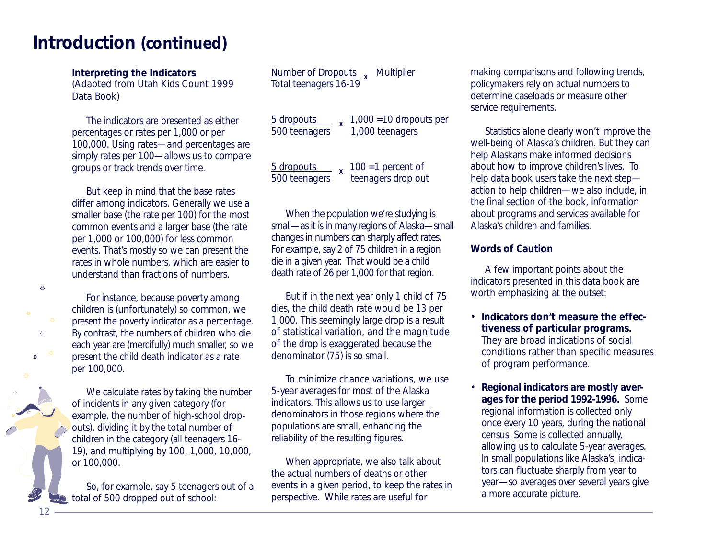*Interpreting the Indicators*

(Adapted from Utah Kids Count 1999 *Data Book*)

The indicators are presented as either percentages or rates per 1,000 or per 100,000. Using rates—and percentages are simply rates per 100—allows us to compare groups or track trends over time.

But keep in mind that the base rates differ among indicators. Generally we use a smaller base (the rate per 100) for the most common events and a larger base (the rate per 1,000 or 100,000) for less common events. That's mostly so we can present the rates in whole numbers, which are easier to understand than fractions of numbers.

For instance, because poverty among children is (unfortunately) so common, we present the poverty indicator as a percentage. By contrast, the numbers of children who die each year are (mercifully) much smaller, so we present the child death indicator as a rate per 100,000.

We calculate rates by taking the number of incidents in any given category (for example, the number of high-school dropouts), dividing it by the total number of children in the category (all teenagers 16- 19), and multiplying by 100, 1,000, 10,000, or 100,000.

So, for example, say 5 teenagers out of a total of 500 dropped out of school:

12

 $\boldsymbol{\mathcal{Z}}$ 

ð.

츊

촋  $\mathfrak{P}$ 

| Number of Dropouts x  | Multiplier |
|-----------------------|------------|
| Total teenagers 16-19 |            |

| 5 dropouts<br>500 teenagers | $\mathbf{x}$ | $1,000 = 10$ dropouts per<br>1,000 teenagers |
|-----------------------------|--------------|----------------------------------------------|
| 5 dropouts<br>500 teenagers | $\mathbf{x}$ | $100 = 1$ percent of<br>teenagers drop out   |

When the population we're studying is small—as it is in many regions of Alaska—small changes in numbers can sharply affect rates. For example, say 2 of 75 children in a region die in a given year. That would be a child death rate of 26 per 1,000 for that region.

But if in the next year only 1 child of 75 dies, the child death rate would be 13 per 1,000. This seemingly large drop is a result of statistical variation, and the magnitude of the drop is exaggerated because the denominator (75) is so small.

To minimize chance variations, we use 5-year averages for most of the Alaska indicators. This allows us to use larger denominators in those regions where the populations are small, enhancing the reliability of the resulting figures.

When appropriate, we also talk about the actual numbers of deaths or other events in a given period, to keep the rates in perspective. While rates are useful for

making comparisons and following trends, policymakers rely on actual numbers to determine caseloads or measure other service requirements.

Statistics alone clearly won't improve the well-being of Alaska's children. But they can help Alaskans make informed decisions about how to improve children's lives. To help data book users take the next step action to help children—we also include, in the final section of the book, information about programs and services available for Alaska's children and families.

#### *Words of Caution*

A few important points about the indicators presented in this data book are worth emphasizing at the outset:

- **Indicators don't measure the effectiveness of particular programs.** They are broad indications of social conditions rather than specific measures of program performance.
- **Regional indicators are mostly averages for the period 1992-1996.** Some regional information is collected only once every 10 years, during the national census. Some is collected annually, allowing us to calculate 5-year averages. In small populations like Alaska's, indicators can fluctuate sharply from year to year—so averages over several years give a more accurate picture.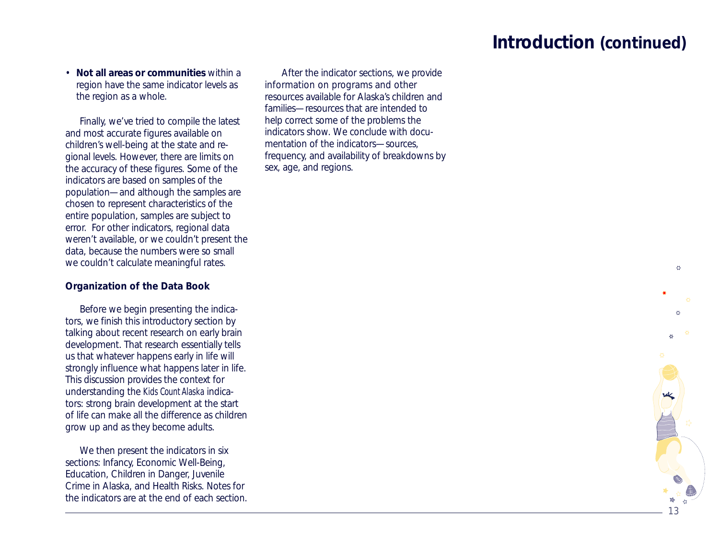• **Not all areas or communities** within a region have the same indicator levels as the region as a whole.

Finally, we've tried to compile the latest and most accurate figures available on children's well-being at the state and regional levels. However, there are limits on the accuracy of these figures. Some of the indicators are based on samples of the population—and although the samples are chosen to represent characteristics of the entire population, samples are subject to error. For other indicators, regional data weren't available, or we couldn't present the data, because the numbers were so small we couldn't calculate meaningful rates.

#### *Organization of the Data Book*

Before we begin presenting the indicators, we finish this introductory section by talking about recent research on early brain development. That research essentially tells us that whatever happens early in life will strongly influence what happens later in life. This discussion provides the context for understanding the Kids Count Alaska indicators: strong brain development at the start of life can make all the difference as children grow up and as they become adults.

We then present the indicators in six sections: Infancy, Economic Well-Being, Education, Children in Danger, Juvenile Crime in Alaska, and Health Risks. Notes for the indicators are at the end of each section.

 After the indicator sections, we provide information on programs and other resources available for Alaska's children and families—resources that are intended to help correct some of the problems the indicators show. We conclude with documentation of the indicators—sources, frequency, and availability of breakdowns by sex, age, and regions.

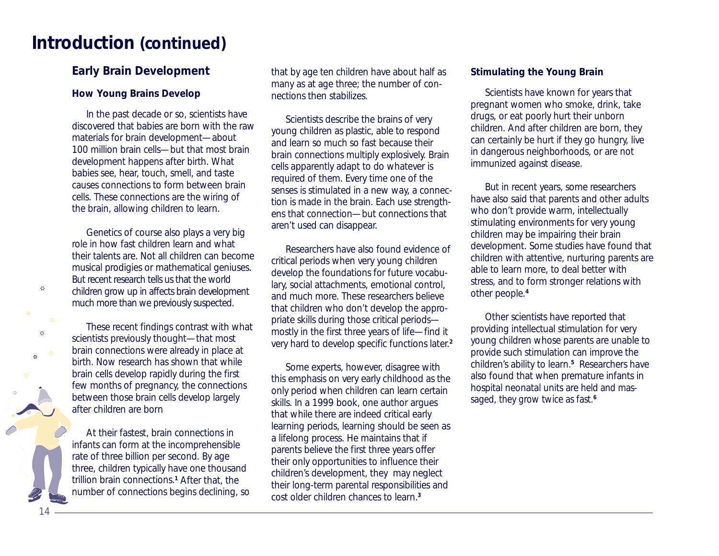### **Early Brain Development**

#### *How Young Brains Develop*

In the past decade or so, scientists have discovered that babies are born with the raw materials for brain development—about 100 million brain cells—but that most brain development happens after birth. What babies see, hear, touch, smell, and taste causes connections to form between brain cells. These connections are the wiring of the brain, allowing children to learn.

Genetics of course also plays a very big role in how fast children learn and what their talents are. Not all children can become musical prodigies or mathematical geniuses. But recent research tells us that the world children grow up in affects brain development much more than we previously suspected.

These recent findings contrast with what scientists previously thought—that most brain connections were already in place at birth. Now research has shown that while brain *cells* develop rapidly during the first few months of pregnancy, the *connections* between those brain cells develop largely after children are born

At their fastest, brain connections in infants can form at the incomprehensible rate of three billion per second. By age three, children typically have one thousand trillion brain connections.**<sup>1</sup>** After that, the number of connections begins declining, so

14

 $\boldsymbol{\mathcal{Q}}$ 

 $\mathfrak{P}$ 

 $\mathfrak{S}$  $\Sigma$ 

that by age ten children have about half as many as at age three; the number of connections then stabilizes.

Scientists describe the brains of very young children as plastic, able to respond and learn so much so fast because their brain connections multiply explosively. Brain cells apparently adapt to do whatever is required of them. Every time one of the senses is stimulated in a new way, a connection is made in the brain. Each use strengthens that connection—but connections that aren't used can disappear.

Researchers have also found evidence of critical periods when very young children develop the foundations for future vocabulary, social attachments, emotional control, and much more. These researchers believe that children who don't develop the appropriate skills during those critical periods mostly in the first three years of life—find it very hard to develop specific functions later.**<sup>2</sup>**

Some experts, however, disagree with this emphasis on very early childhood as the *only* period when children can learn certain skills. In a 1999 book, one author argues that while there are indeed critical early learning periods, learning should be seen as a lifelong process. He maintains that if parents believe the first three years offer their only opportunities to influence their children's development, they may neglect their long-term parental responsibilities and cost older children chances to learn.**<sup>3</sup>**

#### *Stimulating the Young Brain*

Scientists have known for years that pregnant women who smoke, drink, take drugs, or eat poorly hurt their unborn children. And after children are born, they can certainly be hurt if they go hungry, live in dangerous neighborhoods, or are not immunized against disease.

But in recent years, some researchers have also said that parents and other adults who don't provide warm, intellectually stimulating environments for very young children may be impairing their brain development. Some studies have found that children with attentive, nurturing parents are able to learn more, to deal better with stress, and to form stronger relations with other people.**<sup>4</sup>**

Other scientists have reported that providing intellectual stimulation for very young children whose parents are unable to provide such stimulation can improve the children's ability to learn.**<sup>5</sup>** Researchers have also found that when premature infants in hospital neonatal units are held and massaged, they grow twice as fast.**<sup>6</sup>**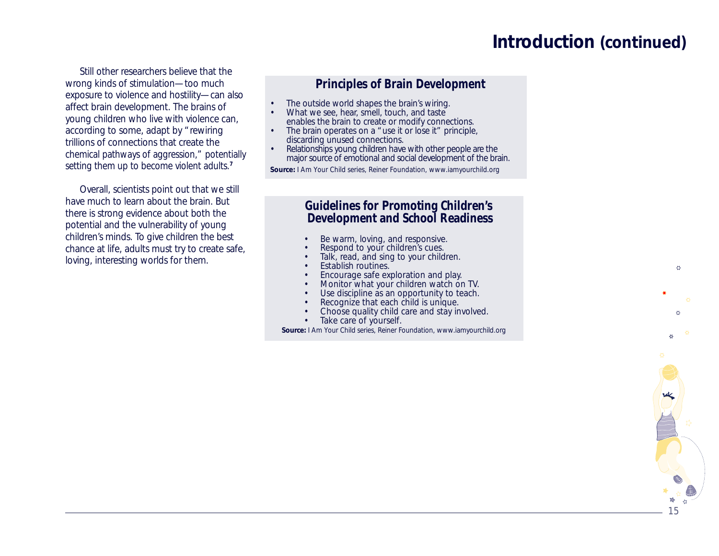15

EN COL

Still other researchers believe that the wrong kinds of stimulation—too much exposure to violence and hostility—can also affect brain development. The brains of young children who live with violence can, according to some, adapt by "rewiring trillions of connections that create the chemical pathways of aggression," potentially setting them up to become violent adults.**<sup>7</sup>**

Overall, scientists point out that we still have much to learn about the brain. But there is strong evidence about both the potential and the vulnerability of young children's minds. To give children the best chance at life, adults must try to create safe, loving, interesting worlds for them.

### **Principles of Brain Development**

- The outside world shapes the brain's wiring.
- What we see, hear, smell, touch, and taste enables the brain to create or modify connections.
- The brain operates on a "use it or lose it" principle, discarding unused connections.
- Relationships young children have with other people are the major source of emotional and social development of the brain.

**Source:** *I Am Your Child* series, Reiner Foundation*,* www.iamyourchild.org

#### **Guidelines for Promoting Children's Development and School Readiness**

- Be warm, loving, and responsive.<br>Respond to your children's cues.<br>Talk, read, and sing to your children.
- 
- 
- 
- establish routines.<br>• Encourage safe exploration and play.<br>• Monitor what your children watch on TV.
- 
- Use discipline as an opportunity to teach. Recognize that each child is unique.
- 
- Choose quality child care and stay involved.<br>Take care of yourself.
- 

**Source:** *I Am Your Child* series, Reiner Foundation, www.iamyourchild.org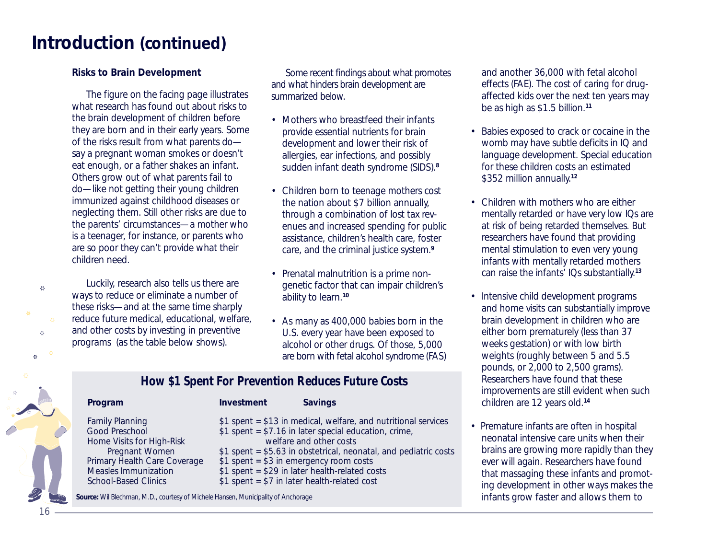#### *Risks to Brain Development*

The figure on the facing page illustrates what research has found out about risks to the brain development of children before they are born and in their early years. Some of the risks result from what parents do say a pregnant woman smokes or doesn't eat enough, or a father shakes an infant. Others grow out of what parents fail to do—like not getting their young children immunized against childhood diseases or neglecting them. Still other risks are due to the parents' circumstances—a mother who is a teenager, for instance, or parents who are so poor they can't provide what their children need.

Luckily, research also tells us there are ways to reduce or eliminate a number of these risks—and at the same time sharply reduce future medical, educational, welfare, and other costs by investing in preventive programs (as the table below shows).

16

 $\boldsymbol{\mathcal{Q}}$ 

ヘ

ð.

Some recent findings about what promotes and what hinders brain development are summarized below.

- Mothers who breastfeed their infants provide essential nutrients for brain development and lower their risk of allergies, ear infections, and possibly sudden infant death syndrome (SIDS).**<sup>8</sup>**
- Children born to teenage mothers cost the nation about \$7 billion annually, through a combination of lost tax revenues and increased spending for public assistance, children's health care, foster care, and the criminal justice system.**<sup>9</sup>**
- Prenatal malnutrition is a prime nongenetic factor that can impair children's ability to learn.**<sup>10</sup>**
- As many as 400,000 babies born in the U.S. every year have been exposed to alcohol or other drugs. Of those, 5,000 are born with fetal alcohol syndrome (FAS)

### **How \$1 Spent For Prevention Reduces Future Costs**

| Program                                                                                                                                                                        | Investment                                                                                | <b>Savings</b>                                                                                                                                                                                                                                                               |
|--------------------------------------------------------------------------------------------------------------------------------------------------------------------------------|-------------------------------------------------------------------------------------------|------------------------------------------------------------------------------------------------------------------------------------------------------------------------------------------------------------------------------------------------------------------------------|
| <b>Family Planning</b><br>Good Preschool<br>Home Visits for High-Risk<br>Pregnant Women<br>Primary Health Care Coverage<br>Measles Immunization<br><b>School-Based Clinics</b> | $$1$ spent = \$3 in emergency room costs<br>\$1 spent = $$7$ in later health-related cost | $$1$ spent = \$13 in medical, welfare, and nutritional services<br>$$1$ spent = \$7.16 in later special education, crime,<br>welfare and other costs<br>$$1$ spent = \$5.63 in obstetrical, neonatal, and pediatric costs<br>$$1$ spent = \$29 in later health-related costs |
| Source: Wil Blechman, M.D., courtesy of Michele Hansen, Municipality of Anchorage                                                                                              |                                                                                           |                                                                                                                                                                                                                                                                              |

and another 36,000 with fetal alcohol effects (FAE). The cost of caring for drugaffected kids over the next ten years may be as high as \$1.5 billion.**<sup>11</sup>**

- Babies exposed to crack or cocaine in the womb may have subtle deficits in IQ and language development. Special education for these children costs an estimated \$352 million annually.**<sup>12</sup>**
- Children with mothers who are either mentally retarded or have very low IQs are at risk of being retarded themselves. But researchers have found that providing mental stimulation to even very young infants with mentally retarded mothers can raise the infants' IQs substantially.**<sup>13</sup>**
- Intensive child development programs and home visits can substantially improve brain development in children who are either born prematurely (less than 37 weeks gestation) or with low birth weights (roughly between 5 and 5.5 pounds, or 2,000 to 2,500 grams). Researchers have found that these improvements are still evident when such children are 12 years old.**<sup>14</sup>**
- Premature infants are often in hospital neonatal intensive care units when their brains are growing more rapidly than they ever will again. Researchers have found that massaging these infants and promoting development in other ways makes the infants grow faster and allows them to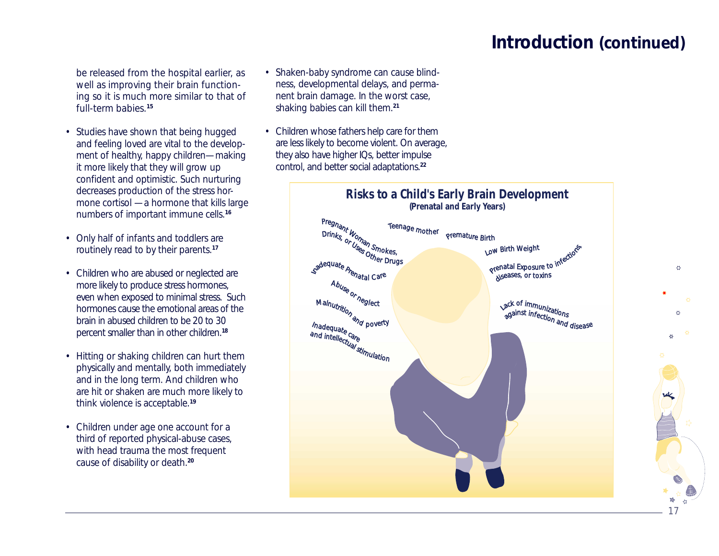17

₩

be released from the hospital earlier, as well as improving their brain functioning so it is much more similar to that of full-term babies.**<sup>15</sup>**

- Studies have shown that being hugged and feeling loved are vital to the development of healthy, happy children—making it more likely that they will grow up confident and optimistic. Such nurturing decreases production of the stress hormone cortisol —a hormone that kills large numbers of important immune cells.**<sup>16</sup>**
- Only half of infants and toddlers are routinely read to by their parents.**<sup>17</sup>**
- Children who are abused or neglected are more likely to produce stress hormones, even when exposed to minimal stress. Such hormones cause the emotional areas of the brain in abused children to be 20 to 30 percent smaller than in other children.**<sup>18</sup>**
- Hitting or shaking children can hurt them physically and mentally, both immediately and in the long term. And children who are hit or shaken are much more likely to think violence is acceptable.**<sup>19</sup>**
- Children under age one account for a third of reported physical-abuse cases, with head trauma the most frequent cause of disability or death.**<sup>20</sup>**
- Shaken-baby syndrome can cause blindness, developmental delays, and permanent brain damage. In the worst case, shaking babies can kill them.**<sup>21</sup>**
- Children whose fathers help care for them are less likely to become violent. On average, they also have higher IQs, better impulse control, and better social adaptations.**<sup>22</sup>**

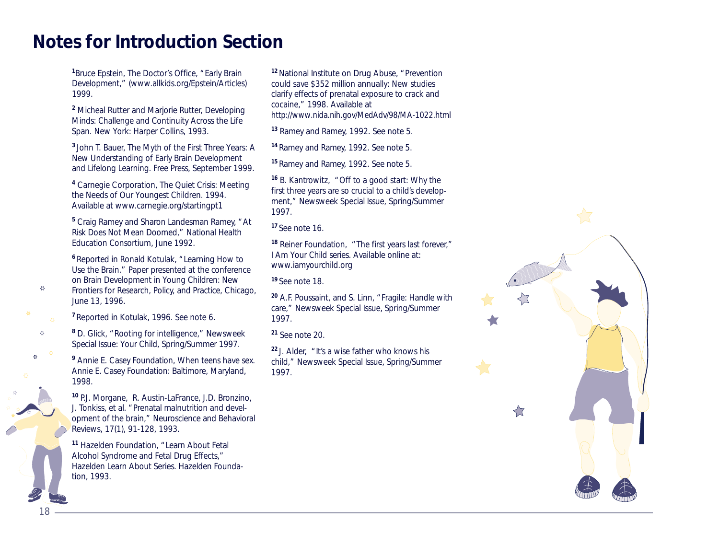### **Notes for Introduction Section**

**<sup>1</sup>**Bruce Epstein, *The Doctor's Office*, "Early Brain Development," (www.allkids.org/Epstein/Articles) 1999.

**<sup>2</sup>** Micheal Rutter and Marjorie Rutter, *Developing Minds: Challenge and Continuity Across the Life Span.* New York: Harper Collins, 1993.

**<sup>3</sup>**John T. Bauer, *The Myth of the First Three Years: A New Understanding of Early Brain Development and Lifelong Learning*. Free Press, September 1999.

**4** Carnegie Corporation, *The Quiet Crisis: Meeting the Needs of Our Youngest Children*. 1994. Available at www.carnegie.org/startingpt1

**5** Craig Ramey and Sharon Landesman Ramey, "At Risk Does Not Mean Doomed," *National Health Education Consortium*, June 1992.

**<sup>6</sup>** Reported in Ronald Kotulak, "Learning How to Use the Brain." Paper presented at the conference on *Brain Development in Young Children: New Frontiers for Research, Policy, and Practice*, Chicago, June 13, 1996.

**<sup>7</sup>** Reported in Kotulak, 1996. See note 6.

**8** D. Glick, "Rooting for intelligence," *Newsweek Special Issue: Your Child*, Spring/Summer 1997.

**9** Annie E. Casey Foundation, *When teens have sex*. Annie E. Casey Foundation: Baltimore, Maryland, 1998.

**<sup>10</sup>** P.J. Morgane, R. Austin-LaFrance, J.D. Bronzino, J. Tonkiss, et al. "Prenatal malnutrition and development of the brain," *Neuroscience and Behavioral Reviews*, 17(1), 91-128, 1993.

**<sup>11</sup>** Hazelden Foundation, "Learn About Fetal Alcohol Syndrome and Fetal Drug Effects," *Hazelden Learn About Series*. Hazelden Foundation, 1993.

18

 $\boldsymbol{\mathcal{Q}}$ 

 $\boldsymbol{\mathcal{U}}$ 

Ä

ł.

**<sup>12</sup>**National Institute on Drug Abuse, "Prevention could save \$352 million annually: New studies clarify effects of prenatal exposure to crack and cocaine," 1998. Available at http://www.nida.nih.gov/MedAdv/98/MA-1022.html

**<sup>13</sup>** Ramey and Ramey, 1992. See note 5.

**<sup>14</sup>**Ramey and Ramey, 1992. See note 5.

**<sup>15</sup>**Ramey and Ramey, 1992. See note 5.

**<sup>16</sup>** B. Kantrowitz, "Off to a good start: Why the first three years are so crucial to a child's development," *Newsweek Special Issue,* Spring/Summer 1997.

**<sup>17</sup>** See note 16.

**<sup>18</sup>** Reiner Foundation, "The first years last forever," *I Am Your Child* series. Available online at: www.iamyourchild.org

**<sup>19</sup>**See note 18.

**<sup>20</sup>** A.F. Poussaint, and S. Linn, "Fragile: Handle with care," *Newsweek Special Issue,* Spring/Summer 1997.

**<sup>21</sup>** See note 20.

**<sup>22</sup>** J. Alder, "It's a wise father who knows his child," *Newsweek Special Issue*, Spring/Summer 1997.

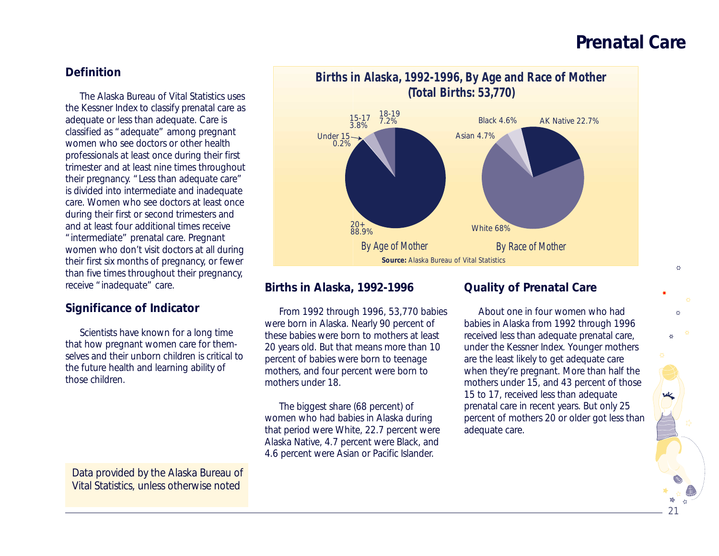### **Prenatal Care**

### **Definition**

The Alaska Bureau of Vital Statistics uses the Kessner Index to classify prenatal care as adequate or less than adequate. Care is classified as "adequate" among pregnant women who see doctors or other health professionals at least once during their first trimester and at least nine times throughout their pregnancy. "Less than adequate care" is divided into intermediate and inadequate care. Women who see doctors at least once during their first or second trimesters and and at least four additional times receive "intermediate" prenatal care. Pregnant women who don't visit doctors at all during their first six months of pregnancy, or fewer than five times throughout their pregnancy, receive "inadequate" care.

### **Significance of Indicator**

Scientists have known for a long time that how pregnant women care for themselves and their unborn children is critical to the future health and learning ability of those children.

*Data provided by the Alaska Bureau of Vital Statistics, unless otherwise noted*



#### **Births in Alaska, 1992-1996**

From 1992 through 1996, 53,770 babies were born in Alaska. Nearly 90 percent of these babies were born to mothers at least 20 years old. But that means more than 10 percent of babies were born to teenage mothers, and four percent were born to mothers under 18.

The biggest share (68 percent) of women who had babies in Alaska during that period were White, 22.7 percent were Alaska Native, 4.7 percent were Black, and 4.6 percent were Asian or Pacific Islander.

### **Quality of Prenatal Care**

About one in four women who had babies in Alaska from 1992 through 1996 received less than adequate prenatal care, under the Kessner Index. Younger mothers are the least likely to get adequate care when they're pregnant. More than half the mothers under 15, and 43 percent of those 15 to 17, received less than adequate prenatal care in recent years. But only 25 percent of mothers 20 or older got less than adequate care.



k3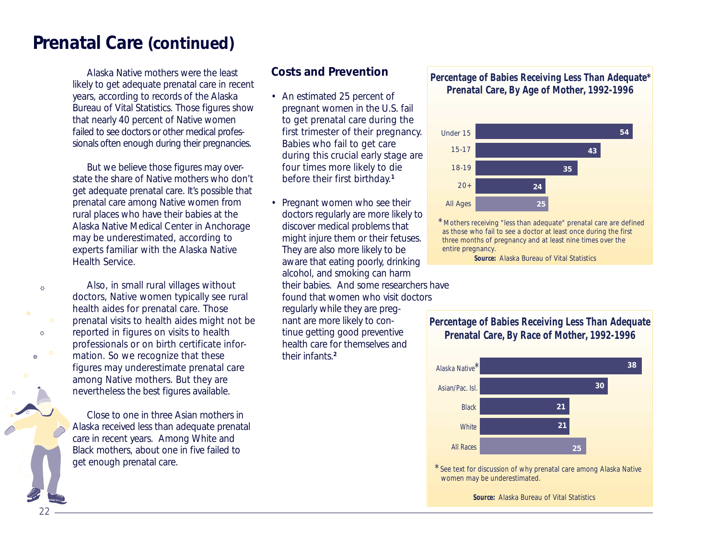### **Prenatal Care (continued)**

Alaska Native mothers were the least likely to get adequate prenatal care in recent years, according to records of the Alaska Bureau of Vital Statistics. Those figures show that nearly 40 percent of Native women failed to see doctors or other medical professionals often enough during their pregnancies.

But we believe those figures may overstate the share of Native mothers who don't get adequate prenatal care. It's possible that prenatal care among Native women from rural places who have their babies at the Alaska Native Medical Center in Anchorage may be underestimated, according to experts familiar with the Alaska Native Health Service.

Also, in small rural villages without doctors, Native women typically see rural health aides for prenatal care. Those prenatal visits to health aides might not be reported in figures on visits to health professionals or on birth certificate information. So we recognize that these figures may underestimate prenatal care among Native mothers. But they are nevertheless the best figures available.

Close to one in three Asian mothers in Alaska received less than adequate prenatal care in recent years. Among White and Black mothers, about one in five failed to get enough prenatal care.

22

 $\boldsymbol{\mathcal{Q}}$ 

**各** 

器

zs  $\mathfrak{P}$ 

### **Costs and Prevention**

- An estimated 25 percent of pregnant women in the U.S. fail to get prenatal care during the first trimester of their pregnancy. Babies who fail to get care during this crucial early stage are four times more likely to die before their first birthday.**<sup>1</sup>**
- Pregnant women who see their doctors regularly are more likely to discover medical problems that might injure them or their fetuses. They are also more likely to be aware that eating poorly, drinking alcohol, and smoking can harm their babies. And some researchers have found that women who visit doctors regularly while they are preg-

nant are more likely to continue getting good preventive health care for themselves and their infants.**<sup>2</sup>**

#### **Percentage of Babies Receiving Less Than Adequate\* Prenatal Care, By Age of Mother, 1992-1996**



\**Mothers receiving "less than adequate" prenatal care are defined as those who fail to see a doctor at least once during the first three months of pregnancy and at least nine times over the entire pregnancy.* 

**Source:** *Alaska Bureau of Vital Statistics*



**Percentage of Babies Receiving Less Than Adequate**

\**See text for discussion of why prenatal care among Alaska Native women may be underestimated.* 

**25**

**Source:** *Alaska Bureau of Vital Statistics*

All Races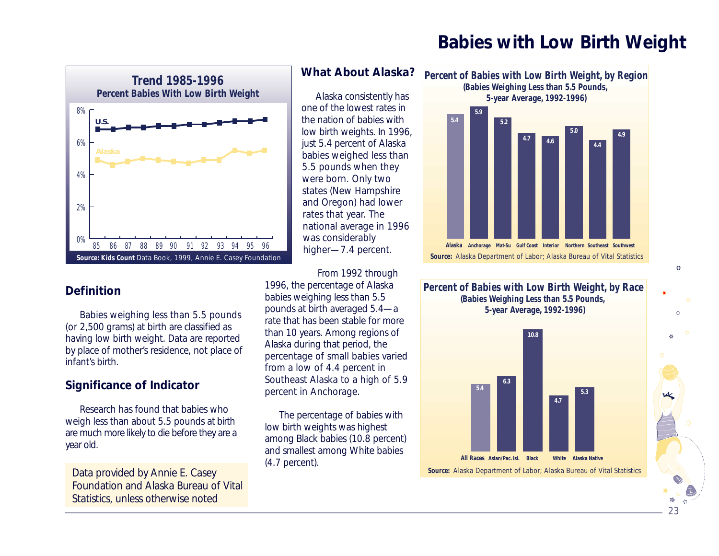### **Babies with Low Birth Weight**



### **What About Alaska?**

Alaska consistently has one of the lowest rates in the nation of babies with low birth weights. In 1996, just 5.4 percent of Alaska babies weighed less than 5.5 pounds when they were born. Only two states (New Hampshire and Oregon) had lower rates that year. The national average in 1996 was considerably higher—7.4 percent.

### **Definition**

Babies weighing less than 5.5 pounds (or 2,500 grams) at birth are classified as having low birth weight. Data are reported by place of mother's residence, not place of infant's birth.

### **Significance of Indicator**

Research has found that babies who weigh less than about 5.5 pounds at birth are much more likely to die before they are a year old.

*Data provided by Annie E. Casey Foundation and Alaska Bureau of Vital Statistics, unless otherwise noted*

From 1992 through 1996, the percentage of Alaska babies weighing less than 5.5 pounds at birth averaged 5.4—a rate that has been stable for more than 10 years. Among regions of Alaska during that period, the percentage of small babies varied from a low of 4.4 percent in Southeast Alaska to a high of 5.9 percent in Anchorage.

The percentage of babies with low birth weights was highest among Black babies (10.8 percent) and smallest among White babies (4.7 percent).





23

 $\Rightarrow$ 

 $\heartsuit$ 

登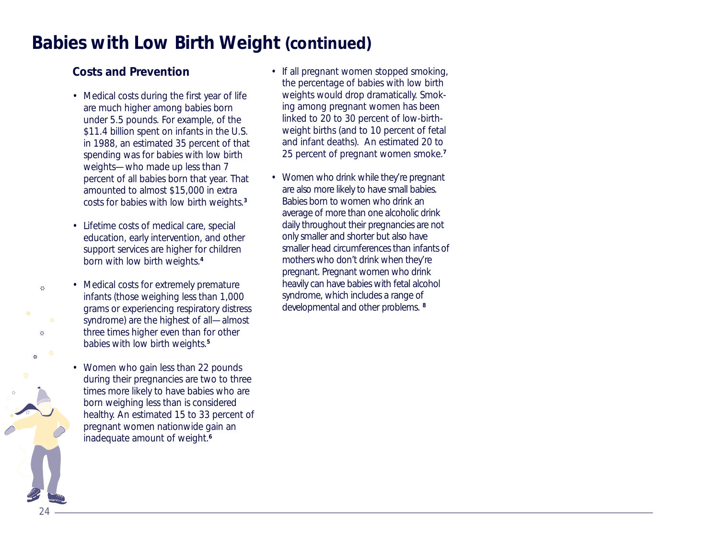### **Babies with Low Birth Weight (continued)**

### **Costs and Prevention**

- Medical costs during the first year of life are much higher among babies born under 5.5 pounds. For example, of the \$11.4 billion spent on infants in the U.S. in 1988, an estimated 35 percent of that spending was for babies with low birth weights—who made up less than 7 percent of all babies born that year. That amounted to almost \$15,000 in extra costs for babies with low birth weights.**<sup>3</sup>**
- Lifetime costs of medical care, special education, early intervention, and other support services are higher for children born with low birth weights.**<sup>4</sup>**
- Medical costs for extremely premature infants (those weighing less than 1,000 grams or experiencing respiratory distress syndrome) are the highest of all—almost three times higher even than for other babies with low birth weights.**<sup>5</sup>**
- Women who gain less than 22 pounds during their pregnancies are two to three times more likely to have babies who are born weighing less than is considered healthy. An estimated 15 to 33 percent of pregnant women nationwide gain an inadequate amount of weight.**<sup>6</sup>**

24

 $\boldsymbol{\mathcal{Z}}$ 

 $\mathfrak{P}$ 

**各** 

- If all pregnant women stopped smoking, the percentage of babies with low birth weights would drop dramatically. Smoking among pregnant women has been linked to 20 to 30 percent of low-birthweight births (and to 10 percent of fetal and infant deaths). An estimated 20 to 25 percent of pregnant women smoke.**<sup>7</sup>**
- Women who drink while they're pregnant are also more likely to have small babies. Babies born to women who drink an average of more than one alcoholic drink daily throughout their pregnancies are not only smaller and shorter but also have smaller head circumferences than infants of mothers who don't drink when they're pregnant. Pregnant women who drink heavily can have babies with fetal alcohol syndrome, which includes a range of developmental and other problems. **8**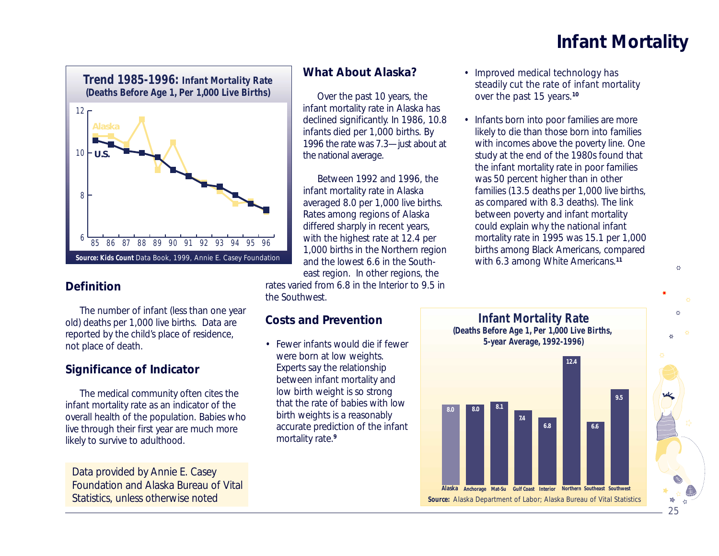## **Infant Mortality**

₩



### **Definition**

The number of infant (less than one year old) deaths per 1,000 live births. Data are reported by the child's place of residence, not place of death.

### **Significance of Indicator**

The medical community often cites the infant mortality rate as an indicator of the overall health of the population. Babies who live through their first year are much more likely to survive to adulthood.

*Data provided by Annie E. Casey Foundation and Alaska Bureau of Vital Statistics, unless otherwise noted*

### **What About Alaska?**

Over the past 10 years, the infant mortality rate in Alaska has declined significantly. In 1986, 10.8 infants died per 1,000 births. By 1996 the rate was 7.3—just about at the national average.

Between 1992 and 1996, the infant mortality rate in Alaska averaged 8.0 per 1,000 live births. Rates among regions of Alaska differed sharply in recent years, with the highest rate at 12.4 per 1,000 births in the Northern region and the lowest 6.6 in the Southeast region. In other regions, the rates varied from 6.8 in the Interior to 9.5 in

the Southwest.

### **Costs and Prevention**

• Fewer infants would die if fewer were born at low weights. Experts say the relationship between infant mortality and low birth weight is so strong that the rate of babies with low birth weights is a reasonably accurate prediction of the infant mortality rate.**<sup>9</sup>**



• Infants born into poor families are more likely to die than those born into families with incomes above the poverty line. One study at the end of the 1980s found that the infant mortality rate in poor families was 50 percent higher than in other families (13.5 deaths per 1,000 live births, as compared with 8.3 deaths). The link between poverty and infant mortality could explain why the national infant mortality rate in 1995 was 15.1 per 1,000 births among Black Americans, compared with 6.3 among White Americans.**11**

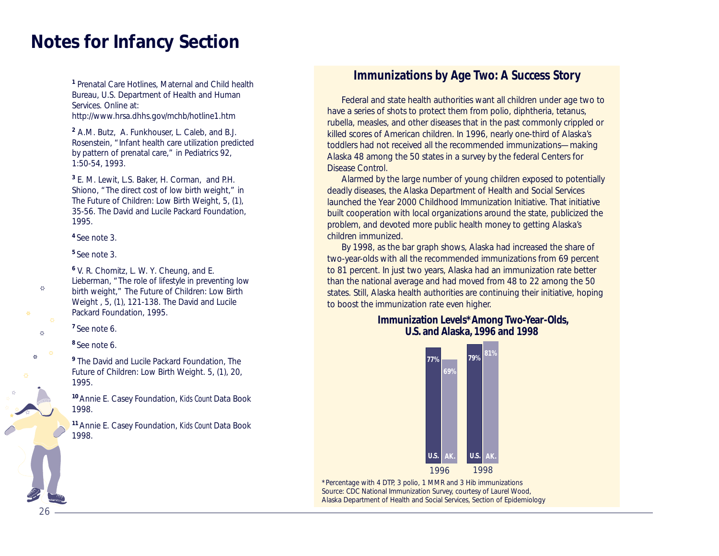### **Notes for Infancy Section**

**1** Prenatal Care Hotlines, Maternal and Child health Bureau, U.S. Department of Health and Human Services. Online at:

http://www.hrsa.dhhs.gov/mchb/hotline1.htm

**<sup>2</sup>** A.M. Butz, A. Funkhouser, L. Caleb, and B.J. Rosenstein, "Infant health care utilization predicted by pattern of prenatal care," in *Pediatrics* 92, 1:50-54, 1993.

**3** E. M. Lewit, L.S. Baker, H. Corman, and P.H. Shiono, "The direct cost of low birth weight," in *The Future of Children: Low Birth Weight,* 5, (1), 35-56. The David and Lucile Packard Foundation, 1995.

**<sup>4</sup>**See note 3.

**<sup>5</sup>**See note 3.

**6** V. R. Chomitz, L. W. Y. Cheung, and E. Lieberman, "The role of lifestyle in preventing low birth weight," *The Future of Children: Low Birth Weight ,* 5, (1), 121-138. The David and Lucile Packard Foundation, 1995.

**<sup>7</sup>**See note 6.

**<sup>8</sup>**See note 6.

26

 $\boldsymbol{\mathcal{Z}}$ 

 $\mathfrak{P}$ 

43

Ò

**9** The David and Lucile Packard Foundation, *The Future of Children: Low Birth Weight. 5,* (1), 20, 1995.

**<sup>10</sup>**Annie E. Casey Foundation, Kids Count *Data Book* 1998.

**<sup>11</sup>**Annie E. Casey Foundation, Kids Count *Data Book* 1998.

### **Immunizations by Age Two: A Success Story**

Federal and state health authorities want all children under age two to have a series of shots to protect them from polio, diphtheria, tetanus, rubella, measles, and other diseases that in the past commonly crippled or killed scores of American children. In 1996, nearly one-third of Alaska's toddlers had not received all the recommended immunizations—making Alaska 48 among the 50 states in a survey by the federal Centers for Disease Control.

Alarmed by the large number of young children exposed to potentially deadly diseases, the Alaska Department of Health and Social Services launched the Year 2000 Childhood Immunization Initiative. That initiative built cooperation with local organizations around the state, publicized the problem, and devoted more public health money to getting Alaska's children immunized.

By 1998, as the bar graph shows, Alaska had increased the share of two-year-olds with all the recommended immunizations from 69 percent to 81 percent. In just two years, Alaska had an immunization rate better than the national average and had moved from 48 to 22 among the 50 states. Still, Alaska health authorities are continuing their initiative, hoping to boost the immunization rate even higher.

#### **Immunization Levels\* Among Two-Year-Olds, U.S. and Alaska, 1996 and 1998**



*\*Percentage with 4 DTP, 3 polio, 1 MMR and 3 Hib immunizations Source: CDC National Immunization Survey, courtesy of Laurel Wood, Alaska Department of Health and Social Services, Section of Epidemiology*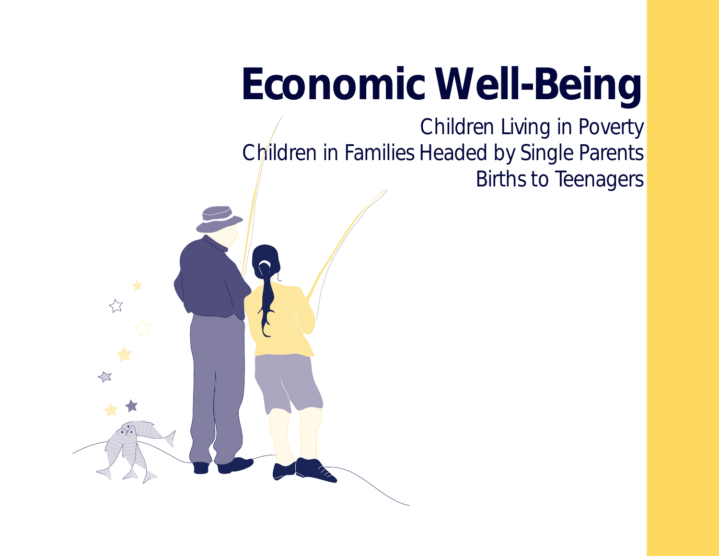# **Economic Well-Being**

Children Living in Poverty Children in Families Headed by Single Parents Births to Teenagers

 $\overleftrightarrow{\mathcal{L}}$ 

 $\leftrightarrow$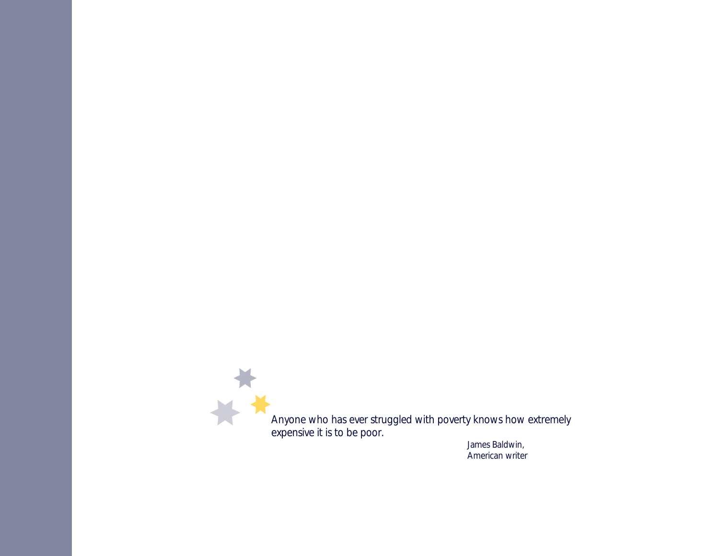*Anyone who has ever struggled with poverty knows how extremely expensive it is to be poor.*

*James Baldwin, American writer*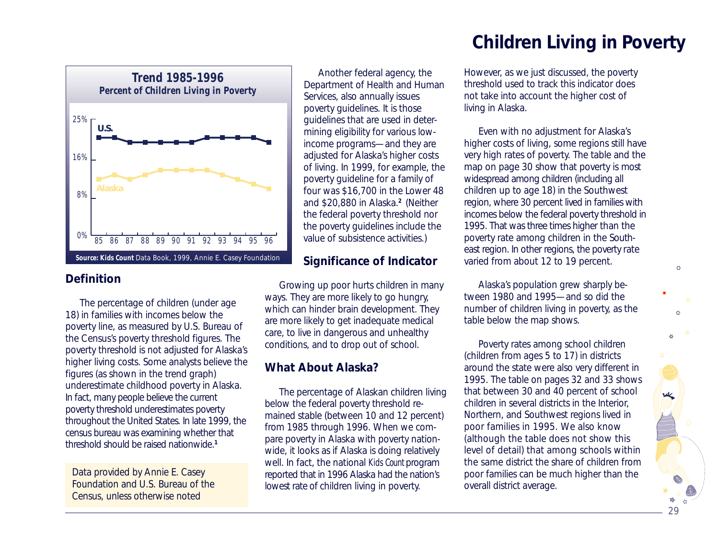

#### **Definition**

The percentage of children (under age 18) in families with incomes below the poverty line, as measured by U.S. Bureau of the Census's poverty *threshold* figures. The poverty threshold is not adjusted for Alaska's higher living costs. Some analysts believe the figures (as shown in the trend graph) underestimate childhood poverty in Alaska. In fact, many people believe the current poverty threshold underestimates poverty throughout the United States. In late 1999, the census bureau was examining whether that threshold should be raised nationwide.**<sup>1</sup>**

*Data provided by Annie E. Casey Foundation and U.S. Bureau of the Census, unless otherwise noted*

Another federal agency, the Department of Health and Human Services, also annually issues poverty *guidelines*. It is those guidelines that are used in determining eligibility for various lowincome programs—and they are adjusted for Alaska's higher costs of living. In 1999, for example, the poverty guideline for a family of four was \$16,700 in the Lower 48 and \$20,880 in Alaska.**2** (Neither the federal poverty threshold nor the poverty guidelines include the value of subsistence activities.)

#### **Significance of Indicator**

Growing up poor hurts children in many ways. They are more likely to go hungry, which can hinder brain development. They are more likely to get inadequate medical care, to live in dangerous and unhealthy conditions, and to drop out of school.

#### **What About Alaska?**

The percentage of Alaskan children living below the federal poverty threshold remained stable (between 10 and 12 percent) from 1985 through 1996. When we compare poverty in Alaska with poverty nationwide, it looks as if Alaska is doing relatively well. In fact, the national Kids Count program reported that in 1996 Alaska had the nation's lowest rate of children living in poverty.

### **Children Living in Poverty**

However, as we just discussed, the poverty threshold used to track this indicator does not take into account the higher cost of living in Alaska.

Even with no adjustment for Alaska's higher costs of living, some regions still have very high rates of poverty. The table and the map on page 30 show that poverty is most widespread among children (including all children up to age 18) in the Southwest region, where 30 percent lived in families with incomes below the federal poverty threshold in 1995. That was three times higher than the poverty rate among children in the Southeast region. In other regions, the poverty rate varied from about 12 to 19 percent.

Alaska's population grew sharply between 1980 and 1995—and so did the number of children living in poverty, as the table below the map shows.

Poverty rates among school children (children from ages 5 to 17) in districts around the state were also very different in 1995. The table on pages 32 and 33 shows that between 30 and 40 percent of school children in several districts in the Interior, Northern, and Southwest regions lived in poor families in 1995. We also know (although the table does not show this level of detail) that among schools within the same district the share of children from poor families can be much higher than the overall district average.

一

 $\heartsuit$ 

ø

Ł.

x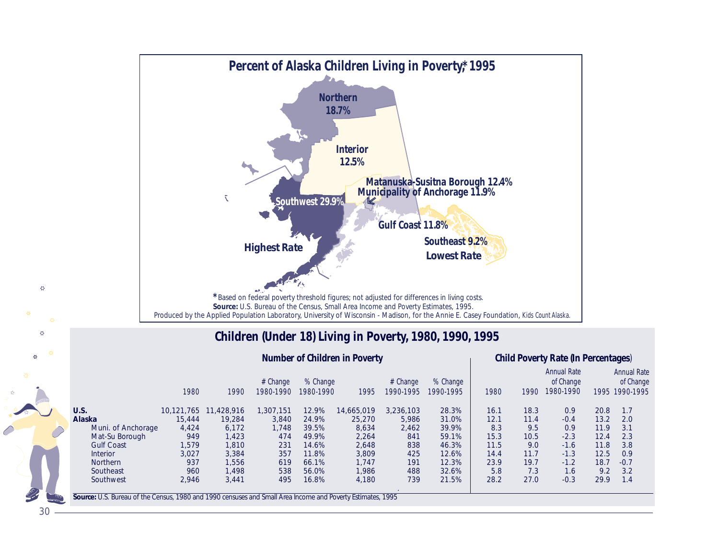

### **Children (Under 18) Living in Poverty, 1980, 1990, 1995**

|                                                                                                             | 1980       | 1990       | # Change<br>1980-1990 | % Change<br>1980-1990 | 1995       | # Change<br>1990-1995 | % Change<br>1990-1995 | 1980 | 1990 | <b>Annual Rate</b><br>of Change<br>1980-1990 |      | -<br><b>Annual Rate</b><br>of Change<br>1995 1990-1995 |
|-------------------------------------------------------------------------------------------------------------|------------|------------|-----------------------|-----------------------|------------|-----------------------|-----------------------|------|------|----------------------------------------------|------|--------------------------------------------------------|
| U.S.                                                                                                        | 10.121.765 | 11,428,916 | 1,307,151             | 12.9%                 | 14,665,019 | 3,236,103             | 28.3%                 | 16.1 | 18.3 | 0.9                                          | 20.8 | 1.7                                                    |
| <b>Alaska</b>                                                                                               | 15,444     | 19,284     | 3.840                 | 24.9%                 | 25,270     | 5.986                 | 31.0%                 | 12.1 | 11.4 | $-0.4$                                       | 13.2 | 2.0                                                    |
| Muni. of Anchorage                                                                                          | 4,424      | 6,172      | 1,748                 | 39.5%                 | 8,634      | 2,462                 | 39.9%                 | 8.3  | 9.5  | 0.9                                          | 11.9 | 3.1                                                    |
| Mat-Su Borough                                                                                              | 949        | 1,423      | 474                   | 49.9%                 | 2,264      | 841                   | 59.1%                 | 15.3 | 10.5 | $-2.3$                                       | 12.4 | 2.3                                                    |
| <b>Gulf Coast</b>                                                                                           | 1,579      | 1.810      | 231                   | 14.6%                 | 2,648      | 838                   | 46.3%                 | 11.5 | 9.0  | $-1.6$                                       | 11.8 | 3.8                                                    |
| Interior                                                                                                    | 3,027      | 3,384      | 357                   | 11.8%                 | 3,809      | 425                   | 12.6%                 | 14.4 | 11.7 | $-1.3$                                       | 12.5 | 0.9                                                    |
| <b>Northern</b>                                                                                             | 937        | 1,556      | 619                   | 66.1%                 | 1,747      | 191                   | 12.3%                 | 23.9 | 19.7 | $-1.2$                                       | 18.7 | $-0.7$                                                 |
| Southeast                                                                                                   | 960        | 1.498      | 538                   | 56.0%                 | 1,986      | 488                   | 32.6%                 | 5.8  | 7.3  | 1.6                                          | 9.2  | 3.2                                                    |
| Southwest                                                                                                   | 2,946      | 3,441      | 495                   | 16.8%                 | 4.180      | 739                   | 21.5%                 | 28.2 | 27.0 | $-0.3$                                       | 29.9 | 1.4                                                    |
|                                                                                                             |            |            |                       |                       |            |                       |                       |      |      |                                              |      |                                                        |
| Source: U.S. Bureau of the Census, 1980 and 1990 censuses and Small Area Income and Poverty Estimates, 1995 |            |            |                       |                       |            |                       |                       |      |      |                                              |      |                                                        |

30

A,

ż5

83 ね

#### **Number of Children in Poverty Child Poverty Rate (In Percentages**)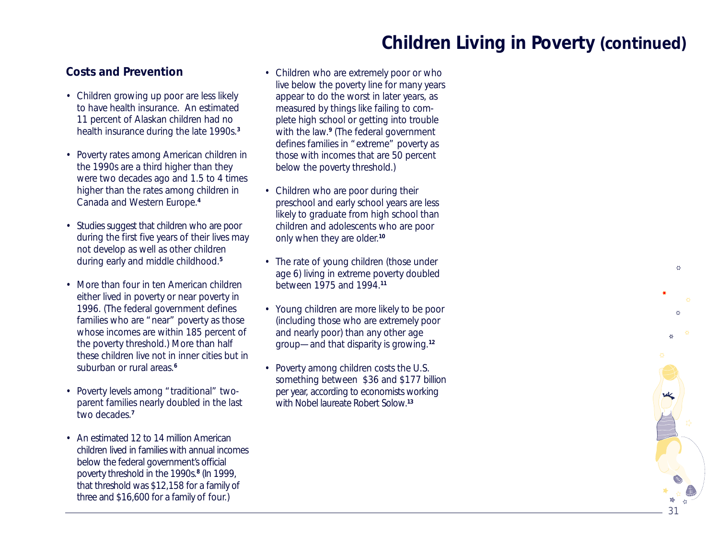### **Children Living in Poverty (continued)**

#### **Costs and Prevention**

- Children growing up poor are less likely to have health insurance. An estimated 11 percent of Alaskan children had no health insurance during the late 1990s.**<sup>3</sup>**
- Poverty rates among American children in the 1990s are a third higher than they were two decades ago and 1.5 to 4 times higher than the rates among children in Canada and Western Europe.**<sup>4</sup>**
- Studies suggest that children who are poor during the first five years of their lives may not develop as well as other children during early and middle childhood.**<sup>5</sup>**
- More than four in ten American children either lived in poverty or near poverty in 1996. (The federal government defines families who are "near" poverty as those whose incomes are within 185 percent of the poverty threshold.) More than half these children live not in inner cities but in suburban or rural areas.**<sup>6</sup>**
- Poverty levels among "traditional" twoparent families nearly doubled in the last two decades.**<sup>7</sup>**
- An estimated 12 to 14 million American children lived in families with annual incomes below the federal government's official poverty threshold in the 1990s.**<sup>8</sup>** (In 1999, that threshold was \$12,158 for a family of three and \$16,600 for a family of four.)
- Children who are extremely poor or who live below the poverty line for many years appear to do the worst in later years, as measured by things like failing to complete high school or getting into trouble with the law.**<sup>9</sup>** (The federal government defines families in "extreme" poverty as those with incomes that are 50 percent below the poverty threshold.)
- Children who are poor during their preschool and early school years are less likely to graduate from high school than children and adolescents who are poor only when they are older.**<sup>10</sup>**
- The rate of young children (those under age 6) living in extreme poverty doubled between 1975 and 1994.**<sup>11</sup>**
- Young children are more likely to be poor (including those who are extremely poor and nearly poor) than any other age group—and that disparity is growing.**<sup>12</sup>**
- Poverty among children costs the U.S. something between \$36 and \$177 billion per year, according to economists working with Nobel laureate Robert Solow.**<sup>13</sup>**

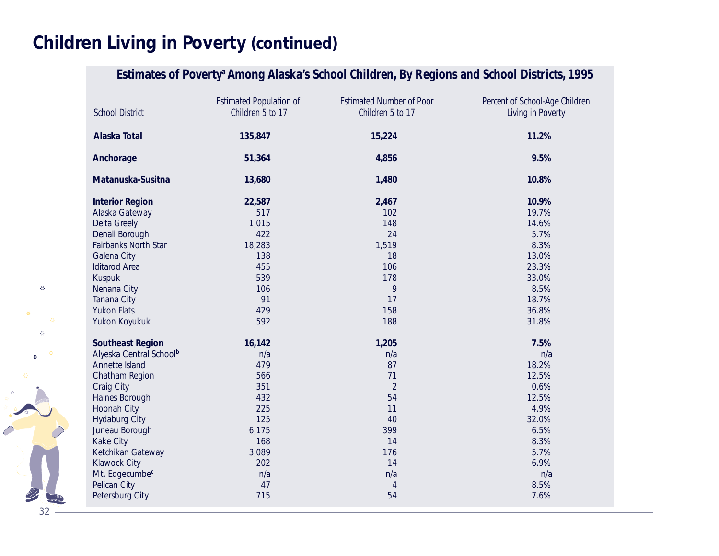# **Children Living in Poverty (continued)**

32

 $\boldsymbol{\mathcal{Z}}$ 

春  $\boldsymbol{\mathcal{U}}$ 

 $\langle \xi \rangle$  $\tilde{\Sigma}^2$ 

作

 $\sim$ 

|  |  | <b>Estimates of Poverty<sup>a</sup> Among Alaska's School Children, By Regions and School Districts, 1995</b> |  |
|--|--|---------------------------------------------------------------------------------------------------------------|--|
|--|--|---------------------------------------------------------------------------------------------------------------|--|

| <b>School District</b>     | <b>Estimated Population of</b><br>Children 5 to 17 | <b>Estimated Number of Poor</b><br>Children 5 to 17 | <b>Percent of School-Age Children</b><br><b>Living in Poverty</b> |
|----------------------------|----------------------------------------------------|-----------------------------------------------------|-------------------------------------------------------------------|
| <b>Alaska Total</b>        | 135,847                                            | 15,224                                              | 11.2%                                                             |
| Anchorage                  | 51,364                                             | 4,856                                               | 9.5%                                                              |
| Matanuska-Susitna          | 13,680                                             | 1,480                                               | 10.8%                                                             |
| <b>Interior Region</b>     | 22,587                                             | 2,467                                               | 10.9%                                                             |
| Alaska Gateway             | 517                                                | 102                                                 | 19.7%                                                             |
| <b>Delta Greely</b>        | 1,015                                              | 148                                                 | 14.6%                                                             |
| Denali Borough             | 422                                                | 24                                                  | 5.7%                                                              |
| Fairbanks North Star       | 18,283                                             | 1,519                                               | 8.3%                                                              |
| Galena City                | 138                                                | 18                                                  | 13.0%                                                             |
| <b>Iditarod Area</b>       | 455                                                | 106                                                 | 23.3%                                                             |
| Kuspuk                     | 539                                                | 178                                                 | 33.0%                                                             |
| Nenana City                | 106                                                | 9                                                   | 8.5%                                                              |
| Tanana City                | 91                                                 | 17                                                  | 18.7%                                                             |
| <b>Yukon Flats</b>         | 429                                                | 158                                                 | 36.8%                                                             |
| Yukon Koyukuk              | 592                                                | 188                                                 | 31.8%                                                             |
| <b>Southeast Region</b>    | 16,142                                             | 1,205                                               | 7.5%                                                              |
| Alyeska Central Schoolb    | n/a                                                | n/a                                                 | n/a                                                               |
| Annette Island             | 479                                                | 87                                                  | 18.2%                                                             |
| Chatham Region             | 566                                                | 71                                                  | 12.5%                                                             |
| Craig City                 | 351                                                | $\overline{2}$                                      | 0.6%                                                              |
| Haines Borough             | 432                                                | 54                                                  | 12.5%                                                             |
| Hoonah City                | 225                                                | 11                                                  | 4.9%                                                              |
| <b>Hydaburg City</b>       | 125                                                | 40                                                  | 32.0%                                                             |
| Juneau Borough             | 6,175                                              | 399                                                 | 6.5%                                                              |
| <b>Kake City</b>           | 168                                                | 14                                                  | 8.3%                                                              |
| Ketchikan Gateway          | 3,089                                              | 176                                                 | 5.7%                                                              |
| Klawock City               | 202                                                | 14                                                  | 6.9%                                                              |
| Mt. Edgecumbe <sup>c</sup> | n/a                                                | n/a                                                 | n/a                                                               |
| Pelican City               | 47                                                 | $\overline{4}$                                      | 8.5%                                                              |
| Petersburg City            | 715                                                | 54                                                  | 7.6%                                                              |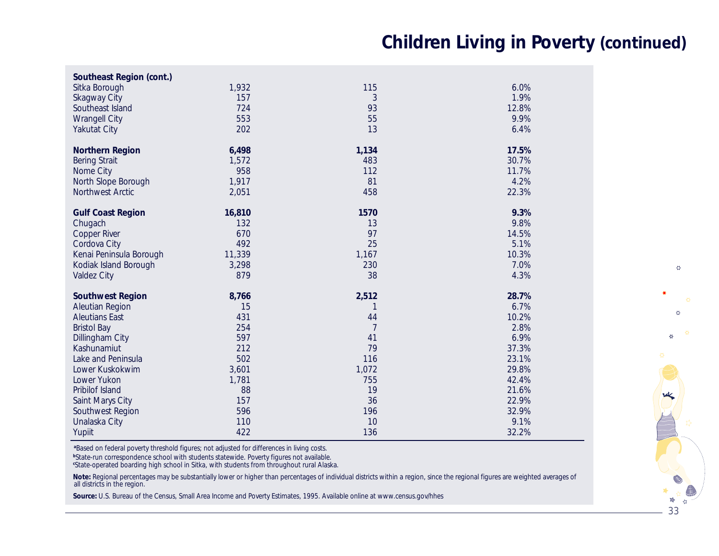### **Children Living in Poverty (continued)**

| Southeast Region (cont.) |        |                |       |
|--------------------------|--------|----------------|-------|
| Sitka Borough            | 1,932  | 115            | 6.0%  |
| Skagway City             | 157    | 3              | 1.9%  |
| Southeast Island         | 724    | 93             | 12.8% |
| <b>Wrangell City</b>     | 553    | 55             | 9.9%  |
| Yakutat City             | 202    | 13             | 6.4%  |
| <b>Northern Region</b>   | 6,498  | 1,134          | 17.5% |
| <b>Bering Strait</b>     | 1,572  | 483            | 30.7% |
| Nome City                | 958    | 112            | 11.7% |
| North Slope Borough      | 1,917  | 81             | 4.2%  |
| Northwest Arctic         | 2,051  | 458            | 22.3% |
| <b>Gulf Coast Region</b> | 16,810 | 1570           | 9.3%  |
| Chugach                  | 132    | 13             | 9.8%  |
| <b>Copper River</b>      | 670    | 97             | 14.5% |
| Cordova City             | 492    | 25             | 5.1%  |
| Kenai Peninsula Borough  | 11,339 | 1,167          | 10.3% |
| Kodiak Island Borough    | 3,298  | 230            | 7.0%  |
| <b>Valdez City</b>       | 879    | 38             | 4.3%  |
| <b>Southwest Region</b>  | 8,766  | 2,512          | 28.7% |
| Aleutian Region          | 15     | 1              | 6.7%  |
| <b>Aleutians East</b>    | 431    | 44             | 10.2% |
| <b>Bristol Bay</b>       | 254    | $\overline{7}$ | 2.8%  |
| Dillingham City          | 597    | 41             | 6.9%  |
| Kashunamiut              | 212    | 79             | 37.3% |
| Lake and Peninsula       | 502    | 116            | 23.1% |
| Lower Kuskokwim          | 3,601  | 1,072          | 29.8% |
| Lower Yukon              | 1,781  | 755            | 42.4% |
| Pribilof Island          | 88     | 19             | 21.6% |
| Saint Marys City         | 157    | 36             | 22.9% |
| Southwest Region         | 596    | 196            | 32.9% |
| Unalaska City            | 110    | 10             | 9.1%  |
| Yupiit                   | 422    | 136            | 32.2% |

**a** *Based on federal poverty threshold figures; not adjusted for differences in living costs.*

**<sup>b</sup>***State-run correspondence school with students statewide*. *Poverty figures not available.*

**c** S*tate-operated boarding high school in Sitka, with students from throughout rural Alaska.*

Note: Regional percentages may be substantially lower or higher than percentages of individual districts within a region, since the regional figures are weighted averages of all districts in the region.

**Source:** *U.S. Bureau of the Census,* Small Area Income and Poverty Estimates*,* 1995*. Available online at www.census.gov/hhes*

-8 登 z. 一致  $\Rightarrow$ 33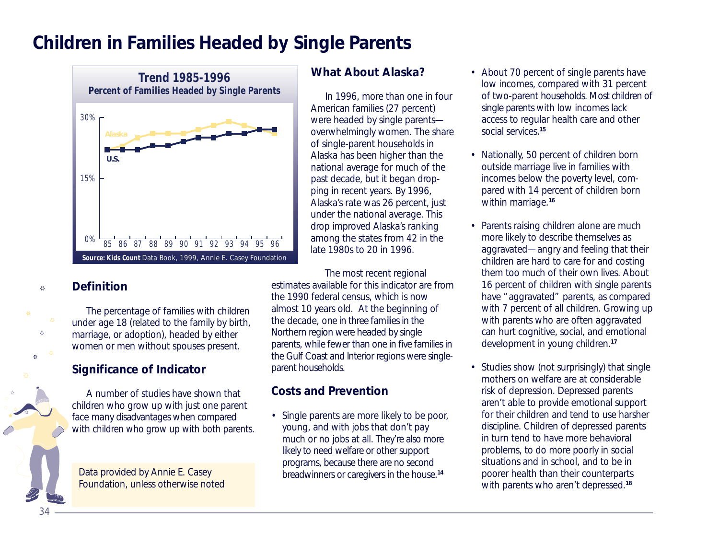### **Children in Families Headed by Single Parents**



#### **Definition**  $\boldsymbol{\mathcal{Q}}$

The percentage of families with children under age 18 (related to the family by birth, marriage, or adoption), headed by either women or men without spouses present.

### **Significance of Indicator**

A number of studies have shown that children who grow up with just one parent face many disadvantages when compared with children who grow up with both parents.

*Data provided by Annie E. Casey Foundation, unless otherwise noted*

### **What About Alaska?**

In 1996, more than one in four American families (27 percent) were headed by single parents overwhelmingly women. The share of single-parent households in Alaska has been higher than the national average for much of the past decade, but it began dropping in recent years. By 1996, Alaska's rate was 26 percent, just under the national average. This drop improved Alaska's ranking among the states from 42 in the late 1980s to 20 in 1996.

The most recent regional estimates available for this indicator are from the 1990 federal census, which is now almost 10 years old. At the beginning of the decade, one in three families in the Northern region were headed by single parents, while fewer than one in five families in the Gulf Coast and Interior regions were singleparent households.

### **Costs and Prevention**

• Single parents are more likely to be poor, young, and with jobs that don't pay much or no jobs at all. They're also more likely to need welfare or other support programs, because there are no second breadwinners or caregivers in the house.**<sup>14</sup>**

- About 70 percent of single parents have low incomes, compared with 31 percent of two-parent households. Most children of single parents with low incomes lack access to regular health care and other social services.**<sup>15</sup>**
- Nationally, 50 percent of children born outside marriage live in families with incomes below the poverty level, compared with 14 percent of children born within marriage.**<sup>16</sup>**
- Parents raising children alone are much more likely to describe themselves as aggravated—angry and feeling that their children are hard to care for and costing them too much of their own lives. About 16 percent of children with single parents have "aggravated" parents, as compared with 7 percent of all children. Growing up with parents who are often aggravated can hurt cognitive, social, and emotional development in young children.**<sup>17</sup>**
- Studies show (not surprisingly) that single mothers on welfare are at considerable risk of depression. Depressed parents aren't able to provide emotional support for their children and tend to use harsher discipline. Children of depressed parents in turn tend to have more behavioral problems, to do more poorly in social situations and in school, and to be in poorer health than their counterparts with parents who aren't depressed.**<sup>18</sup>**

春

Ò

첲  $\mathfrak{P}$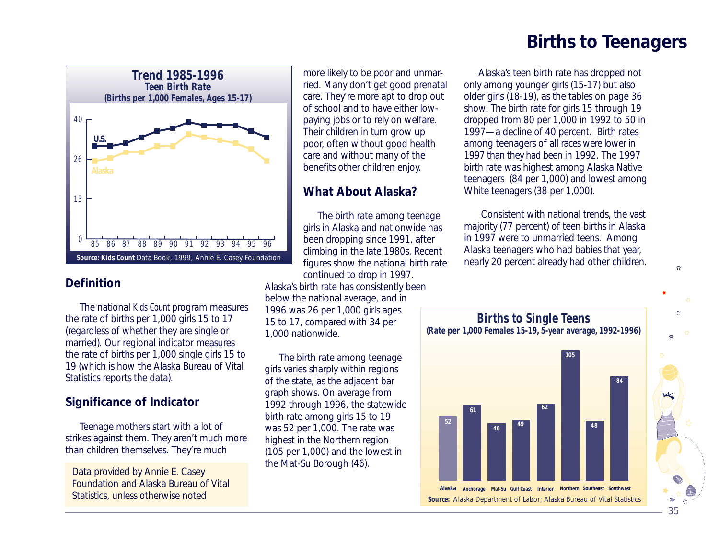



#### **Definition**

The national Kids Count program measures the rate of births per 1,000 girls 15 to 17 (regardless of whether they are single or married). Our regional indicator measures the rate of births per 1,000 *single* girls 15 to 19 (which is how the Alaska Bureau of Vital Statistics reports the data).

### **Significance of Indicator**

Teenage mothers start with a lot of strikes against them. They aren't much more than children themselves. They're much

*Data provided by Annie E. Casey Foundation and Alaska Bureau of Vital Statistics, unless otherwise noted*

more likely to be poor and unmarried. Many don't get good prenatal care. They're more apt to drop out of school and to have either lowpaying jobs or to rely on welfare. Their children in turn grow up poor, often without good health care and without many of the benefits other children enjoy.

### **What About Alaska?**

The birth rate among teenage girls in Alaska and nationwide has been dropping since 1991, after climbing in the late 1980s. Recent figures show the national birth rate continued to drop in 1997. Alaska's birth rate has consistently been

below the national average, and in 1996 was 26 per 1,000 girls ages 15 to 17, compared with 34 per 1,000 nationwide.

The birth rate among teenage girls varies sharply within regions of the state, as the adjacent bar graph shows. On average from 1992 through 1996, the statewide birth rate among girls 15 to 19 was 52 per 1,000. The rate was highest in the Northern region (105 per 1,000) and the lowest in the Mat-Su Borough (46).

Alaska's teen birth rate has dropped not only among younger girls (15-17) but also older girls (18-19), as the tables on page 36 show. The birth rate for girls 15 through 19 dropped from 80 per 1,000 in 1992 to 50 in 1997—a decline of 40 percent. Birth rates among teenagers of all races were lower in 1997 than they had been in 1992. The 1997 birth rate was highest among Alaska Native teenagers (84 per 1,000) and lowest among White teenagers (38 per 1,000).

 Consistent with national trends, the vast majority (77 percent) of teen births in Alaska in 1997 were to unmarried teens. Among Alaska teenagers who had babies that year, nearly 20 percent already had other children.



ø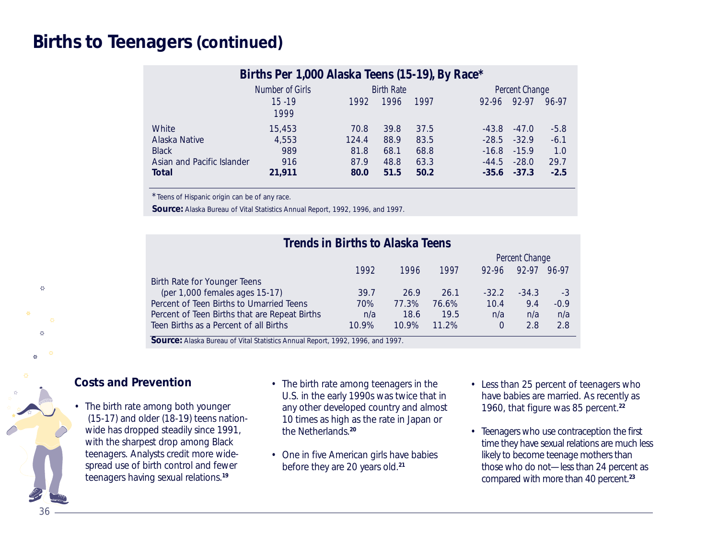### **Births to Teenagers (continued)**

| Births Per 1,000 Alaska Teens (15-19), By Race* |                   |                   |      |      |                       |         |        |  |  |  |  |
|-------------------------------------------------|-------------------|-------------------|------|------|-----------------------|---------|--------|--|--|--|--|
|                                                 | Number of Girls   | <b>Birth Rate</b> |      |      | <b>Percent Change</b> |         |        |  |  |  |  |
|                                                 | $15 - 19$<br>1999 | 1992              | 1996 | 1997 | 92-96                 | 92-97   | 96-97  |  |  |  |  |
|                                                 |                   |                   |      |      |                       |         |        |  |  |  |  |
| <b>White</b>                                    | 15,453            | 70.8              | 39.8 | 37.5 | -43.8                 | $-47.0$ | $-5.8$ |  |  |  |  |
| Alaska Native                                   | 4,553             | 124.4             | 88.9 | 83.5 | $-28.5$               | $-32.9$ | $-6.1$ |  |  |  |  |
| <b>Black</b>                                    | 989               | 81.8              | 68.1 | 68.8 | $-16.8$               | $-15.9$ | 1.0    |  |  |  |  |
| Asian and Pacific Islander                      | 916               | 87.9              | 48.8 | 63.3 | $-44.5$               | $-28.0$ | 29.7   |  |  |  |  |
| Total                                           | 21,911            | 80.0              | 51.5 | 50.2 | $-35.6$               | $-37.3$ | $-2.5$ |  |  |  |  |

\**Teens of Hispanic origin can be of any race.*

**Source:** *Alaska Bureau of Vital Statistics* Annual Report, *1992, 1996, and 1997.*

| <b>Trends in Births to Alaska Teens</b>                               |       |                       |          |         |         |        |  |  |  |  |  |
|-----------------------------------------------------------------------|-------|-----------------------|----------|---------|---------|--------|--|--|--|--|--|
|                                                                       |       | <b>Percent Change</b> |          |         |         |        |  |  |  |  |  |
|                                                                       | 1992  | 1996                  | 1997     | 92-96   | 92-97   | 96-97  |  |  |  |  |  |
| Birth Rate for Younger Teens                                          |       |                       |          |         |         |        |  |  |  |  |  |
| (per 1,000 females ages 15-17)                                        | 39.7  | 26.9                  | 26.1     | $-32.2$ | $-34.3$ | -3     |  |  |  |  |  |
| Percent of Teen Births to Umarried Teens                              | 70%   | 77.3%                 | 76.6%    | 10.4    | 9.4     | $-0.9$ |  |  |  |  |  |
| Percent of Teen Births that are Repeat Births                         | n/a   | 18.6                  | 19.5     | n/a     | n/a     | n/a    |  |  |  |  |  |
| Teen Births as a Percent of all Births                                | 10.9% | $10.9\%$              | $11.2\%$ | O       | 2.8     | 2.8    |  |  |  |  |  |
| Course Alube Burrow of U. Chatleting Assembly and 1992-1994, and 1997 |       |                       |          |         |         |        |  |  |  |  |  |

**Source:** *Alaska Bureau of Vital Statistics* Annual Report, *1992, 1996, and 1997.*

### **Costs and Prevention**

- The birth rate among both younger (15-17) and older (18-19) teens nationwide has dropped steadily since 1991, with the sharpest drop among Black teenagers. Analysts credit more widespread use of birth control and fewer teenagers having sexual relations.**<sup>19</sup>**
- The birth rate among teenagers in the U.S. in the early 1990s was twice that in any other developed country and almost 10 times as high as the rate in Japan or the Netherlands.**<sup>20</sup>**
- One in five American girls have babies before they are 20 years old.**<sup>21</sup>**
- Less than 25 percent of teenagers who have babies are married. As recently as 1960, that figure was 85 percent.**<sup>22</sup>**
- Teenagers who use contraception the first time they have sexual relations are much less likely to become teenage mothers than those who do not—less than 24 percent as compared with more than 40 percent.**<sup>23</sup>**

 $\heartsuit$ 

**各** 

参 ね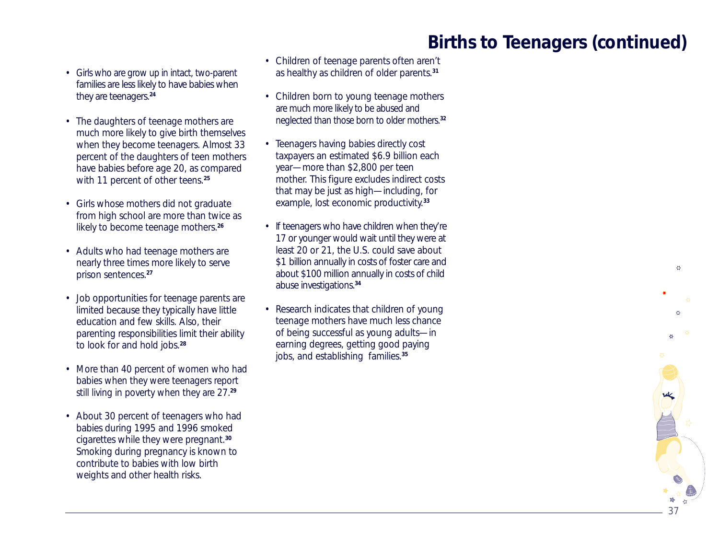## **Births to Teenagers (continued)**

- Girls who are grow up in intact, two-parent families are less likely to have babies when they are teenagers.**<sup>24</sup>**
- The daughters of teenage mothers are much more likely to give birth themselves when they become teenagers. Almost 33 percent of the daughters of teen mothers have babies before age 20, as compared with 11 percent of other teens.**<sup>25</sup>**
- Girls whose mothers did not graduate from high school are more than twice as likely to become teenage mothers.**<sup>26</sup>**
- Adults who had teenage mothers are nearly three times more likely to serve prison sentences.**<sup>27</sup>**
- Job opportunities for teenage parents are limited because they typically have little education and few skills. Also, their parenting responsibilities limit their ability to look for and hold jobs.**<sup>28</sup>**
- More than 40 percent of women who had babies when they were teenagers report still living in poverty when they are 27.**<sup>29</sup>**
- About 30 percent of teenagers who had babies during 1995 and 1996 smoked cigarettes while they were pregnant.**<sup>30</sup>** Smoking during pregnancy is known to contribute to babies with low birth weights and other health risks.
- Children of teenage parents often aren't as healthy as children of older parents.**<sup>31</sup>**
- Children born to young teenage mothers are much more likely to be abused and neglected than those born to older mothers.**<sup>32</sup>**
- Teenagers having babies directly cost taxpayers an estimated \$6.9 billion each year—more than \$2,800 per teen mother. This figure excludes indirect costs that may be just as high—including, for example, lost economic productivity.**<sup>33</sup>**
- If teenagers who have children when they're 17 or younger would wait until they were at least 20 or 21, the U.S. could save about \$1 billion annually in costs of foster care and about \$100 million annually in costs of child abuse investigations.**<sup>34</sup>**
- Research indicates that children of young teenage mothers have much less chance of being successful as young adults—in earning degrees, getting good paying jobs, and establishing families.**<sup>35</sup>**

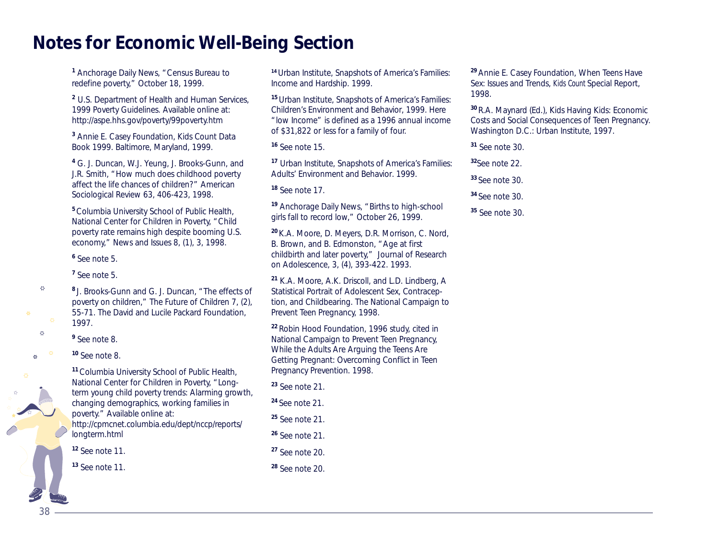### **Notes for Economic Well-Being Section**

**1**  *Anchorage Daily News*, "Census Bureau to redefine poverty," October 18, 1999.

**<sup>2</sup>** U.S. Department of Health and Human Services, *1999 Poverty Guidelines*. Available online at: http://aspe.hhs.gov/poverty/99poverty.htm

**3** Annie E. Casey Foundation, *Kids Count Data Book* 1999. Baltimore, Maryland, 1999.

**4** G. J. Duncan, W.J. Yeung, J. Brooks-Gunn, and J.R. Smith, "How much does childhood poverty affect the life chances of children?" *American Sociological Review* 63, 406-423, 1998.

**<sup>5</sup>**Columbia University School of Public Health, National Center for Children in Poverty, "Child poverty rate remains high despite booming U.S. economy," *News and Issues 8,* (1), 3, 1998.

**6** See note 5.

**7** See note 5.

**<sup>8</sup>**J. Brooks-Gunn and G. J. Duncan, "The effects of poverty on children," *The Future of Children 7*, (2), 55-71. The David and Lucile Packard Foundation, 1997.

**9** See note 8.

**<sup>10</sup>** See note 8.

**<sup>11</sup>**Columbia University School of Public Health, National Center for Children in Poverty, "Longterm young child poverty trends: Alarming growth, changing demographics, working families in poverty." Available online at: http://cpmcnet.columbia.edu/dept/nccp/reports/ longterm.html

**<sup>12</sup>** See note 11.

**<sup>13</sup>** See note 11.

38

 $\boldsymbol{\mathcal{Z}}$ 

春  $\boldsymbol{\mathcal{U}}$ 

春

 $\Sigma$ 

츊

**<sup>14</sup>**Urban Institute, *Snapshots of America's Families: Income and Hardship*. 1999.

**<sup>15</sup>**Urban Institute, *Snapshots of America's Families: Children's Environment and Behavior*, 1999. Here "low Income" is defined as a 1996 annual income of \$31,822 or less for a family of four.

**<sup>16</sup>** See note 15.

**<sup>17</sup>** Urban Institute, *Snapshots of America's Families: Adults' Environment and Behavior*. 1999.

**<sup>18</sup>** See note 17.

**<sup>19</sup>** *Anchorage Daily News,* "Births to high-school girls fall to record low," October 26, 1999.

**<sup>20</sup>**K.A. Moore, D. Meyers, D.R. Morrison, C. Nord, B. Brown, and B. Edmonston, "Age at first childbirth and later poverty," *Journal of Research on Adolescence*, 3, (4), 393-422. 1993.

**<sup>21</sup>** K.A. Moore, A.K. Driscoll, and L.D. Lindberg, *A Statistical Portrait of Adolescent Sex, Contraception, and Childbearing*. The National Campaign to Prevent Teen Pregnancy, 1998.

**<sup>22</sup>**Robin Hood Foundation, 1996 study, cited in National Campaign to Prevent Teen Pregnancy, *While the Adults Are Arguing the Teens Are Getting Pregnant: Overcoming Conflict in Teen Pregnancy Prevention*. 1998.

**<sup>23</sup>** See note 21.

**<sup>24</sup>**See note 21.

- **<sup>25</sup>** See note 21.
- **<sup>26</sup>** See note 21.
- **<sup>27</sup>** See note 20.
- **<sup>28</sup>** See note 20.

**<sup>29</sup>**Annie E. Casey Foundation, *When Teens Have Sex: Issues and Trends*, Kids Count Special Report, 1998.

**<sup>30</sup>**R.A. Maynard (Ed.), *Kids Having Kids: Economic Costs and Social Consequences of Teen Pregnancy*. Washington D.C.: Urban Institute, 1997.

**<sup>31</sup>** See note 30.

**<sup>32</sup>**See note 22.

**<sup>33</sup>** See note 30.

**<sup>34</sup>**See note 30.

**<sup>35</sup>** See note 30.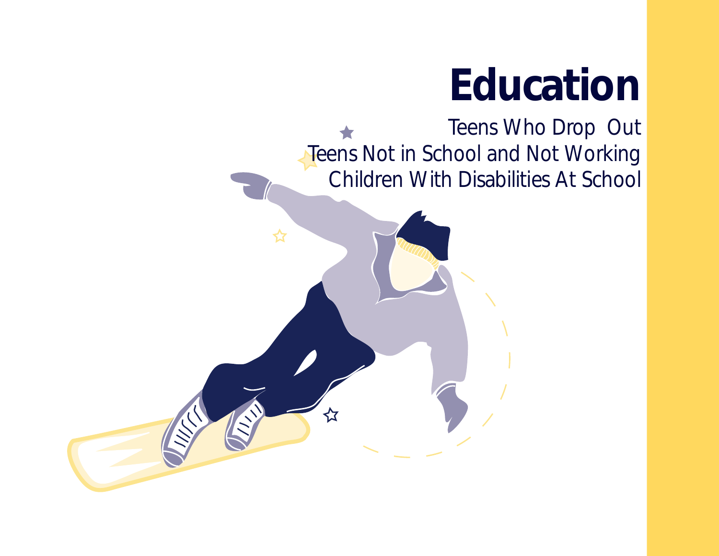# **Education**

Teens Who Drop Out Teens Not in School and Not Working Children With Disabilities At School

☆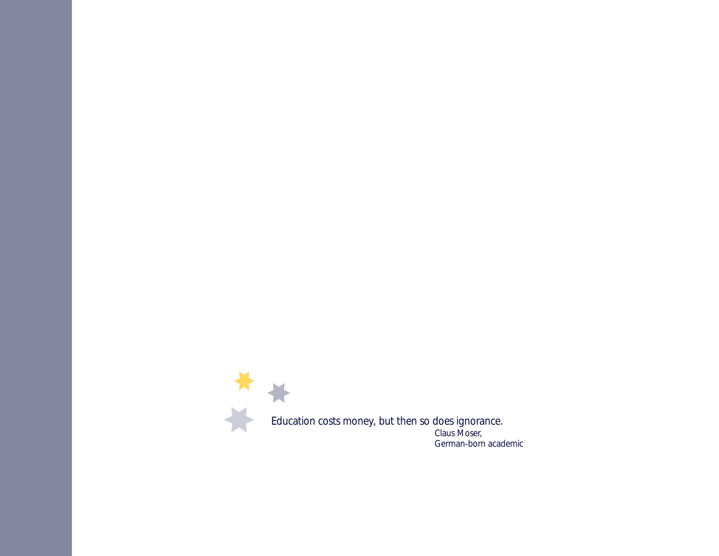

*Education costs money, but then so does ignorance. Claus Moser, German-born academic*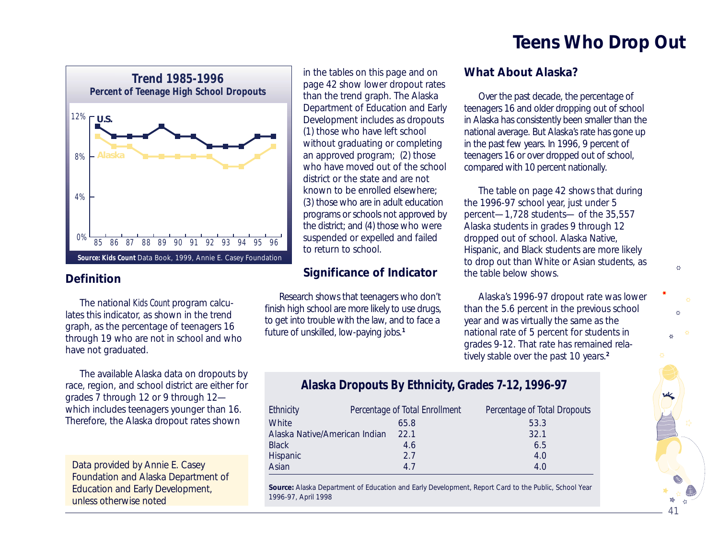



#### **Definition**

The national Kids Count program calculates this indicator, as shown in the trend graph, as the percentage of teenagers 16 through 19 who are not in school and who have not graduated.

The available Alaska data on dropouts by race, region, and school district are either for grades 7 through 12 or 9 through 12 which includes teenagers younger than 16. Therefore, the Alaska dropout rates shown

*Data provided by Annie E. Casey Foundation and Alaska Department of Education and Early Development, unless otherwise noted*

in the tables on this page and on page 42 show lower dropout rates than the trend graph. The Alaska Department of Education and Early Development includes as dropouts (1) those who have left school without graduating or completing an approved program; (2) those who have moved out of the school district or the state and are not known to be enrolled elsewhere; (3) those who are in adult education programs or schools not approved by the district; and (4) those who were suspended or expelled and failed to return to school.

#### **Significance of Indicator**

Research shows that teenagers who don't finish high school are more likely to use drugs, to get into trouble with the law, and to face a future of unskilled, low-paying jobs.**<sup>1</sup>**

#### **What About Alaska?**

Over the past decade, the percentage of teenagers 16 and older dropping out of school in Alaska has consistently been smaller than the national average. But Alaska's rate has gone up in the past few years. In 1996, 9 percent of teenagers 16 or over dropped out of school, compared with 10 percent nationally.

The table on page 42 shows that during the 1996-97 school year, just under 5 percent—1,728 students— of the 35,557 Alaska students in grades 9 through 12 dropped out of school. Alaska Native, Hispanic, and Black students are more likely to drop out than White or Asian students, as the table below shows.

Alaska's 1996-97 dropout rate was lower than the 5.6 percent in the previous school year and was virtually the same as the national rate of 5 percent for students in grades 9-12. That rate has remained relatively stable over the past 10 years.**<sup>2</sup>**

41

 $\heartsuit$ 

ŏ

 $\tilde{\mathbb{X}}$ 

#### **Alaska Dropouts By Ethnicity, Grades 7-12, 1996-97**

| <b>Ethnicity</b>              | <b>Percentage of Total Enrollment</b> | <b>Percentage of Total Dropouts</b> |
|-------------------------------|---------------------------------------|-------------------------------------|
| White                         | 65.8                                  | 53.3                                |
| Alaska Native/American Indian | $221$                                 | 32.1                                |
| <b>Black</b>                  | 4.6                                   | 6.5                                 |
| Hispanic                      | 27                                    | 4.0                                 |
| Asian                         | 4.7                                   | 4.0                                 |

**Source:** *Alaska Department of Education and Early Development,* Report Card to the Public, School Year 1996-97, *April 1998*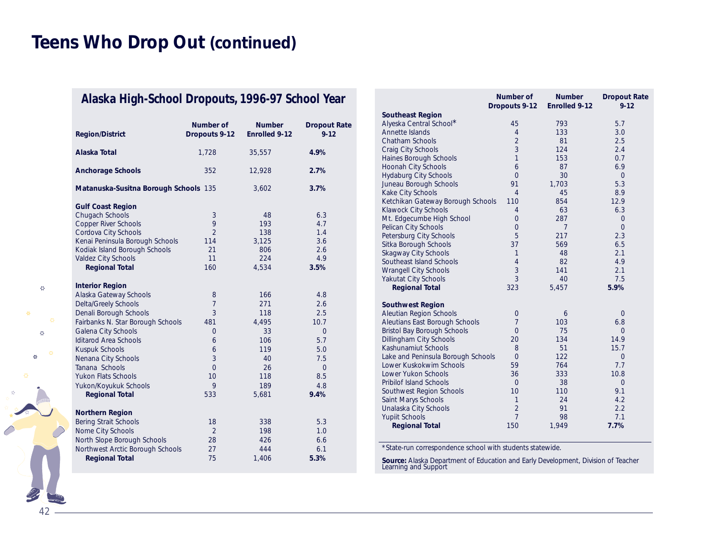## **Teens Who Drop Out (continued)**

### **Alaska High-School Dropouts, 1996-97 School Year**

| <b>Region/District</b>                | <b>Number of</b><br>Dropouts 9-12 | <b>Number</b><br><b>Enrolled 9-12</b> | <b>Dropout Rate</b><br>$9 - 12$ |
|---------------------------------------|-----------------------------------|---------------------------------------|---------------------------------|
| Alaska Total                          | 1,728                             | 35,557                                | 4.9%                            |
| <b>Anchorage Schools</b>              | 352                               | 12,928                                | 2.7%                            |
| Matanuska-Susitna Borough Schools 135 |                                   | 3,602                                 | 3.7%                            |
| <b>Gulf Coast Region</b>              |                                   |                                       |                                 |
| Chugach Schools                       | 3                                 | 48                                    | 6.3                             |
| <b>Copper River Schools</b>           | 9                                 | 193                                   | 4.7                             |
| Cordova City Schools                  | $\mathfrak{D}$                    | 138                                   | 1.4                             |
| Kenai Peninsula Borough Schools       | 114                               | 3,125                                 | 3.6                             |
| Kodiak Island Borough Schools         | 21                                | 806                                   | 2.6                             |
| Valdez City Schools                   | 11                                | 224                                   | 4.9                             |
| <b>Regional Total</b>                 | 160                               | 4,534                                 | 3.5%                            |
| <b>Interior Region</b>                |                                   |                                       |                                 |
| Alaska Gateway Schools                | 8                                 | 166                                   | 4.8                             |
| Delta/Greely Schools                  | $\overline{7}$                    | 271                                   | 2.6                             |
| Denali Borough Schools                | 3                                 | 118                                   | 2.5                             |
| Fairbanks N. Star Borough Schools     | 481                               | 4,495                                 | 10.7                            |
| Galena City Schools                   | 0                                 | 33                                    | 0                               |
| <b>Iditarod Area Schools</b>          | 6                                 | 106                                   | 5.7                             |
| <b>Kuspuk Schools</b>                 | 6                                 | 119                                   | 5.0                             |
| Nenana City Schools                   | 3                                 | 40                                    | 7.5                             |
| Tanana Schools                        | $\Omega$                          | 26                                    | $\overline{0}$                  |
| <b>Yukon Flats Schools</b>            | 10                                | 118                                   | 8.5                             |
| Yukon/Koyukuk Schools                 | 9                                 | 189                                   | 4.8                             |
| <b>Regional Total</b>                 | 533                               | 5,681                                 | 9.4%                            |
| <b>Northern Region</b>                |                                   |                                       |                                 |
| <b>Bering Strait Schools</b>          | 18                                | 338                                   | 5.3                             |
| Nome City Schools                     | $\overline{2}$                    | 198                                   | 1.0                             |
| North Slope Borough Schools           | 28                                | 426                                   | 6.6                             |
| Northwest Arctic Borough Schools      | 27                                | 444                                   | 6.1                             |
| <b>Regional Total</b>                 | 75                                | 1,406                                 | 5.3%                            |

42

 $\mathfrak{P}$ 

登  $\boldsymbol{\mathcal{U}}$ 

 $\langle \cdot \rangle$  $\sum_{k=1}^{n}$ 

苍

|                                    | <b>Number of</b><br>Dropouts 9-12 | <b>Number</b><br><b>Enrolled 9-12</b> | <b>Dropout Rate</b><br>$9 - 12$ |
|------------------------------------|-----------------------------------|---------------------------------------|---------------------------------|
| <b>Southeast Region</b>            |                                   |                                       |                                 |
| Alyeska Central School*            | 45                                | 793                                   | 5.7                             |
| Annette Islands                    | 4                                 | 133                                   | 3.0                             |
| <b>Chatham Schools</b>             | $\overline{2}$                    | 81                                    | 2.5                             |
| <b>Craig City Schools</b>          | 3                                 | 124                                   | 2.4                             |
| Haines Borough Schools             | $\overline{1}$                    | 153                                   | 0.7                             |
| <b>Hoonah City Schools</b>         | 6                                 | 87                                    | 6.9                             |
| <b>Hydaburg City Schools</b>       | $\overline{0}$                    | 30                                    | $\overline{0}$                  |
| Juneau Borough Schools             | 91                                | 1,703                                 | 5.3                             |
| Kake City Schools                  | 4                                 | 45                                    | 8.9                             |
| Ketchikan Gateway Borough Schools  | 110                               | 854                                   | 12.9                            |
| Klawock City Schools               | 4                                 | 63                                    | 6.3                             |
| Mt. Edgecumbe High School          | $\Omega$                          | 287                                   | 0                               |
| Pelican City Schools               | 0                                 | 7                                     | $\overline{0}$                  |
| Petersburg City Schools            | 5                                 | 217                                   | 2.3                             |
| Sitka Borough Schools              | 37                                | 569                                   | 6.5                             |
| Skagway City Schools               | 1                                 | 48                                    | 2.1                             |
| Southeast Island Schools           | $\overline{4}$                    | 82                                    | 4.9                             |
| <b>Wrangell City Schools</b>       | 3                                 | 141                                   | 2.1                             |
| Yakutat City Schools               | 3                                 | 40                                    | 7.5                             |
| <b>Regional Total</b>              | 323                               | 5,457                                 | 5.9%                            |
| <b>Southwest Region</b>            |                                   |                                       |                                 |
| Aleutian Region Schools            | $\overline{0}$                    | 6                                     | 0                               |
| Aleutians East Borough Schools     | $\overline{7}$                    | 103                                   | 6.8                             |
| <b>Bristol Bay Borough Schools</b> | $\Omega$                          | 75                                    | 0                               |
| Dillingham City Schools            | 20                                | 134                                   | 14.9                            |
| Kashunamiut Schools                | 8                                 | 51                                    | 15.7                            |
| Lake and Peninsula Borough Schools | $\Omega$                          | 122                                   | 0                               |
| Lower Kuskokwim Schools            | 59                                | 764                                   | 7.7                             |
| Lower Yukon Schools                | 36                                | 333                                   | 10.8                            |
| <b>Pribilof Island Schools</b>     | $\Omega$                          | 38                                    | $\overline{0}$                  |
| Southwest Region Schools           | 10                                | 110                                   | 9.1                             |
| Saint Marys Schools                | 1                                 | 24                                    | 4.2                             |
| Unalaska City Schools              | $\overline{2}$                    | 91                                    | 2.2                             |
| <b>Yupiit Schools</b>              | $\overline{7}$                    | 98                                    | 7.1                             |
| <b>Regional Total</b>              | 150                               | 1,949                                 | 7.7%                            |

\**State-run correspondence school with students statewide.*

**Source:** *Alaska Department of Education and Early Development, Division of Teacher Learning and Support*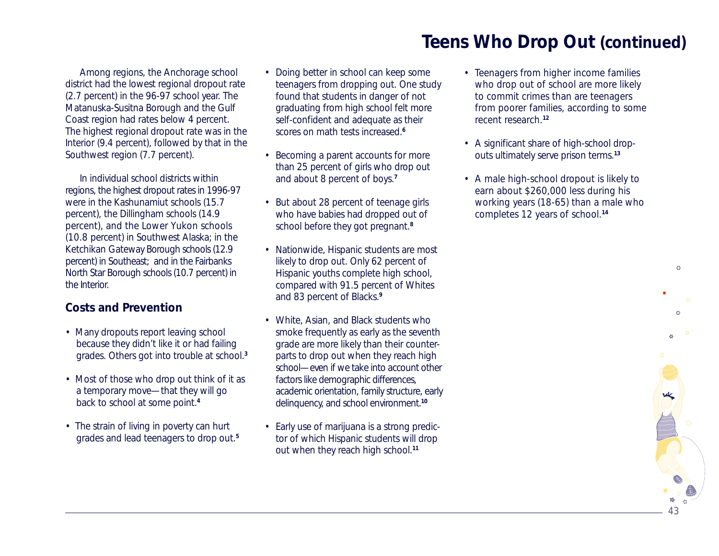## **Teens Who Drop Out (continued)**

Among regions, the Anchorage school district had the lowest regional dropout rate (2.7 percent) in the 96-97 school year. The Matanuska-Susitna Borough and the Gulf Coast region had rates below 4 percent. The highest regional dropout rate was in the Interior (9.4 percent), followed by that in the Southwest region (7.7 percent).

In individual school districts within regions, the highest dropout rates in 1996-97 were in the Kashunamiut schools (15.7 percent), the Dillingham schools (14.9 percent), and the Lower Yukon schools (10.8 percent) in Southwest Alaska; in the Ketchikan Gateway Borough schools (12.9 percent) in Southeast; and in the Fairbanks North Star Borough schools (10.7 percent) in the Interior.

#### **Costs and Prevention**

- Many dropouts report leaving school because they didn't like it or had failing grades. Others got into trouble at school.**<sup>3</sup>**
- Most of those who drop out think of it as a temporary move—that they will go back to school at some point.**<sup>4</sup>**
- The strain of living in poverty can hurt grades and lead teenagers to drop out.**<sup>5</sup>**
- Doing better in school can keep some teenagers from dropping out. One study found that students in danger of not graduating from high school felt more self-confident and adequate as their scores on math tests increased.**<sup>6</sup>**
- Becoming a parent accounts for more than 25 percent of girls who drop out and about 8 percent of boys.**<sup>7</sup>**
- But about 28 percent of teenage girls who have babies had dropped out of school *before* they got pregnant.**<sup>8</sup>**
- Nationwide, Hispanic students are most likely to drop out. Only 62 percent of Hispanic youths complete high school, compared with 91.5 percent of Whites and 83 percent of Blacks.**<sup>9</sup>**
- White, Asian, and Black students who smoke frequently as early as the seventh grade are more likely than their counterparts to drop out when they reach high school—even if we take into account other factors like demographic differences, academic orientation, family structure, early delinquency, and school environment.**<sup>10</sup>**
- Early use of marijuana is a strong predictor of which Hispanic students will drop out when they reach high school.**<sup>11</sup>**
- Teenagers from higher income families who drop out of school are more likely to commit crimes than are teenagers from poorer families, according to some recent research.**<sup>12</sup>**
- A significant share of high-school dropouts ultimately serve prison terms.**<sup>13</sup>**
- A male high-school dropout is likely to earn about \$260,000 less during his working years (18-65) than a male who completes 12 years of school.**14**

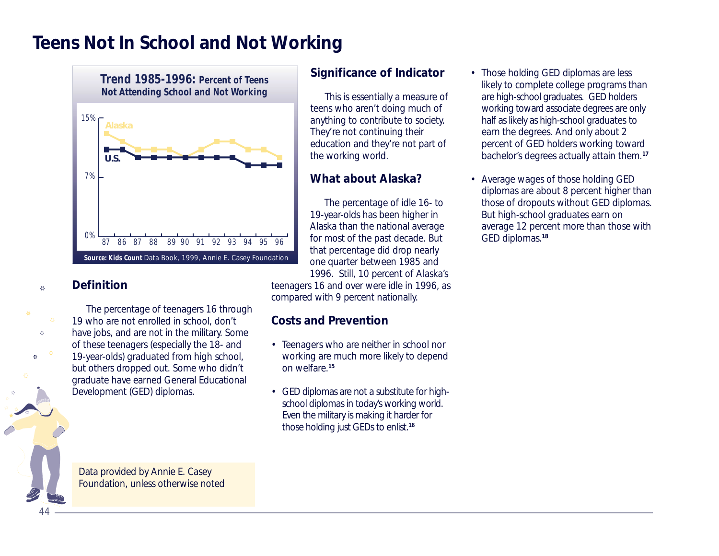## **Teens Not In School and Not Working**



#### **Definition**  $\boldsymbol{\mathcal{Z}}$

苍  $\boldsymbol{\mathcal{U}}$ 

ð.

The percentage of teenagers 16 through 19 who are not enrolled in school, don't have jobs, and are not in the military. Some of these teenagers (especially the 18- and 19-year-olds) graduated from high school, but others dropped out. Some who didn't graduate have earned General Educational Development (GED) diplomas.

#### **Significance of Indicator**

This is essentially a measure of teens who aren't doing much of anything to contribute to society. They're not continuing their education and they're not part of the working world.

#### **What about Alaska?**

The percentage of idle 16- to 19-year-olds has been higher in Alaska than the national average for most of the past decade. But that percentage did drop nearly one quarter between 1985 and 1996. Still, 10 percent of Alaska's

teenagers 16 and over were idle in 1996, as compared with 9 percent nationally.

#### **Costs and Prevention**

- Teenagers who are neither in school nor working are much more likely to depend on welfare.**<sup>15</sup>**
- GED diplomas are not a substitute for highschool diplomas in today's working world. Even the military is making it harder for those holding just GEDs to enlist.**<sup>16</sup>**
- Those holding GED diplomas are less likely to complete college programs than are high-school graduates. GED holders working toward associate degrees are only half as likely as high-school graduates to earn the degrees. And only about 2 percent of GED holders working toward bachelor's degrees actually attain them.**<sup>17</sup>**
- Average wages of those holding GED diplomas are about 8 percent higher than those of dropouts without GED diplomas. But high-school graduates earn on average 12 percent more than those with GED diplomas.**18**

*Data provided by Annie E. Casey Foundation, unless otherwise noted*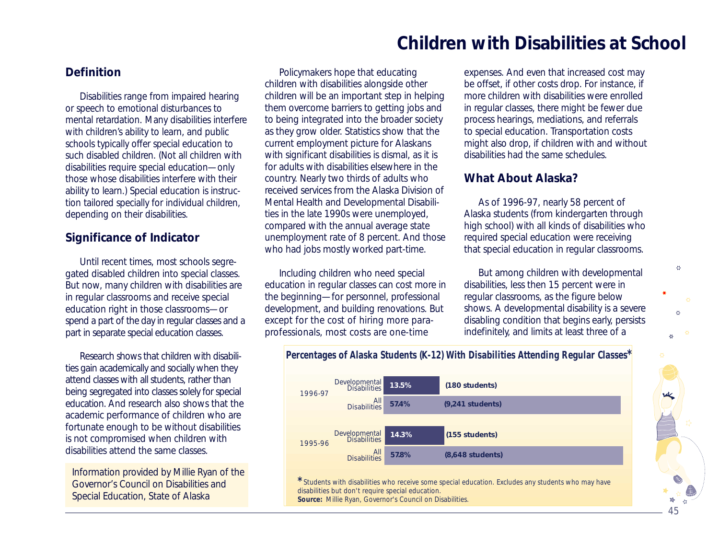## **Children with Disabilities at School**

#### **Definition**

Disabilities range from impaired hearing or speech to emotional disturbances to mental retardation. Many disabilities interfere with children's ability to learn, and public schools typically offer special education to such disabled children. (Not all children with disabilities require special education—only those whose disabilities interfere with their ability to learn.) Special education is instruction tailored specially for individual children, depending on their disabilities.

#### **Significance of Indicator**

Until recent times, most schools segregated disabled children into special classes. But now, many children with disabilities are in regular classrooms and receive special education right in those classrooms—or spend a part of the day in regular classes and a part in separate special education classes.

Research shows that children with disabilities gain academically and socially when they attend classes with all students, rather than being segregated into classes solely for special education. And research also shows that the academic performance of children who are fortunate enough to be without disabilities is not compromised when children with disabilities attend the same classes.

*Information provided by Millie Ryan of the Governor's Council on Disabilities and Special Education, State of Alaska*

Policymakers hope that educating children with disabilities alongside other children will be an important step in helping them overcome barriers to getting jobs and to being integrated into the broader society as they grow older. Statistics show that the current employment picture for Alaskans with significant disabilities is dismal, as it is for adults with disabilities elsewhere in the country. Nearly two thirds of adults who received services from the Alaska Division of Mental Health and Developmental Disabilities in the late 1990s were unemployed, compared with the annual average state unemployment rate of 8 percent. And those who had jobs mostly worked part-time.

Including children who need special education in regular classes can cost more in the beginning—for personnel, professional development, and building renovations. But except for the cost of hiring more paraprofessionals, most costs are one-time

expenses. And even that increased cost may be offset, if other costs drop. For instance, if more children with disabilities were enrolled in regular classes, there might be fewer due process hearings, mediations, and referrals to special education. Transportation costs might also drop, if children with and without disabilities had the same schedules.

#### **What About Alaska?**

As of 1996-97, nearly 58 percent of Alaska students (from kindergarten through high school) with all kinds of disabilities who required special education were receiving that special education in regular classrooms.

But among children with *developmental* disabilities, less then 15 percent were in regular classrooms, as the figure below shows. A developmental disability is a severe disabling condition that begins early, persists indefinitely, and limits at least three of a

45

 $\mathbb{R}$ 

 $\heartsuit$ 

쓶

k) ŏ



#### **Percentages of Alaska Students (K-12) With Disabilities Attending Regular Classes\***

*disabilities but don't require special education.*  **Source:** *Millie Ryan, Governor's Council on Disabilities.*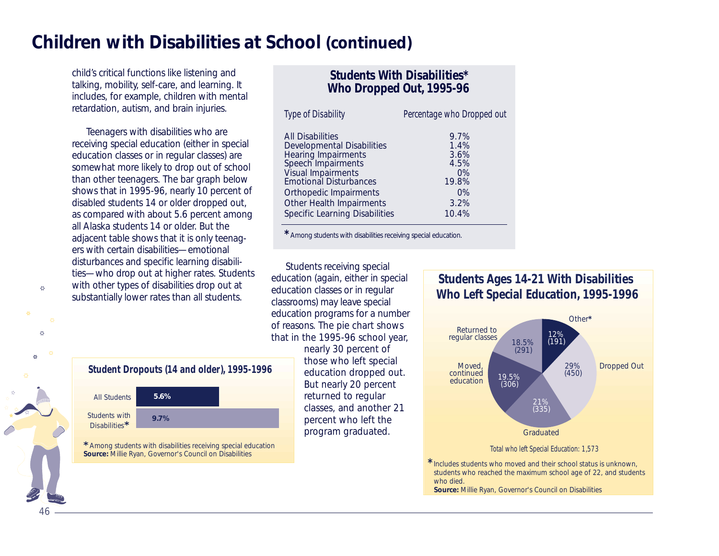## **Children with Disabilities at School (continued)**

child's critical functions like listening and talking, mobility, self-care, and learning. It includes, for example, children with mental retardation, autism, and brain injuries.

Teenagers with disabilities who are receiving special education (either in special education classes or in regular classes) are somewhat more likely to drop out of school than other teenagers. The bar graph below shows that in 1995-96, nearly 10 percent of disabled students 14 or older dropped out, as compared with about 5.6 percent among all Alaska students 14 or older. But the adjacent table shows that it is only teenagers with certain disabilities—emotional disturbances and specific learning disabilities—who drop out at higher rates. Students with other types of disabilities drop out at substantially *lower* rates than all students.

#### **Students With Disabilities\* Who Dropped Out, 1995-96**

| <b>Type of Disability</b>             | Percentage who Dropped out |
|---------------------------------------|----------------------------|
| <b>All Disabilities</b>               | 9.7%                       |
| <b>Developmental Disabilities</b>     | 1.4%                       |
| Hearing Impairments                   | 3.6%                       |
| Speech Impairments                    | 4.5%                       |
| Visual Impairments                    | 0%                         |
| <b>Emotional Disturbances</b>         | 19.8%                      |
| Orthopedic Impairments                | $0\%$                      |
| Other Health Impairments              | 3.2%                       |
| <b>Specific Learning Disabilities</b> | 10.4%                      |

**\****Among students with disabilities receiving special education.*

Students receiving special education (again, either in special education classes or in regular classrooms) may leave special education programs for a number of reasons. The pie chart shows that in the 1995-96 school year,

nearly 30 percent of those who left special education dropped out. But nearly 20 percent returned to regular classes, and another 21 percent who left the program graduated.

#### **Students Ages 14-21 With Disabilities Who Left Special Education, 1995-1996**



#### **Student Dropouts (14 and older), 1995-1996**

| <b>All Students</b>                        | 5.6% |  |
|--------------------------------------------|------|--|
| Students with<br>Disabilities <sup>*</sup> | 9.7% |  |

**\****Among students with disabilities receiving special education* **Source:** *Millie Ryan, Governor's Council on Disabilities*

46

 $\boldsymbol{\mathcal{Z}}$ 

쯙

츊

证 ね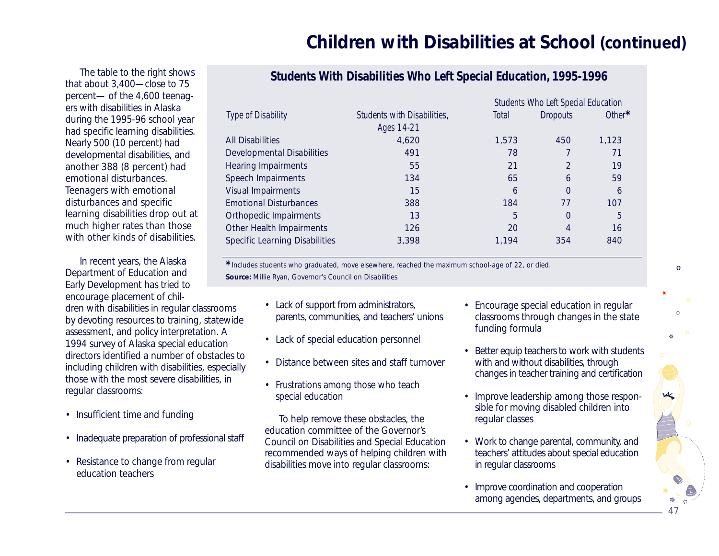## **Children with Disabilities at School (continued)**

The table to the right shows that about 3,400—close to 75 percent— of the 4,600 teenagers with disabilities in Alaska during the 1995-96 school year had specific learning disabilities. Nearly 500 (10 percent) had developmental disabilities, and another 388 (8 percent) had emotional disturbances. Teenagers with emotional disturbances and specific learning disabilities drop out at much higher rates than those with other kinds of disabilities.

In recent years, the Alaska Department of Education and Early Development has tried to encourage placement of chil-

dren with disabilities in regular classrooms by devoting resources to training, statewide assessment, and policy interpretation. A 1994 survey of Alaska special education directors identified a number of obstacles to including children with disabilities, especially those with the most severe disabilities, in regular classrooms:

- Insufficient time and funding
- Inadequate preparation of professional staff
- Resistance to change from regular education teachers

#### **Students With Disabilities Who Left Special Education, 1995-1996**

|            | <b>Total</b> | <b>Dropouts</b>                    | Other*                                     |
|------------|--------------|------------------------------------|--------------------------------------------|
| Ages 14-21 |              |                                    |                                            |
| 4,620      | 1,573        | 450                                | 1,123                                      |
| 491        | 78           |                                    | 71                                         |
| 55         | 21           |                                    | 19                                         |
| 134        | 65           | 6                                  | 59                                         |
| 15         | 6            | $\Omega$                           | 6                                          |
| 388        | 184          | 77                                 | 107                                        |
| 13         | 5            | $\Omega$                           | 5                                          |
| 126        | 20           | 4                                  | 16                                         |
| 3,398      | 1,194        | 354                                | 840                                        |
|            |              | <b>Students with Disabilities,</b> | <b>Students Who Left Special Education</b> |

**\****Includes students who graduated, move elsewhere, reached the maximum school-age of 22, or died.* **Source:** *Millie Ryan, Governor's Council on Disabilities*

- Lack of support from administrators, parents, communities, and teachers' unions
- Lack of special education personnel
- Distance between sites and staff turnover
- Frustrations among those who teach special education

To help remove these obstacles, the education committee of the Governor's Council on Disabilities and Special Education recommended ways of helping children with disabilities move into regular classrooms:

- Encourage special education in regular classrooms through changes in the state funding formula
- Better equip teachers to work with students with and without disabilities, through changes in teacher training and certification
- Improve leadership among those responsible for moving disabled children into regular classes
- Work to change parental, community, and teachers' attitudes about special education in regular classrooms
- Improve coordination and cooperation among agencies, departments, and groups

47

 $\Rightarrow$ 

K

ø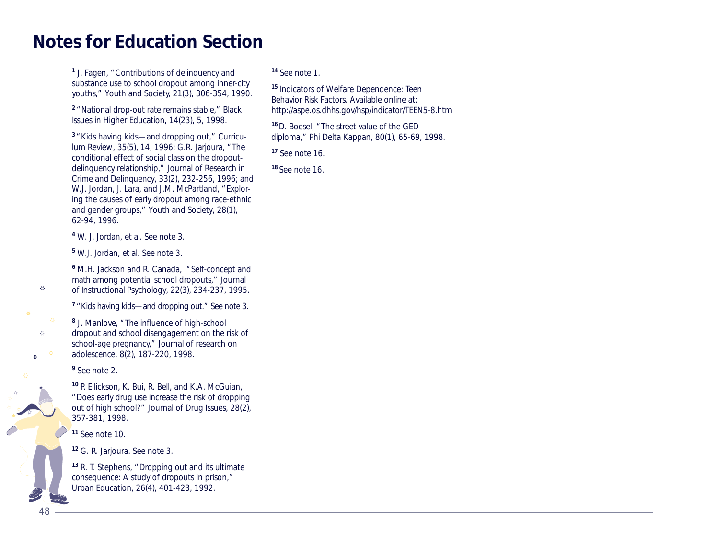## **Notes for Education Section**

**1** J. Fagen, "Contributions of delinquency and substance use to school dropout among inner-city youths," *Youth and Society,* 21(3), 306-354, 1990.

**<sup>2</sup>**"National drop-out rate remains stable," *Black Issues in Higher Education*, 14(23), 5, 1998.

**<sup>3</sup>** "Kids having kids—and dropping out," *Curriculum Review*, 35(5), 14, 1996; G.R. Jarjoura, "The conditional effect of social class on the dropoutdelinquency relationship," *Journal of Research in Crime and Delinquency*, 33(2), 232-256, 1996; and W.J. Jordan, J. Lara, and J.M. McPartland, "Exploring the causes of early dropout among race-ethnic and gender groups," *Youth and Society*, 28(1), 62-94, 1996.

**4** W. J. Jordan, et al. See note 3.

**5** W.J. Jordan, et al. See note 3.

**6** M.H. Jackson and R. Canada, "Self-concept and math among potential school dropouts," *Journal of Instructional Psychology*, 22(3), 234-237, 1995.

**<sup>7</sup>**"Kids having kids—and dropping out." See note 3.

**<sup>8</sup>** J. Manlove, "The influence of high-school dropout and school disengagement on the risk of school-age pregnancy," *Journal of research on adolescence*, 8(2), 187-220, 1998.

**9** See note 2.

**<sup>10</sup>** P. Ellickson, K. Bui, R. Bell, and K.A. McGuian, "Does early drug use increase the risk of dropping out of high school?" *Journal of Drug Issues*, 28(2), 357-381, 1998.

**<sup>11</sup>** See note 10.

**<sup>12</sup>** G. R. Jarjoura. See note 3.

**<sup>13</sup>** R. T. Stephens, "Dropping out and its ultimate consequence: A study of dropouts in prison," *Urban Education*, 26(4), 401-423, 1992.

**<sup>14</sup>** See note 1.

**<sup>15</sup>** *Indicators of Welfare Dependence: Teen Behavior Risk Factors*. Available online at: http://aspe.os.dhhs.gov/hsp/indicator/TEEN5-8.htm

**<sup>16</sup>**D. Boesel, "The street value of the GED diploma," *Phi Delta Kappan*, 80(1), 65-69, 1998.

**<sup>17</sup>** See note 16.

**<sup>18</sup>**See note 16.

 $\boldsymbol{\mathcal{Z}}$ 

证  $\mathfrak{P}$ 

 $\mathfrak{S}$  $\frac{1}{2}$ 

春

츊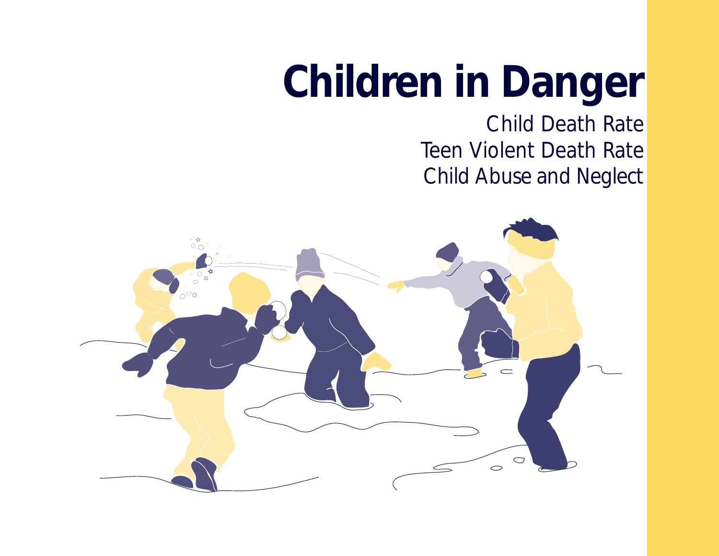# **Children in Danger**

Child Death Rate Teen Violent Death Rate Child Abuse and Neglect

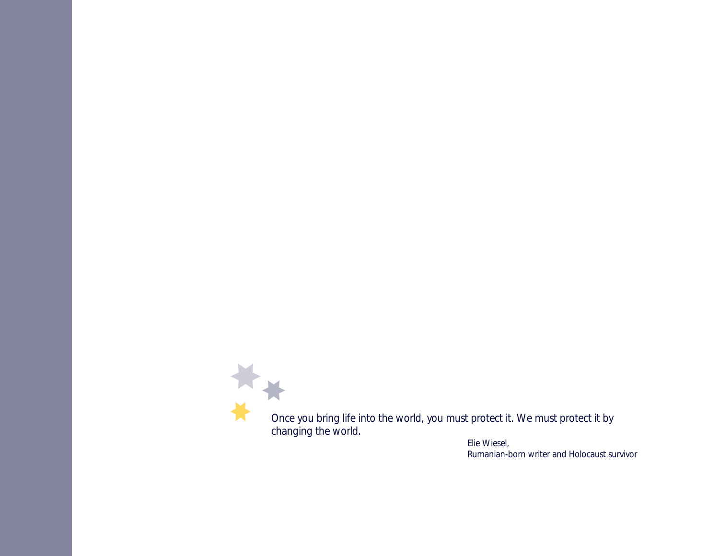

*Elie Wiesel, Rumanian-born writer and Holocaust survivor*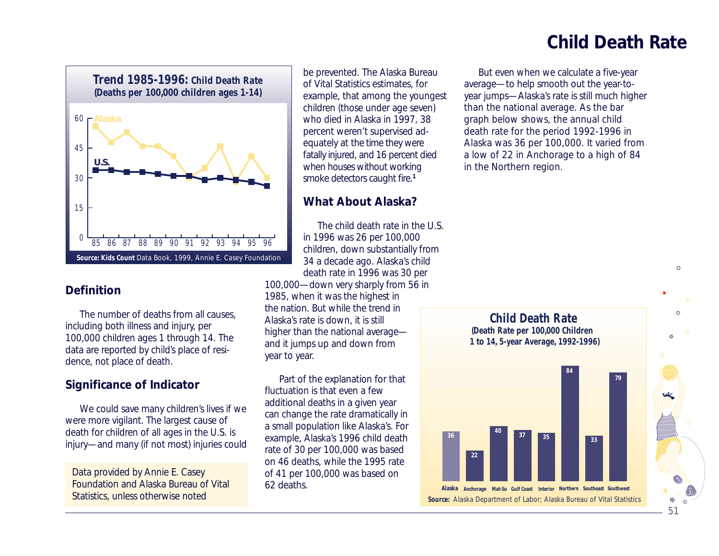## **Child Death Rate**



#### **Definition**

The number of deaths from *all* causes, including both illness and injury, per 100,000 children ages 1 through 14. The data are reported by child's place of residence, not place of death.

#### **Significance of Indicator**

We could save many children's lives if we were more vigilant. The largest cause of death for children of all ages in the U.S. is injury—and many (if not most) injuries could

*Data provided by Annie E. Casey Foundation and Alaska Bureau of Vital Statistics, unless otherwise noted*

be prevented. The Alaska Bureau of Vital Statistics estimates, for example, that among the youngest children (those under age seven) who died in Alaska in 1997, 38 percent weren't supervised adequately at the time they were fatally injured, and 16 percent died when houses without working smoke detectors caught fire.**<sup>1</sup>**

#### **What About Alaska?**

The child death rate in the U.S. in 1996 was 26 per 100,000 children, down substantially from 34 a decade ago. Alaska's child death rate in 1996 was 30 per

100,000—down very sharply from 56 in 1985, when it was the highest in the nation. But while the trend in Alaska's rate is down, it is still higher than the national average and it jumps up and down from year to year.

Part of the explanation for that fluctuation is that even a few additional deaths in a given year can change the rate dramatically in a small population like Alaska's. For example, Alaska's 1996 child death rate of 30 per 100,000 was based on 46 deaths, while the 1995 rate of 41 per 100,000 was based on 62 deaths.

But even when we calculate a five-year average—to help smooth out the year-toyear jumps—Alaska's rate is still much higher than the national average. As the bar graph below shows, the annual child death rate for the period 1992-1996 in Alaska was 36 per 100,000. It varied from a low of 22 in Anchorage to a high of 84 in the Northern region.

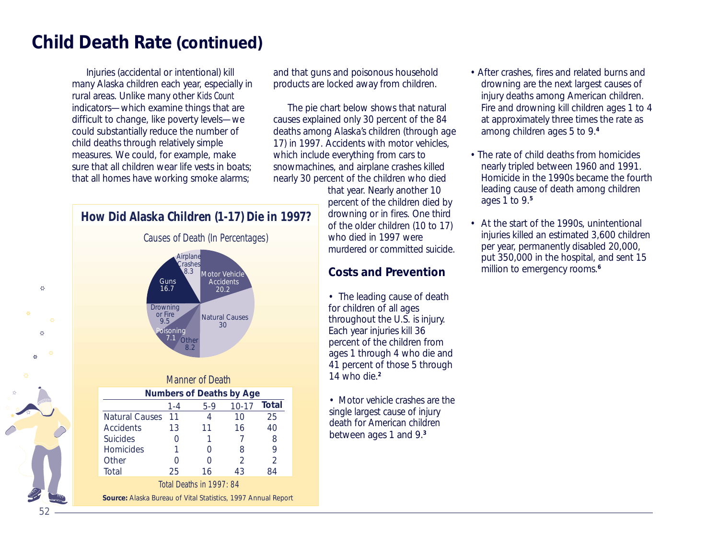## **Child Death Rate (continued)**

Injuries (accidental or intentional) kill many Alaska children each year, especially in rural areas. Unlike many other Kids Count indicators—which examine things that are difficult to change, like poverty levels—we could substantially reduce the number of child deaths through relatively simple measures. We could, for example, make sure that all children wear life vests in boats; that all homes have working smoke alarms;

and that guns and poisonous household products are locked away from children.

The pie chart below shows that natural causes explained only 30 percent of the 84 deaths among Alaska's children (through age 17) in 1997. Accidents with motor vehicles, which include everything from cars to snowmachines, and airplane crashes killed nearly 30 percent of the children who died

> that year. Nearly another 10 percent of the children died by drowning or in fires. One third of the older children (10 to 17) who died in 1997 were murdered or committed suicide.

#### **Costs and Prevention**

• The leading cause of death for children of all ages throughout the U.S. is injury. Each year injuries kill 36 percent of the children from ages 1 through 4 who die and 41 percent of those 5 through 14 who die.**<sup>2</sup>**

• Motor vehicle crashes are the single largest cause of injury death for American children between ages 1 and 9.**<sup>3</sup>**

- After crashes, fires and related burns and drowning are the next largest causes of injury deaths among American children. Fire and drowning kill children ages 1 to 4 at approximately three times the rate as among children ages 5 to 9.**<sup>4</sup>**
- The rate of child deaths from homicides nearly tripled between 1960 and 1991. Homicide in the 1990s became the fourth leading cause of death among children ages 1 to 9.**<sup>5</sup>**
- At the start of the 1990s, unintentional injuries killed an estimated 3,600 children per year, permanently disabled 20,000, put 350,000 in the hospital, and sent 15 million to emergency rooms.**6**



Total Deaths in 1997: 84

**Source:** *Alaska Bureau of Vital Statistics,* 1997 Annual Report

 $\boldsymbol{\mathcal{Z}}$ 

ð.

츊

 $\leftrightarrow$  $\boldsymbol{\mathcal{Q}}$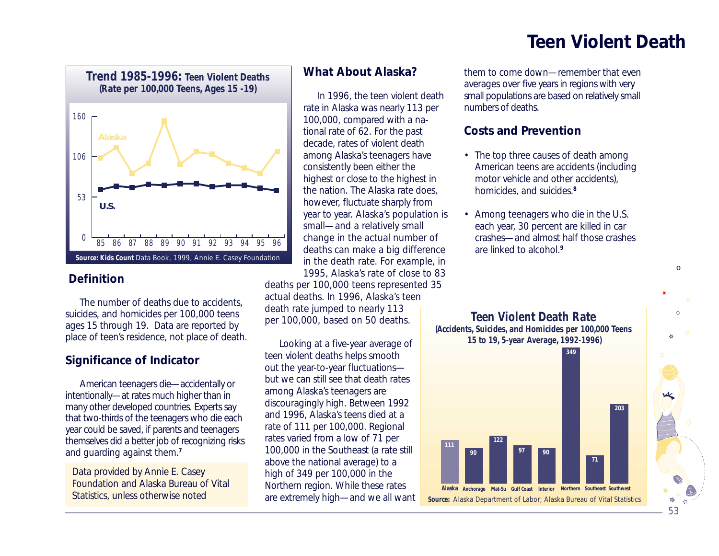## **Teen Violent Death**

ø

k)



#### **Definition**

The number of deaths due to accidents, suicides, and homicides per 100,000 teens ages 15 through 19. Data are reported by place of teen's residence, not place of death.

#### **Significance of Indicator**

American teenagers die—accidentally or intentionally—at rates much higher than in many other developed countries. Experts say that two-thirds of the teenagers who die each year could be saved, if parents and teenagers themselves did a better job of recognizing risks and guarding against them.**<sup>7</sup>**

*Data provided by Annie E. Casey Foundation and Alaska Bureau of Vital*

#### **What About Alaska?**

In 1996, the teen violent death rate in Alaska was nearly 113 per 100,000, compared with a national rate of 62. For the past decade, rates of violent death among Alaska's teenagers have consistently been either the highest or close to the highest in the nation. The Alaska rate does, however, fluctuate sharply from year to year. Alaska's population is small—and a relatively small change in the actual number of deaths can make a big difference in the death rate. For example, in 1995, Alaska's rate of close to 83

deaths per 100,000 teens represented 35 actual deaths. In 1996, Alaska's teen death rate jumped to nearly 113 per 100,000, based on 50 deaths.

Looking at a five-year average of teen violent deaths helps smooth out the year-to-year fluctuations but we can still see that death rates among Alaska's teenagers are discouragingly high. Between 1992 and 1996, Alaska's teens died at a rate of 111 per 100,000. Regional rates varied from a low of 71 per 100,000 in the Southeast (a rate still above the national average) to a high of 349 per 100,000 in the Northern region. While these rates are extremely high—and we all want

them to come down—remember that even averages over five years in regions with very small populations are based on relatively small numbers of deaths.

#### **Costs and Prevention**

- The top three causes of death among American teens are accidents (including motor vehicle and other accidents), homicides, and suicides.**<sup>8</sup>**
- Among teenagers who die in the U.S. each year, 30 percent are killed in car crashes—and almost half those crashes are linked to alcohol.**<sup>9</sup>**

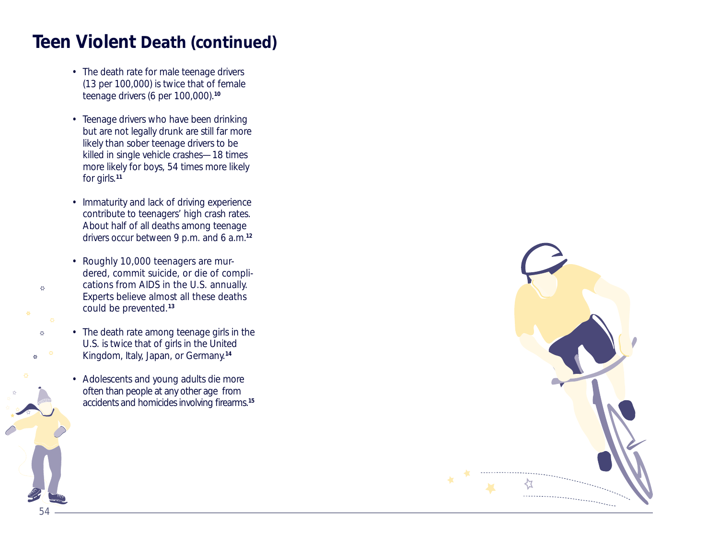## **Teen Violent Death (continued)**

- The death rate for male teenage drivers (13 per 100,000) is twice that of female teenage drivers (6 per 100,000).**<sup>10</sup>**
- Teenage drivers who have been drinking but are not legally drunk are still far more likely than sober teenage drivers to be killed in single vehicle crashes—18 times more likely for boys, 54 times more likely for girls.**<sup>11</sup>**
- Immaturity and lack of driving experience contribute to teenagers' high crash rates. About half of all deaths among teenage drivers occur between 9 p.m. and 6 a.m.**<sup>12</sup>**
- Roughly 10,000 teenagers are murdered, commit suicide, or die of complications from AIDS in the U.S. annually. Experts believe almost all these deaths could be prevented.**<sup>13</sup>**
- The death rate among teenage girls in the U.S. is twice that of girls in the United Kingdom, Italy, Japan, or Germany.**<sup>14</sup>**
- Adolescents and young adults die more often than people at any other age from accidents and homicides involving firearms.**<sup>15</sup>**

54

 $\boldsymbol{\mathcal{Z}}$ 

Đ

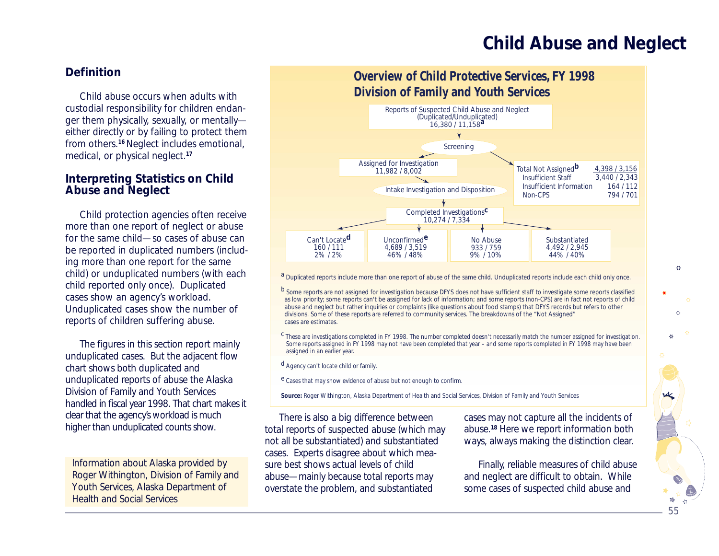## **Child Abuse and Neglect**

#### **Definition**

Child abuse occurs when adults with custodial responsibility for children endanger them physically, sexually, or mentally either directly or by failing to protect them from others.**<sup>16</sup>**Neglect includes emotional, medical, or physical neglect.**<sup>17</sup>**

#### **Interpreting Statistics on Child Abuse and Neglect**

Child protection agencies often receive more than one report of neglect or abuse for the same child—so cases of abuse can be reported in *duplicated* numbers (including more than one report for the same child) or *unduplicated* numbers (with each child reported only once). Duplicated cases show an agency's workload. Unduplicated cases show the number of reports of children suffering abuse.

The figures in this section report mainly *unduplicated* cases. But the adjacent flow chart shows both duplicated and unduplicated reports of abuse the Alaska Division of Family and Youth Services handled in fiscal year 1998. That chart makes it clear that the agency's workload is much clear that the agency's workload is much<br>higher than unduplicated counts show. There is also a big difference between

*Information about Alaska provided by Roger Withington, Division of Family and Youth Services, Alaska Department of Health and Social Services*



<sup>a</sup> *Duplicated reports include more than one report of abuse of the same child. Unduplicated reports include each child only once.*

- <sup>b</sup> *Some reports are not assigned for investigation because DFYS does not have sufficient staff to investigate some reports classified as low priority; some reports can't be assigned for lack of information; and some reports (non-CPS) are in fact not reports of child*  abuse and neglect but rather inquiries or complaints (like questions about food stamps) that DFYS records but refers to other  *divisions. Some of these reports are referred to community services. The breakdowns of the "Not Assigned" cases are estimates.*
- c *These are investigations completed in FY 1998. The number completed doesn't necessarily match the number assigned for investigation. Some reports assigned in FY 1998 may not have been completed that year – and some reports completed in FY 1998 may have been assigned in an earlier year.*

<sup>d</sup> *Agency can't locate child or family.*

e *Cases that may show evidence of abuse but not enough to confirm.*

**Source:** *Roger Withington, Alaska Department of Health and Social Services, Division of Family and Youth Services* 

*total reports* of suspected abuse (which may not all be substantiated) and *substantiated cases*. Experts disagree about which measure best shows actual levels of child abuse—mainly because total reports may overstate the problem, and substantiated

cases may not capture all the incidents of abuse.**18** Here we report information both ways, always making the distinction clear.

Finally, reliable measures of child abuse and neglect are difficult to obtain. While some cases of suspected child abuse and

 $\heartsuit$ 

z.

x

k) ø

55

 $\rightarrow$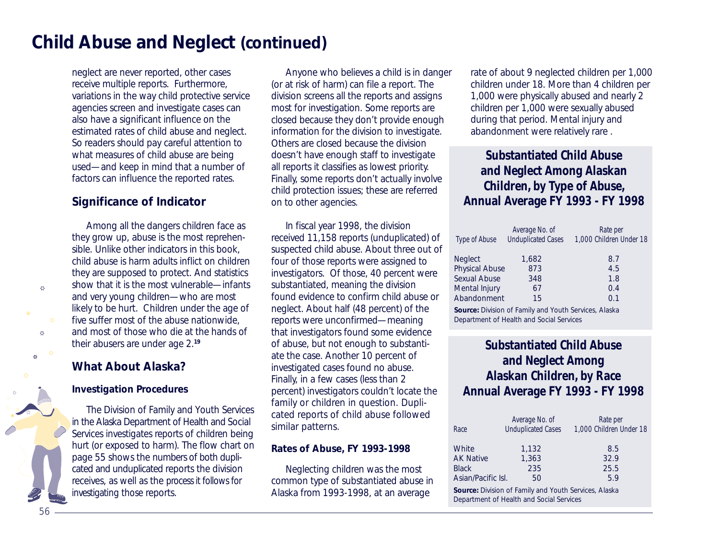## **Child Abuse and Neglect (continued)**

neglect are never reported, other cases receive multiple reports. Furthermore, variations in the way child protective service agencies screen and investigate cases can also have a significant influence on the estimated rates of child abuse and neglect. So readers should pay careful attention to what measures of child abuse are being used—and keep in mind that a number of factors can influence the reported rates.

#### **Significance of Indicator**

Among all the dangers children face as they grow up, abuse is the most reprehensible. Unlike other indicators in this book, child abuse is harm adults inflict on children they are supposed to protect. And statistics show that it is the most vulnerable—infants and very young children—who are most likely to be hurt. Children under the age of five suffer most of the abuse nationwide, and most of those who die at the hands of their abusers are under age 2.**<sup>19</sup>**

#### **What About Alaska?**

#### *Investigation Procedures*

The Division of Family and Youth Services in the Alaska Department of Health and Social Services investigates reports of children being hurt (or exposed to harm). The flow chart on page 55 shows the numbers of both duplicated and unduplicated reports the division receives, as well as the process it follows for investigating those reports.

Anyone who believes a child is in danger (or at risk of harm) can file a report. The division screens all the reports and assigns most for investigation. Some reports are closed because they don't provide enough information for the division to investigate. Others are closed because the division doesn't have enough staff to investigate all reports it classifies as lowest priority. Finally, some reports don't actually involve child protection issues; these are referred on to other agencies.

In fiscal year 1998, the division received 11,158 reports (*unduplicated*) of suspected child abuse. About three out of four of those reports were assigned to investigators. Of those, 40 percent were *substantiated*, meaning the division found evidence to confirm child abuse or neglect. About half (48 percent) of the reports were *unconfirmed*—meaning that investigators found some evidence of abuse, but not enough to substantiate the case. Another 10 percent of investigated cases found no abuse. Finally, in a few cases (less than 2 percent) investigators couldn't locate the family or children in question. Duplicated reports of child abuse followed similar patterns.

#### *Rates of Abuse, FY 1993-1998*

Neglecting children was the most common type of substantiated abuse in Alaska from 1993-1998, at an average

rate of about 9 neglected children per 1,000 children under 18. More than 4 children per 1,000 were physically abused and nearly 2 children per 1,000 were sexually abused during that period. Mental injury and abandonment were relatively rare .

#### **Substantiated Child Abuse and Neglect Among Alaskan Children, by Type of Abuse, Annual Average FY 1993 - FY 1998**

| <b>Type of Abuse</b>  | Average No. of<br><b>Unduplicated Cases</b> | Rate per<br>1,000 Children Under 18 |
|-----------------------|---------------------------------------------|-------------------------------------|
| <b>Neglect</b>        | 1.682                                       | 8.7                                 |
| <b>Physical Abuse</b> | 873                                         | 4.5                                 |
| Sexual Abuse          | 348                                         | 1.8                                 |
| Mental Injury         | 67                                          | 0.4                                 |
| Abandonment           | 15                                          | 0.1                                 |
|                       |                                             |                                     |

**Source:** *Division of Family and Youth Services, Alaska Department of Health and Social Services*

#### **Substantiated Child Abuse and Neglect Among Alaskan Children, by Race Annual Average FY 1993 - FY 1998**

| Race                                                                                                     | Average No. of<br><b>Unduplicated Cases</b> | Rate per<br>1,000 Children Under 18 |  |  |  |  |  |  |
|----------------------------------------------------------------------------------------------------------|---------------------------------------------|-------------------------------------|--|--|--|--|--|--|
| White                                                                                                    | 1.132                                       | 8.5                                 |  |  |  |  |  |  |
| <b>AK Native</b>                                                                                         | 1,363                                       | 32.9                                |  |  |  |  |  |  |
| <b>Black</b>                                                                                             | 235                                         | 25.5                                |  |  |  |  |  |  |
| Asian/Pacific Isl.                                                                                       | 50                                          | 5.9                                 |  |  |  |  |  |  |
| <b>Source:</b> Division of Family and Youth Services, Alaska<br>Department of Health and Social Services |                                             |                                     |  |  |  |  |  |  |

 $\boldsymbol{\mathcal{Z}}$ 

春

**各** 

Ò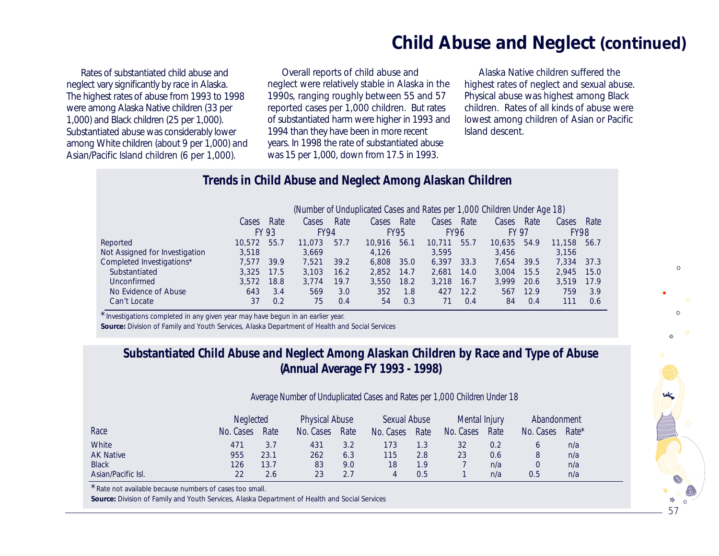## **Child Abuse and Neglect (continued)**

Rates of substantiated child abuse and neglect vary significantly by race in Alaska. The highest rates of abuse from 1993 to 1998 were among Alaska Native children (33 per 1,000) and Black children (25 per 1,000). Substantiated abuse was considerably lower among White children (about 9 per 1,000) and Asian/Pacific Island children (6 per 1,000).

Overall reports of child abuse and neglect were relatively stable in Alaska in the 1990s, ranging roughly between 55 and 57 reported cases per 1,000 children. But rates of *substantiated* harm were higher in 1993 and 1994 than they have been in more recent years. In 1998 the rate of substantiated abuse was 15 per 1,000, down from 17.5 in 1993.

Alaska Native children suffered the highest rates of neglect and sexual abuse. Physical abuse was highest among Black children. Rates of all kinds of abuse were lowest among children of Asian or Pacific Island descent.

57

₩

#### **Trends in Child Abuse and Neglect Among Alaskan Children**

|                                | (Number of Unduplicated Cases and Rates per 1,000 Children Under Age 18) |              |             |      |             |      |             |      |        |              |        |             |
|--------------------------------|--------------------------------------------------------------------------|--------------|-------------|------|-------------|------|-------------|------|--------|--------------|--------|-------------|
|                                | Cases                                                                    | Rate         | Cases       | Rate | Cases       | Rate | Cases       | Rate | Cases  | Rate         | Cases  | Rate        |
|                                |                                                                          | <b>FY 93</b> | <b>FY94</b> |      | <b>FY95</b> |      | <b>FY96</b> |      |        | <b>FY 97</b> |        | <b>FY98</b> |
| Reported                       | 10.572                                                                   | 55.7         | 11.073      | 57.7 | 10.916      | 56.1 | 10.711      | 55.7 | 10.635 | 54.9         | 11.158 | 56.7        |
| Not Assigned for Investigation | 3.518                                                                    |              | 3.669       |      | 4.126       |      | 3.595       |      | 3.456  |              | 3.156  |             |
| Completed Investigations*      | 7.577                                                                    | 39.9         | 7.521       | 39.2 | 6.808       | 35.0 | 6.397       | 33.3 | 7.654  | 39.5         | 7.334  | 37.3        |
| Substantiated                  | 3.325                                                                    | 17.5         | 3.103       | 16.2 | 2.852       | 14.7 | 2.681       | 14.0 | 3.004  | 15.5         | 2.945  | 15.0        |
| Unconfirmed                    | 3.572                                                                    | 18.8         | 3.774       | 19.7 | 3.550       | 18.2 | 3.218       | 16.7 | 3.999  | 20.6         | 3.519  | 17.9        |
| No Evidence of Abuse           | 643                                                                      | 3.4          | 569         | 3.0  | 352         | 1.8  | 427         | 12.2 | 567    | 12.9         | 759    | 3.9         |
| Can't Locate                   |                                                                          | 0.2          | 75          | 0.4  | 54          | 0.3  |             | 0.4  | 84     | 0.4          | 111    | 0.6         |

\**Investigations completed in any given year may have begun in an earlier year.*

**Source:** *Division of Family and Youth Services, Alaska Department of Health and Social Services*

#### **Substantiated Child Abuse and Neglect Among Alaskan Children by Race and Type of Abuse (Annual Average FY 1993 - 1998)**

#### Average Number of Unduplicated Cases and Rates per 1,000 Children Under 18

|                    | <b>Neglected</b> |      | <b>Physical Abuse</b> |      | <b>Sexual Abuse</b> |      | <b>Mental Injury</b> |      | Abandonment |         |
|--------------------|------------------|------|-----------------------|------|---------------------|------|----------------------|------|-------------|---------|
| Race               | No. Cases        | Rate | No. Cases             | Rate | No. Cases           | Rate | No. Cases            | Rate | No. Cases   | $Rate*$ |
| White              | 471              |      | 431                   |      |                     | 1.3  | 32                   | 0.2  |             | n/a     |
| <b>AK Native</b>   | 955              | 23.1 | 262                   | 6.3  | 115                 | 2.8  | 23                   | 0.6  |             | n/a     |
| <b>Black</b>       | 126              | 13.7 | 83                    | 9.0  | 18                  | 1.9  |                      | n/a  |             | n/a     |
| Asian/Pacific Isl. | 22               | 2.6  | 23                    | 2.7  | 4                   | 0.5  |                      | n/a  | 0.5         | n/a     |

\**Rate not available because numbers of cases too small.*

**Source:** *Division of Family and Youth Services, Alaska Department of Health and Social Services*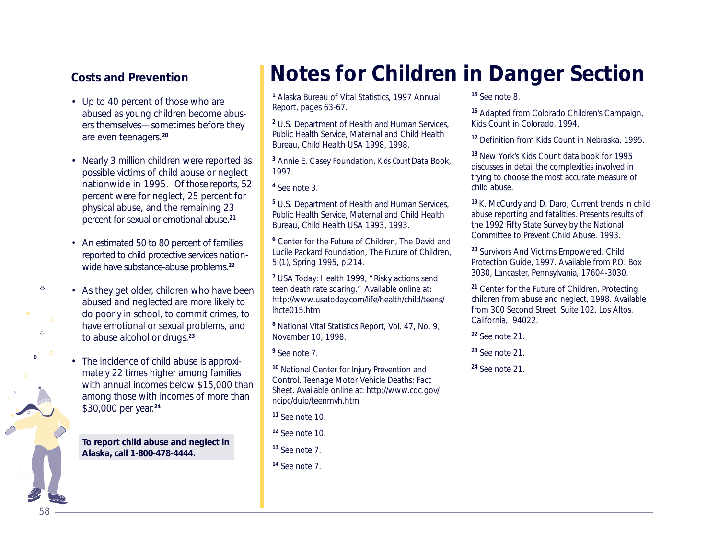#### **Costs and Prevention**

- Up to 40 percent of those who are abused as young children become abusers themselves—sometimes before they are even teenagers.**<sup>20</sup>**
- Nearly 3 million children were reported as possible victims of child abuse or neglect nationwide in 1995. Of those reports, 52 percent were for neglect, 25 percent for physical abuse, and the remaining 23 percent for sexual or emotional abuse.**<sup>21</sup>**
- An estimated 50 to 80 percent of families reported to child protective services nationwide have substance-abuse problems.**<sup>22</sup>**
- As they get older, children who have been abused and neglected are more likely to do poorly in school, to commit crimes, to have emotional or sexual problems, and to abuse alcohol or drugs.**<sup>23</sup>**
- The incidence of child abuse is approximately 22 times higher among families with annual incomes below \$15,000 than among those with incomes of more than \$30,000 per year.**<sup>24</sup>**

**To report child abuse and neglect in Alaska, call 1-800-478-4444.**

## **Notes for Children in Danger Section**

**1** Alaska Bureau of Vital Statistics, 1997 *Annual Report*, pages 63-67.

**2** U.S. Department of Health and Human Services, Public Health Service, Maternal and Child Health Bureau, *Child Health USA 1998*, 1998.

**3** Annie E. Casey Foundation, Kids Count *Data Book*, 1997.

**4** See note 3.

**5** U.S. Department of Health and Human Services, Public Health Service, Maternal and Child Health Bureau, *Child Health USA 1993,* 1993.

**6** Center for the Future of Children, The David and Lucile Packard Foundation, *The Future of Children,* 5 (1), Spring 1995, p.214.

**<sup>7</sup>** *USA Today: Health 1999*, "Risky actions send teen death rate soaring." Available online at: http://www.usatoday.com/life/health/child/teens/ lhcte015.htm

**<sup>8</sup>** *National Vital Statistics Report*, Vol. 47, No. 9, November 10, 1998.

**9** See note 7.

**<sup>10</sup>** National Center for Injury Prevention and Control, *Teenage Motor Vehicle Deaths: Fact Sheet*. Available online at: http://www.cdc.gov/ ncipc/duip/teenmvh.htm

**<sup>11</sup>** See note 10.

**<sup>12</sup>** See note 10.

**<sup>13</sup>** See note 7.

**<sup>14</sup>** See note 7.

**<sup>15</sup>** See note 8.

**<sup>16</sup>** Adapted from Colorado Children's Campaign, *Kids Count in Colorado*, 1994.

**<sup>17</sup>** Definition from *Kids Count in Nebraska*, 1995.

**<sup>18</sup>** New York's Kids Count data book for 1995 discusses in detail the complexities involved in trying to choose the most accurate measure of child abuse.

**<sup>19</sup>**K. McCurdy and D. Daro, *Current trends in child abuse reporting and fatalities*. Presents results of the 1992 Fifty State Survey by the National Committee to Prevent Child Abuse. 1993.

**<sup>20</sup>** Survivors And Victims Empowered, *Child Protection Guide*, 1997. Available from P.O. Box 3030, Lancaster, Pennsylvania, 17604-3030.

**<sup>21</sup>** Center for the Future of Children, *Protecting children from abuse and neglect*, 1998. Available from 300 Second Street, Suite 102, Los Altos, California, 94022.

**<sup>22</sup>** See note 21.

**<sup>23</sup>** See note 21.

**<sup>24</sup>** See note 21.

 $\boldsymbol{\mathcal{Z}}$ 

 $\boldsymbol{\mathcal{Q}}$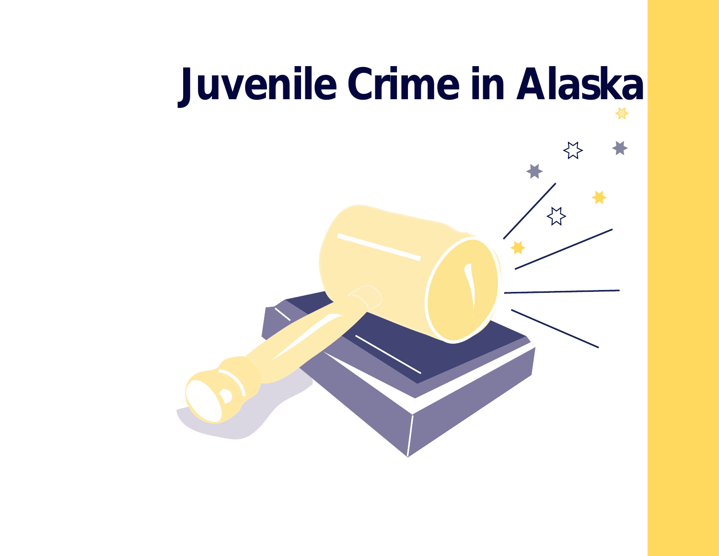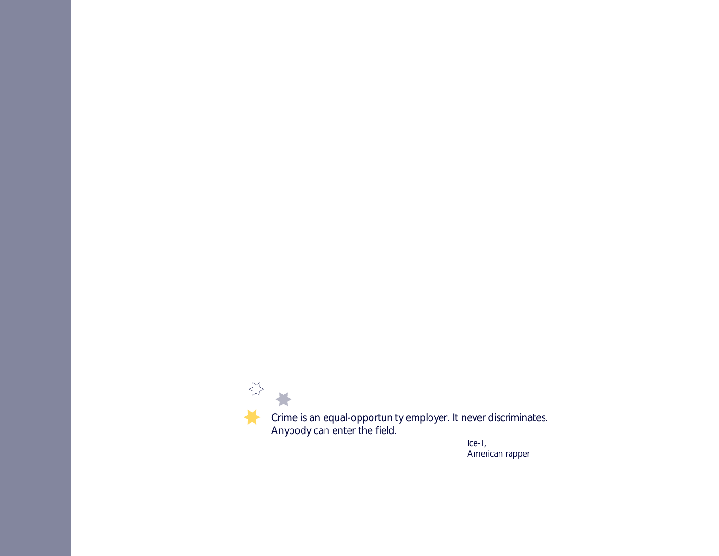

*Ice-T, American rapper*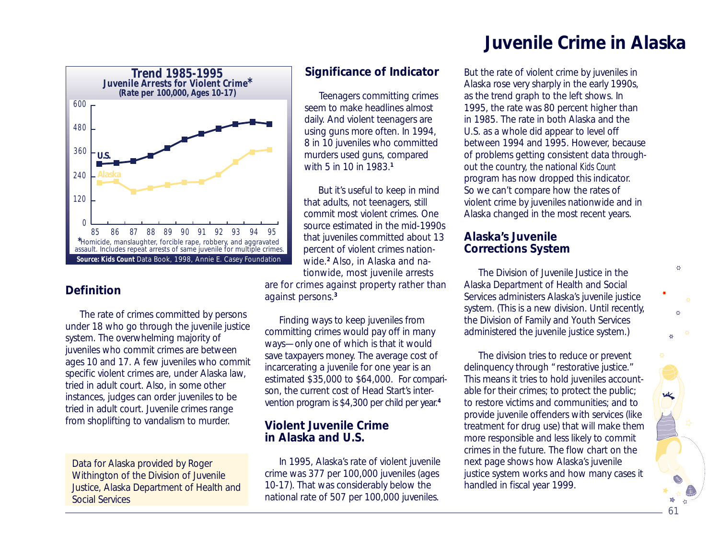

#### **Definition**

The rate of crimes committed by persons under 18 who go through the juvenile justice system. The overwhelming majority of juveniles who commit crimes are between ages 10 and 17. A few juveniles who commit specific violent crimes are, under Alaska law, tried in adult court. Also, in some other instances, judges can order juveniles to be tried in adult court. Juvenile crimes range from shoplifting to vandalism to murder.

*Data for Alaska provided by Roger Withington of the Division of Juvenile Justice, Alaska Department of Health and Social Services*

#### **Significance of Indicator**

Teenagers committing crimes seem to make headlines almost daily. And violent teenagers are using guns more often. In 1994, 8 in 10 juveniles who committed murders used guns, compared with 5 in 10 in 1983.**<sup>1</sup>**

But it's useful to keep in mind that adults, not teenagers, still commit most violent crimes. One source estimated in the mid-1990s that juveniles committed about 13 percent of violent crimes nationwide.**<sup>2</sup>** Also, in Alaska and nationwide, most juvenile arrests are for crimes against property rather than against persons.**<sup>3</sup>**

Finding ways to keep juveniles from committing crimes would pay off in many ways—only one of which is that it would save taxpayers money. The average cost of incarcerating a juvenile for one year is an estimated \$35,000 to \$64,000. For comparison, the current cost of Head Start's intervention program is \$4,300 per child per year.**<sup>4</sup>**

#### **Violent Juvenile Crime in Alaska and U.S.**

In 1995, Alaska's rate of violent juvenile crime was 377 per 100,000 juveniles (ages 10-17). That was considerably below the national rate of 507 per 100,000 juveniles.

## **Juvenile Crime in Alaska**

But the rate of violent crime by juveniles in Alaska rose very sharply in the early 1990s, as the trend graph to the left shows. In 1995, the rate was 80 percent higher than in 1985. The rate in both Alaska and the U.S. as a whole did appear to level off between 1994 and 1995. However, because of problems getting consistent data throughout the country, the national Kids Count program has now dropped this indicator. So we can't compare how the rates of violent crime by juveniles nationwide and in Alaska changed in the most recent years.

#### **Alaska's Juvenile Corrections System**

The Division of Juvenile Justice in the Alaska Department of Health and Social Services administers Alaska's juvenile justice system. (This is a new division. Until recently, the Division of Family and Youth Services administered the juvenile justice system.)

The division tries to reduce or prevent delinquency through "restorative justice." This means it tries to hold juveniles accountable for their crimes; to protect the public; to restore victims and communities; and to provide juvenile offenders with services (like treatment for drug use) that will make them more responsible and less likely to commit crimes in the future. The flow chart on the next page shows how Alaska's juvenile justice system works and how many cases it handled in fiscal year 1999.

 $\sigma$ 

X.

ø

ø

z.

x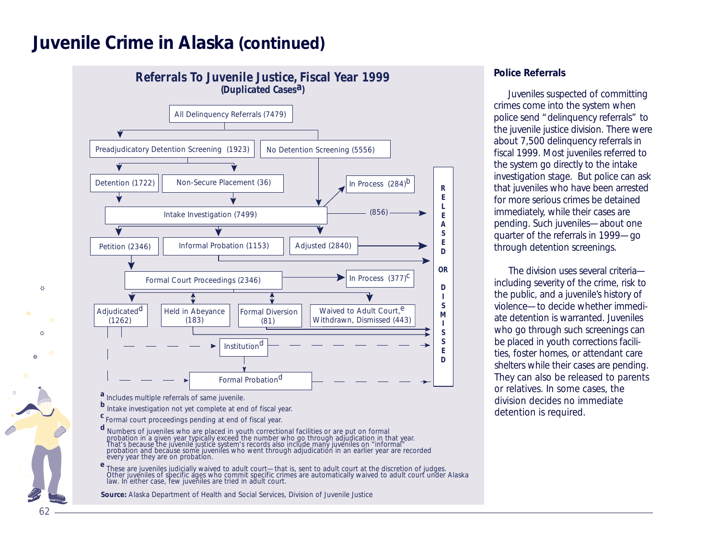

#### *Police Referrals*

Juveniles suspected of committing crimes come into the system when police send "delinquency referrals" to the juvenile justice division. There were about 7,500 delinquency referrals in fiscal 1999. Most juveniles referred to the system go directly to the intake investigation stage. But police can ask that juveniles who have been arrested for more serious crimes be detained immediately, while their cases are pending. Such juveniles—about one quarter of the referrals in 1999—go through detention screenings.

The division uses several criteria including severity of the crime, risk to the public, and a juvenile's history of violence—to decide whether immediate detention is warranted. Juveniles who go through such screenings can be placed in youth corrections facilities, foster homes, or attendant care shelters while their cases are pending. They can also be released to parents or relatives. In some cases, the division decides no immediate detention is required.

♦

€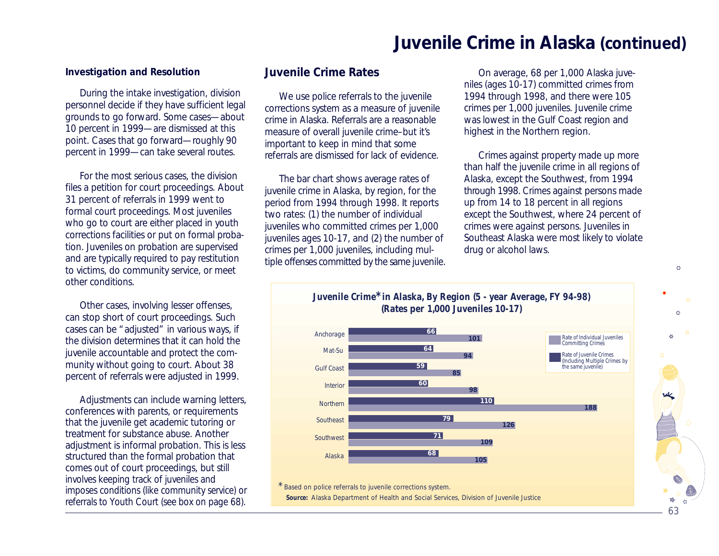#### *Investigation and Resolution*

During the intake investigation, division personnel decide if they have sufficient legal grounds to go forward. Some cases—about 10 percent in 1999—are dismissed at this point. Cases that go forward—roughly 90 percent in 1999—can take several routes.

For the most serious cases, the division files a petition for court proceedings. About 31 percent of referrals in 1999 went to formal court proceedings. Most juveniles who go to court are either placed in youth corrections facilities or put on formal probation. Juveniles on probation are supervised and are typically required to pay restitution to victims, do community service, or meet other conditions.

Other cases, involving lesser offenses, can stop short of court proceedings. Such cases can be "adjusted" in various ways, if the division determines that it can hold the juvenile accountable and protect the community without going to court. About 38 percent of referrals were adjusted in 1999.

Adjustments can include warning letters, conferences with parents, or requirements that the juvenile get academic tutoring or treatment for substance abuse. Another adjustment is informal probation. This is less structured than the formal probation that comes out of court proceedings, but still involves keeping track of juveniles and imposes conditions (like community service) or referrals to Youth Court (see box on page 68).

#### **Juvenile Crime Rates**

We use police referrals to the juvenile corrections system as a measure of juvenile crime in Alaska. Referrals are a reasonable measure of overall juvenile crime–but it's important to keep in mind that some referrals are dismissed for lack of evidence.

The bar chart shows average rates of juvenile crime in Alaska, by region, for the period from 1994 through 1998. It reports two rates: (1) the number of *individual* juveniles who committed crimes per 1,000 juveniles ages 10-17, and (2) the number of *crimes* per 1,000 juveniles, including multiple offenses committed by the same juvenile.

On average, 68 per 1,000 Alaska juveniles (ages 10-17) committed crimes from 1994 through 1998, and there were 105 crimes per 1,000 juveniles. Juvenile crime was lowest in the Gulf Coast region and highest in the Northern region.

Crimes against property made up more than half the juvenile crime in all regions of Alaska, except the Southwest, from 1994 through 1998. Crimes against persons made up from 14 to 18 percent in all regions except the Southwest, where 24 percent of crimes were against persons. Juveniles in Southeast Alaska were most likely to violate drug or alcohol laws.

 $\heartsuit$ 

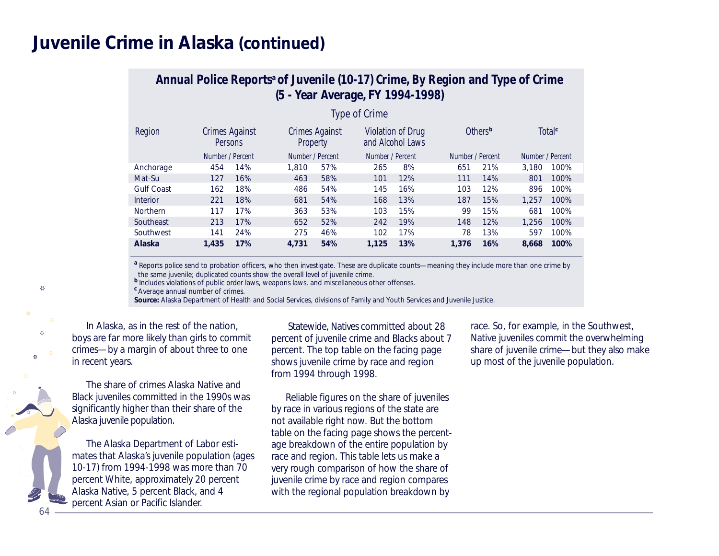| - -<br>(5 - Year Average, FY 1994-1998) |                  |                                                                                                                                                     |       |                  |                  |     |                    |     |                  |      |  |
|-----------------------------------------|------------------|-----------------------------------------------------------------------------------------------------------------------------------------------------|-------|------------------|------------------|-----|--------------------|-----|------------------|------|--|
| <b>Type of Crime</b>                    |                  |                                                                                                                                                     |       |                  |                  |     |                    |     |                  |      |  |
| Region                                  |                  | Others <sup>b</sup><br><b>Crimes Against</b><br>Crimes Against<br><b>Violation of Drug</b><br>and Alcohol Laws<br><b>Persons</b><br><b>Property</b> |       |                  |                  |     | Total <sup>c</sup> |     |                  |      |  |
|                                         | Number / Percent |                                                                                                                                                     |       | Number / Percent | Number / Percent |     | Number / Percent   |     | Number / Percent |      |  |
| Anchorage                               | 454              | 14%                                                                                                                                                 | 1.810 | 57%              | 265              | 8%  | 651                | 21% | 3.180            | 100% |  |
| Mat-Su                                  | 127              | 16%                                                                                                                                                 | 463   | 58%              | 101              | 12% | 111                | 14% | 801              | 100% |  |
| <b>Gulf Coast</b>                       | 162              | 18%                                                                                                                                                 | 486   | 54%              | 145              | 16% | 103                | 12% | 896              | 100% |  |
| <b>Interior</b>                         | 221              | 18%                                                                                                                                                 | 681   | 54%              | 168              | 13% | 187                | 15% | 1.257            | 100% |  |
| <b>Northern</b>                         | 117              | 17%                                                                                                                                                 | 363   | 53%              | 103              | 15% | 99                 | 15% | 681              | 100% |  |
| Southeast                               | 213              | 17%                                                                                                                                                 | 652   | 52%              | 242              | 19% | 148                | 12% | 1,256            | 100% |  |
| Southwest                               | 141              | 24%                                                                                                                                                 | 275   | 46%              | 102              | 17% | 78                 | 13% | 597              | 100% |  |
| <b>Alaska</b>                           | 1,435            | 17%                                                                                                                                                 | 4,731 | 54%              | 1,125            | 13% | 1,376              | 16% | 8,668            | 100% |  |

## **Annual Police Reportsa of Juvenile (10-17) Crime, By Region and Type of Crime**

**<sup>a</sup>** *Reports police send to probation officers, who then investigate. These are duplicate counts—meaning they include more than one crime by*

 *the same juvenile; duplicated counts show the overall level of juvenile crime.* **<sup>b</sup>** *Includes violations of public order laws, weapons laws, and miscellaneous other offenses.*

**<sup>c</sup>** *Average annual number of crimes.*

**Source:** *Alaska Department of Health and Social Services, divisions of Family and Youth Services and Juvenile Justice.*

In Alaska, as in the rest of the nation, boys are far more likely than girls to commit crimes—by a margin of about three to one in recent years.

The share of crimes Alaska Native and Black juveniles committed in the 1990s was significantly higher than their share of the Alaska juvenile population.

The Alaska Department of Labor estimates that Alaska's juvenile population (ages 10-17) from 1994-1998 was more than 70 percent White, approximately 20 percent Alaska Native, 5 percent Black, and 4 percent Asian or Pacific Islander.

 Statewide, Natives committed about 28 percent of juvenile crime and Blacks about 7 percent. The top table on the facing page shows juvenile crime by race and region from 1994 through 1998.

Reliable figures on the share of juveniles by race in various regions of the state are not available right now. But the bottom table on the facing page shows the percentage breakdown of the entire population by race and region. This table lets us make a very rough comparison of how the share of juvenile crime by race and region compares with the regional population breakdown by

race. So, for example, in the Southwest, Native juveniles commit the overwhelming share of juvenile crime—but they also make up most of the juvenile population.

64

A,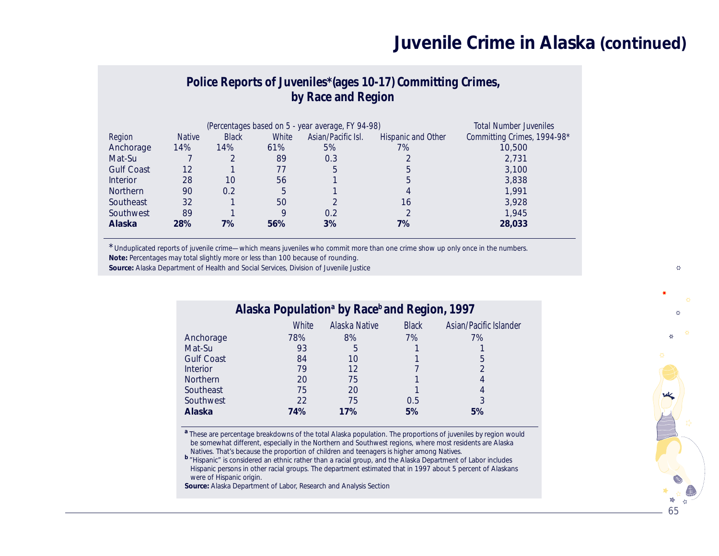65

45

#### **Police Reports of Juveniles\* (ages 10-17) Committing Crimes, by Race and Region**

|                   | (Percentages based on 5 - year average, FY 94-98) | <b>Total Number Juveniles</b> |              |                    |                           |                             |
|-------------------|---------------------------------------------------|-------------------------------|--------------|--------------------|---------------------------|-----------------------------|
| <b>Region</b>     | <b>Native</b>                                     | <b>Black</b>                  | <b>White</b> | Asian/Pacific Isl. | <b>Hispanic and Other</b> | Committing Crimes, 1994-98* |
| Anchorage         | 14%                                               | 14%                           | 61%          | 5%                 | 7%                        | 10,500                      |
| Mat-Su            |                                                   |                               | 89           | 0.3                |                           | 2,731                       |
| <b>Gulf Coast</b> | 12                                                |                               | 77           | 5                  | 5                         | 3,100                       |
| Interior          | 28                                                | 10                            | 56           |                    | 5                         | 3,838                       |
| Northern          | 90                                                | 0.2                           | 5            |                    |                           | 1,991                       |
| Southeast         | 32                                                |                               | 50           |                    | 16                        | 3,928                       |
| Southwest         | 89                                                |                               | 9            | 0.2                |                           | 1,945                       |
| Alaska            | 28%                                               | 7%                            | 56%          | 3%                 | 7%                        | 28,033                      |

\**Unduplicated reports of juvenile crime—which means juveniles who commit more than one crime show up only once in the numbers.* **Note:** *Percentages may total slightly more or less than 100 because of rounding.*

**Source:** *Alaska Department of Health and Social Services, Division of Juvenile Justice*

| Alaska Population <sup>a</sup> by Race <sup>b</sup> and Region, 1997 |       |                      |              |                        |  |  |  |
|----------------------------------------------------------------------|-------|----------------------|--------------|------------------------|--|--|--|
|                                                                      | White | <b>Alaska Native</b> | <b>Black</b> | Asian/Pacific Islander |  |  |  |
| Anchorage                                                            | 78%   | 8%                   | 7%           | 7%                     |  |  |  |
| Mat-Su                                                               | 93    | 5                    |              |                        |  |  |  |
| <b>Gulf Coast</b>                                                    | 84    | 10                   |              | 5                      |  |  |  |
| <b>Interior</b>                                                      | 79    | 12                   |              | ာ                      |  |  |  |
| <b>Northern</b>                                                      | 20    | 75                   |              | 4                      |  |  |  |
| Southeast                                                            | 75    | 20                   |              | 4                      |  |  |  |
| Southwest                                                            | 22    | 75                   | 0.5          | 3                      |  |  |  |
| <b>Alaska</b>                                                        | 74%   | 17%                  | 5%           | 5%                     |  |  |  |

**<sup>a</sup>** *These are percentage breakdowns of the total Alaska population. The proportions of juveniles by region would be somewhat different, especially in the Northern and Southwest regions, where most residents are Alaska*

 *Natives. That's because the proportion of children and teenagers is higher among Natives.* **<sup>b</sup>** *''Hispanic" is considered an ethnic rather than a racial group, and the Alaska Department of Labor includes Hispanic persons in other racial groups. The department estimated that in 1997 about 5 percent of Alaskans were of Hispanic origin.*

**Source:** *Alaska Department of Labor, Research and Analysis Section*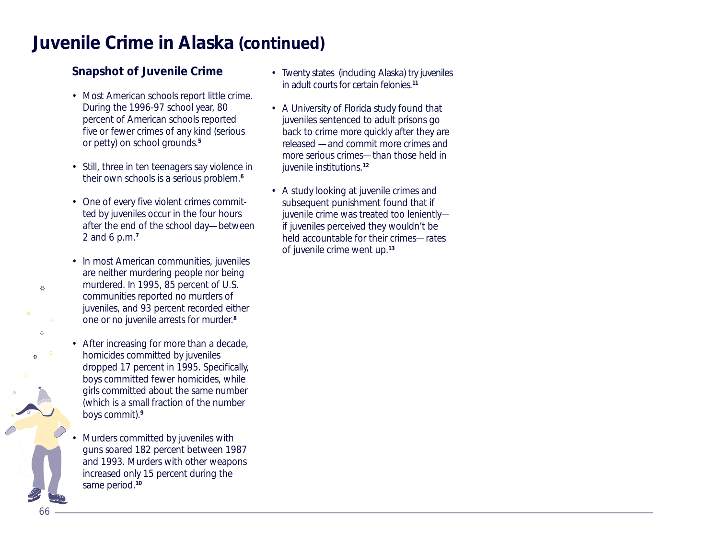#### **Snapshot of Juvenile Crime**

- Most American schools report little crime. During the 1996-97 school year, 80 percent of American schools reported five or fewer crimes of any kind (serious or petty) on school grounds.**<sup>5</sup>**
- Still, three in ten teenagers say violence in their own schools is a serious problem.**<sup>6</sup>**
- One of every five violent crimes committed by juveniles occur in the four hours after the end of the school day—between 2 and 6 p.m.**<sup>7</sup>**
- In most American communities, juveniles are neither murdering people nor being murdered. In 1995, 85 percent of U.S. communities reported no murders of juveniles, and 93 percent recorded either one or no juvenile arrests for murder.**<sup>8</sup>**
- After increasing for more than a decade, homicides committed by juveniles dropped 17 percent in 1995. Specifically, boys committed fewer homicides, while girls committed about the same number (which is a small fraction of the number boys commit).**<sup>9</sup>**
- Murders committed by juveniles with guns soared 182 percent between 1987 and 1993. Murders with other weapons increased only 15 percent during the same period.**<sup>10</sup>**

66

 $\boldsymbol{\mathcal{Z}}$ 

 $\boldsymbol{\mathcal{Q}}$ 

- Twenty states (including Alaska) try juveniles in adult courts for certain felonies.**<sup>11</sup>**
- A University of Florida study found that juveniles sentenced to adult prisons go back to crime more quickly after they are released —and commit more crimes and more serious crimes—than those held in juvenile institutions.**<sup>12</sup>**
- A study looking at juvenile crimes and subsequent punishment found that if juvenile crime was treated too leniently if juveniles perceived they wouldn't be held accountable for their crimes—rates of juvenile crime went up.**13**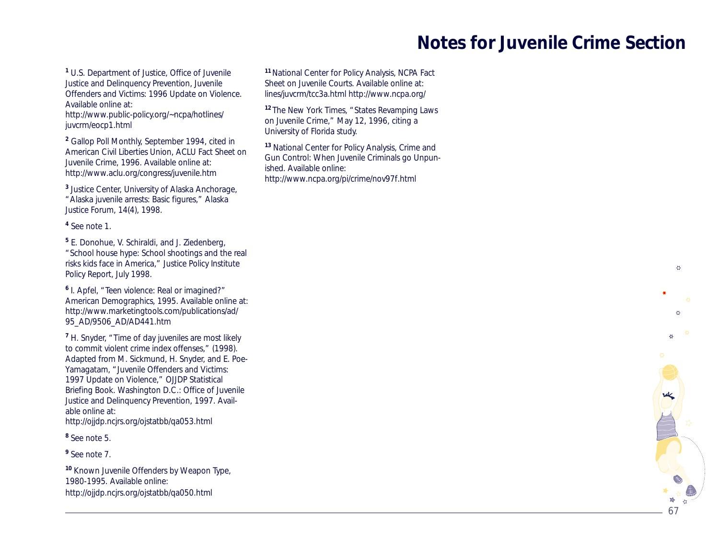## **Notes for Juvenile Crime Section**

**1** U.S. Department of Justice, Office of Juvenile Justice and Delinquency Prevention, *Juvenile Offenders and Victims: 1996 Update on Violence*. Available online at:

http://www.public-policy.org/~ncpa/hotlines/ juvcrm/eocp1.html

**<sup>2</sup>** Gallop Poll Monthly, September 1994, cited in American Civil Liberties Union, *ACLU Fact Sheet on Juvenile Crime,* 1996. Available online at: http://www.aclu.org/congress/juvenile.htm

**3** Justice Center, University of Alaska Anchorage, "Alaska juvenile arrests: Basic figures," *Alaska Justice Forum*, 14(4), 1998.

**<sup>4</sup>** See note 1.

**<sup>5</sup>** E. Donohue, V. Schiraldi, and J. Ziedenberg, "School house hype: School shootings and the real risks kids face in America," *Justice Policy Institute Policy Report*, July 1998.

**6** I. Apfel, "Teen violence: Real or imagined?" *American Demographics*, 1995. Available online at: http://www.marketingtools.com/publications/ad/ 95\_AD/9506\_AD/AD441.htm

**7** H. Snyder, "Time of day juveniles are most likely to commit violent crime index offenses," (1998). Adapted from M. Sickmund, H. Snyder, and E. Poe-Yamagatam, "Juvenile Offenders and Victims: 1997 Update on Violence," *OJJDP Statistical Briefing Book*. Washington D.C.: Office of Juvenile Justice and Delinquency Prevention, 1997. Available online at:

http://ojjdp.ncjrs.org/ojstatbb/qa053.html

**8** See note 5.

**9** See note 7.

**<sup>10</sup>** *Known Juvenile Offenders by Weapon Type, 1980-1995*. Available online: http://ojjdp.ncjrs.org/ojstatbb/qa050.html

**<sup>11</sup>**National Center for Policy Analysis, *NCPA Fact Sheet on Juvenile Courts*. Available online at: lines/juvcrm/tcc3a.html http://www.ncpa.org/

**<sup>12</sup>***The New York Times*, "States Revamping Laws on Juvenile Crime," May 12, 1996, citing a University of Florida study.

**<sup>13</sup>** National Center for Policy Analysis, *Crime and Gun Control: When Juvenile Criminals go Unpunished*. Available online: http://www.ncpa.org/pi/crime/nov97f.html

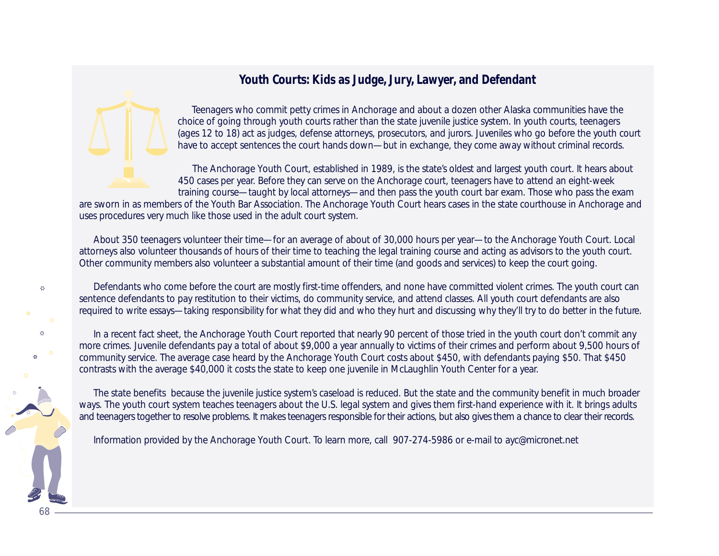#### **Youth Courts: Kids as Judge, Jury, Lawyer, and Defendant**



68

 $\boldsymbol{\mathcal{Z}}$ 

 $\boldsymbol{\mathcal{Q}}$ 

Teenagers who commit petty crimes in Anchorage and about a dozen other Alaska communities have the choice of going through youth courts rather than the state juvenile justice system. In youth courts, teenagers (ages 12 to 18) act as judges, defense attorneys, prosecutors, and jurors. Juveniles who go before the youth court have to accept sentences the court hands down—but in exchange, they come away without criminal records.

The Anchorage Youth Court, established in 1989, is the state's oldest and largest youth court. It hears about 450 cases per year. Before they can serve on the Anchorage court, teenagers have to attend an eight-week training course—taught by local attorneys—and then pass the youth court bar exam. Those who pass the exam

are sworn in as members of the Youth Bar Association. The Anchorage Youth Court hears cases in the state courthouse in Anchorage and uses procedures very much like those used in the adult court system.

About 350 teenagers volunteer their time—for an average of about of 30,000 hours per year—to the Anchorage Youth Court. Local attorneys also volunteer thousands of hours of their time to teaching the legal training course and acting as advisors to the youth court. Other community members also volunteer a substantial amount of their time (and goods and services) to keep the court going.

Defendants who come before the court are mostly first-time offenders, and none have committed violent crimes. The youth court can sentence defendants to pay restitution to their victims, do community service, and attend classes. All youth court defendants are also required to write essays—taking responsibility for what they did and who they hurt and discussing why they'll try to do better in the future.

In a recent fact sheet, the Anchorage Youth Court reported that nearly 90 percent of those tried in the youth court don't commit any more crimes. Juvenile defendants pay a total of about \$9,000 a year annually to victims of their crimes and perform about 9,500 hours of community service. The average case heard by the Anchorage Youth Court costs about \$450, with defendants paying \$50. That \$450 contrasts with the average \$40,000 it costs the state to keep one juvenile in McLaughlin Youth Center for a year.

The state benefits because the juvenile justice system's caseload is reduced. But the state and the community benefit in much broader ways. The youth court system teaches teenagers about the U.S. legal system and gives them first-hand experience with it. It brings adults and teenagers together to resolve problems. It makes teenagers responsible for their actions, but also gives them a chance to clear their records.

Information provided by the Anchorage Youth Court. To learn more, call 907-274-5986 or e-mail to ayc@micronet.net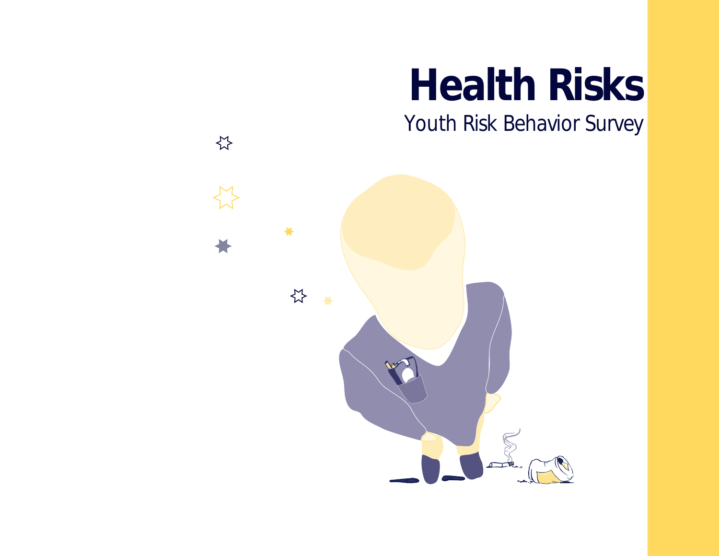# **Health Risks**

Youth Risk Behavior Survey

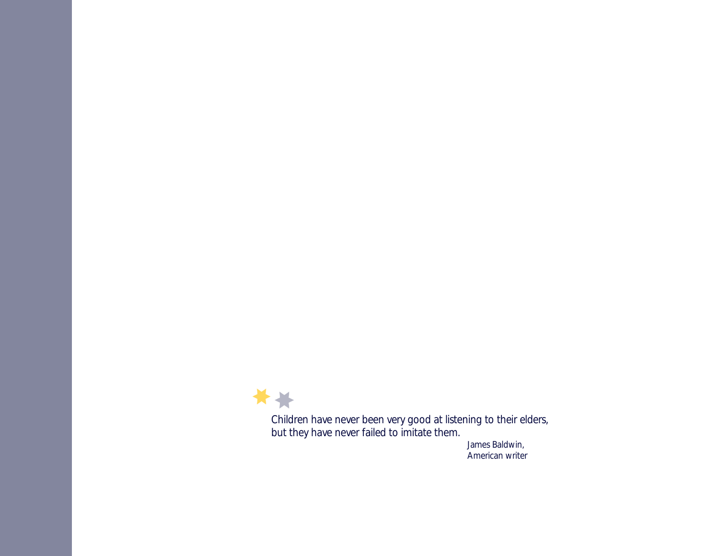

*Children have never been very good at listening to their elders, but they have never failed to imitate them.*

*James Baldwin, American writer*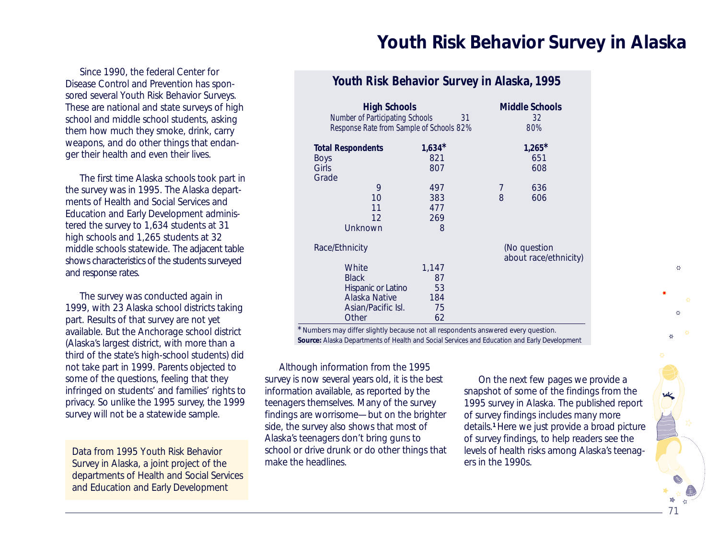## **Youth Risk Behavior Survey in Alaska**

Since 1990, the federal Center for Disease Control and Prevention has sponsored several Youth Risk Behavior Surveys. These are national and state surveys of high school and middle school students, asking them how much they smoke, drink, carry weapons, and do other things that endanger their health and even their lives.

The first time Alaska schools took part in the survey was in 1995. The Alaska departments of Health and Social Services and Education and Early Development administered the survey to 1,634 students at 31 high schools and 1,265 students at 32 middle schools statewide. The adjacent table shows characteristics of the students surveyed and response rates.

The survey was conducted again in 1999, with 23 Alaska school districts taking part. Results of that survey are not yet available. But the Anchorage school district (Alaska's largest district, with more than a third of the state's high-school students) did not take part in 1999. Parents objected to some of the questions, feeling that they infringed on students' and families' rights to privacy. So unlike the 1995 survey, the 1999 survey will not be a statewide sample.

*Data from 1995 Youth Risk Behavior Survey in Alaska, a joint project of the departments of Health and Social Services and Education and Early Development*

#### **Youth Risk Behavior Survey in Alaska, 1995**

| <b>High Schools</b><br><b>Number of Participating Schools</b><br>31<br>Response Rate from Sample of Schools 82% |                                      |        | <b>Middle Schools</b><br>32<br>80%    |  |  |
|-----------------------------------------------------------------------------------------------------------------|--------------------------------------|--------|---------------------------------------|--|--|
| <b>Total Respondents</b><br><b>Boys</b><br>Girls<br>Grade                                                       | $1,634*$<br>821<br>807               |        | $1,265*$<br>651<br>608                |  |  |
| 9<br>10<br>11<br>12<br>Unknown                                                                                  | 497<br>383<br>477<br>269<br>8        | 7<br>8 | 636<br>606                            |  |  |
| Race/Ethnicity<br>White<br><b>Black</b><br>Hispanic or Latino<br>Alaska Native<br>Asian/Pacific Isl.<br>Other   | 1,147<br>87<br>53<br>184<br>75<br>62 |        | (No question<br>about race/ethnicity) |  |  |

\**Numbers may differ slightly because not all respondents answered every question.* **Source:** *Alaska Departments of Health and Social Services and Education and Early Development*

Although information from the 1995 survey is now several years old, it is the best information available, as reported by the teenagers themselves. Many of the survey findings are worrisome—but on the brighter side, the survey also shows that most of Alaska's teenagers don't bring guns to school or drive drunk or do other things that make the headlines.

On the next few pages we provide a snapshot of some of the findings from the 1995 survey in Alaska. The published report of survey findings includes many more details.**1** Here we just provide a broad picture of survey findings, to help readers see the levels of health risks among Alaska's teenagers in the 1990s.

71

k3

₹\$

x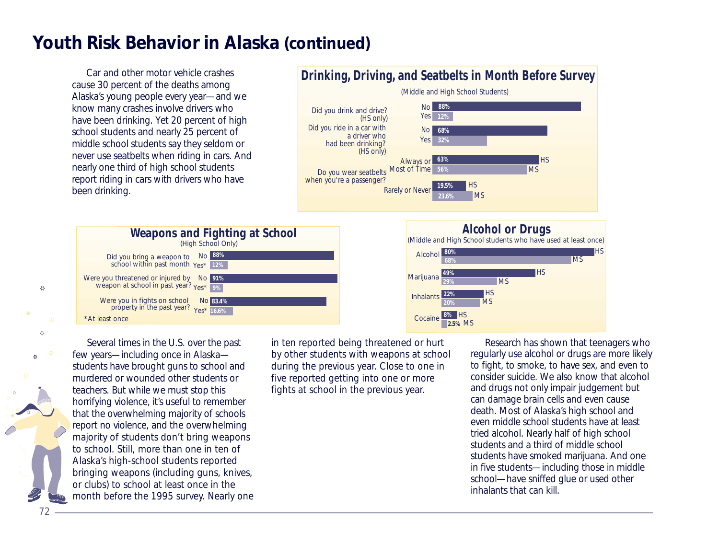## **Youth Risk Behavior in Alaska (continued)**

Car and other motor vehicle crashes cause 30 percent of the deaths among Alaska's young people every year—and we know many crashes involve drivers who have been drinking. Yet 20 percent of high school students and nearly 25 percent of middle school students say they seldom or never use seatbelts when riding in cars. And nearly one third of high school students report riding in cars with drivers who have been drinking.







Several times in the U.S. over the past few years—including once in Alaska students have brought guns to school and murdered or wounded other students or teachers. But while we must stop this horrifying violence, it's useful to remember that the overwhelming majority of schools report no violence, and the overwhelming majority of students don't bring weapons to school. Still, more than one in ten of Alaska's high-school students reported bringing weapons (including guns, knives, or clubs) to school at least once in the month before the 1995 survey. Nearly one in ten reported being threatened or hurt by other students with weapons at school during the previous year. Close to one in five reported getting into one or more fights at school in the previous year.

Research has shown that teenagers who regularly use alcohol or drugs are more likely to fight, to smoke, to have sex, and even to consider suicide. We also know that alcohol and drugs not only impair judgement but can damage brain cells and even cause death. Most of Alaska's high school and even middle school students have at least tried alcohol. Nearly half of high school students and a third of middle school students have smoked marijuana. And one in five students—including those in middle school—have sniffed glue or used other inhalants that can kill.

 $\heartsuit$ 

 $\boldsymbol{\mathcal{Q}}$ 

**各** 

作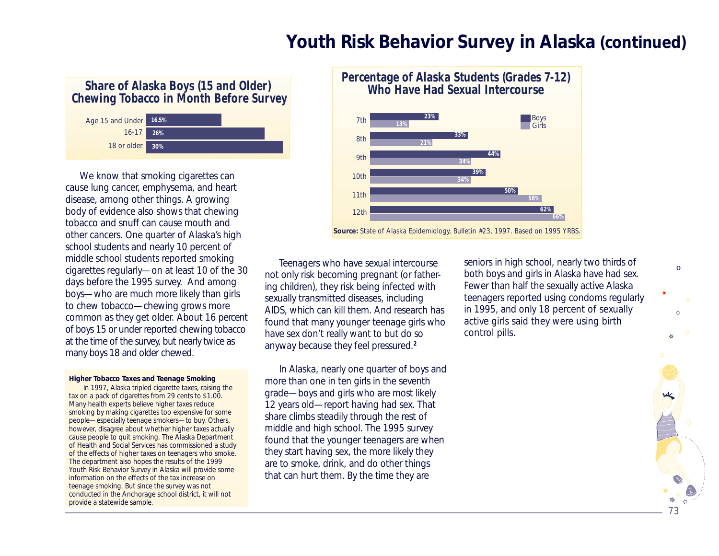## **Youth Risk Behavior Survey in Alaska (continued)**

#### **Share of Alaska Boys (15 and Older) Chewing Tobacco in Month Before Survey**

| Age 15 and Under 16.5% |  |
|------------------------|--|
| $16-17$ 26%            |  |
| 18 or older 30%        |  |

We know that smoking cigarettes can cause lung cancer, emphysema, and heart disease, among other things. A growing body of evidence also shows that chewing tobacco and snuff can cause mouth and other cancers. One quarter of Alaska's high school students and nearly 10 percent of middle school students reported smoking cigarettes regularly—on at least 10 of the 30 days before the 1995 survey. And among boys—who are much more likely than girls to chew tobacco—chewing grows more common as they get older. About 16 percent of boys 15 or under reported chewing tobacco at the time of the survey, but nearly twice as many boys 18 and older chewed.

#### **Higher Tobacco Taxes and Teenage Smoking**

In 1997, Alaska tripled cigarette taxes, raising the tax on a pack of cigarettes from 29 cents to \$1.00. Many health experts believe higher taxes reduce smoking by making cigarettes too expensive for some people—especially teenage smokers—to buy. Others, however, disagree about whether higher taxes actually cause people to quit smoking. The Alaska Department of Health and Social Services has commissioned a study of the effects of higher taxes on teenagers who smoke. The department also hopes the results of the 1999 Youth Risk Behavior Survey in Alaska will provide some information on the effects of the tax increase on teenage smoking. But since the survey was not conducted in the Anchorage school district, it will not provide a statewide sample.



Teenagers who have sexual intercourse not only risk becoming pregnant (or fathering children), they risk being infected with sexually transmitted diseases, including AIDS, which can kill them. And research has found that many younger teenage girls who have sex don't really want to but do so anyway because they feel pressured.**<sup>2</sup>**

In Alaska, nearly one quarter of boys and more than one in ten girls in the *seventh* grade—boys and girls who are most likely 12 years old—report having had sex. That share climbs steadily through the rest of middle and high school. The 1995 survey found that the younger teenagers are when they start having sex, the more likely they are to smoke, drink, and do other things that can hurt them. By the time they are

seniors in high school, nearly two thirds of both boys and girls in Alaska have had sex. Fewer than half the sexually active Alaska teenagers reported using condoms regularly in 1995, and only 18 percent of sexually active girls said they were using birth control pills.

73

 $\Rightarrow$ 

₫

Ł.

k) ø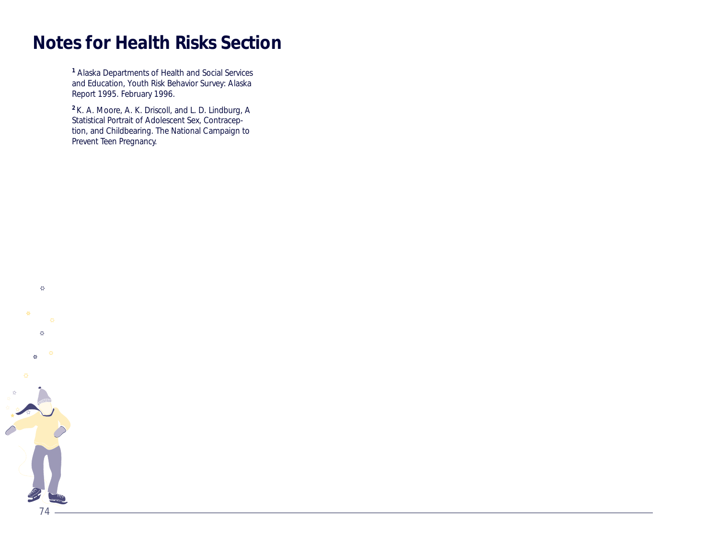## **Notes for Health Risks Section**

**1** Alaska Departments of Health and Social Services and Education, *Youth Risk Behavior Survey: Alaska Report 1995*. February 1996.

**<sup>2</sup>**K. A. Moore, A. K. Driscoll, and L. D. Lindburg, *A Statistical Portrait of Adolescent Sex, Contraception, and Childbearing*. The National Campaign to Prevent Teen Pregnancy.

74

 $\boldsymbol{\mathcal{Q}}$ 

春  $\boldsymbol{\mathcal{U}}$ 

 $\langle \xi \rangle$  $\sum_{k=1}^{n}$ 

 $\left\langle \cdot \right\rangle$ 

츊

R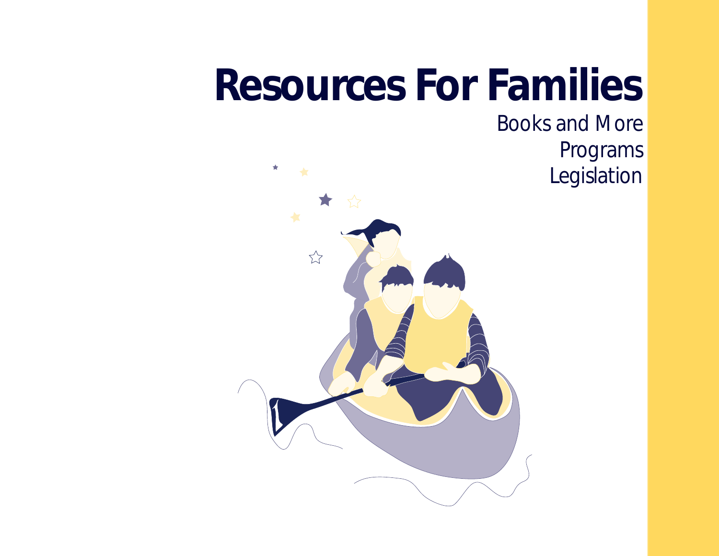# **Resources For Families**

Books and More Programs Legislation



 $\bigstar$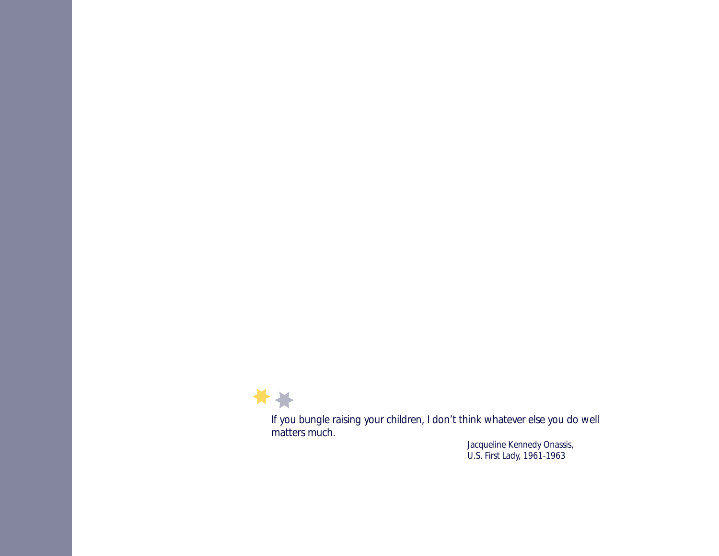

*If you bungle raising your children, I don't think whatever else you do well matters much.*

*Jacqueline Kennedy Onassis, U.S. First Lady, 1961-1963*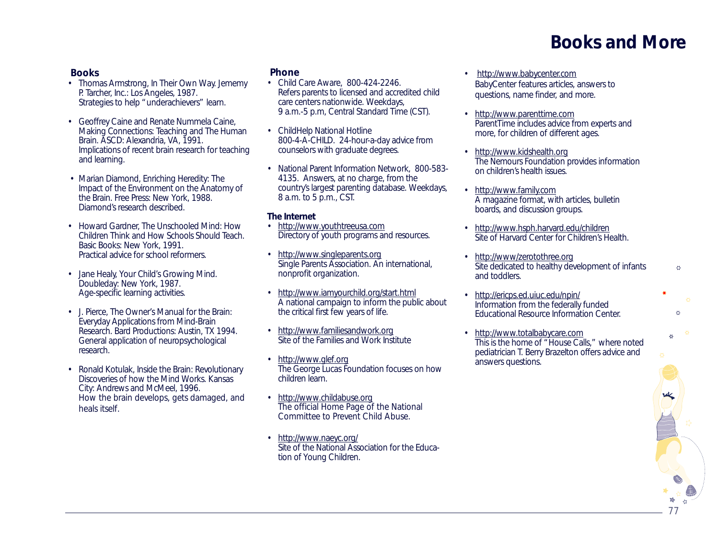# **Books and More**

#### **Books**

- Thomas Armstrong, *In Their Own Way.* Jememy P. Tarcher, Inc.: Los Angeles, 1987. Strategies to help "underachievers" learn.
- Geoffrey Caine and Renate Nummela Caine, *Making Connections: Teaching and The Human* **Brain.** ASCD: Alexandria, VA, 1991. Implications of recent brain research for teaching and learning.
- Marian Diamond, *Enriching Heredity: The Impact of the Environment on the Anatomy of the Brain*. Free Press: New York, 1988. Diamond's research described.
- Howard Gardner, *The Unschooled Mind: How Children Think and How Schools Should Teach.* Basic Books: New York, 1991. Practical advice for school reformers.
- Jane Healy, *Your Child's Growing Mind.* Doubleday: New York, 1987. Age-specific learning activities.
- J. Pierce, *The Owner's Manual for the Brain: Everyday Applications from Mind-Brain Research.* Bard Productions: Austin, TX 1994. General application of neuropsychological research.
- Ronald Kotulak, *Inside the Brain: Revolutionary Discoveries of how the Mind Works*. Kansas City: Andrews and McMeel, 1996. How the brain develops, gets damaged, and heals itself.

#### **Phone**

- Child Care Aware, 800-424-2246. Refers parents to licensed and accredited child care centers nationwide. Weekdays, 9 a.m.-5 p.m, Central Standard Time (CST).
- ChildHelp National Hotline 800-4-A-CHILD.24-hour-a-day advice from counselors with graduate degrees.
- National Parent Information Network, 800-583- 4135. Answers, at no charge, from the country's largest parenting database. Weekdays, 8 a.m. to 5 p.m., CST.

#### **The Internet**

- http://www.youthtreeusa.com Directory of youth programs and resources.
- http://www.singleparents.org Single Parents Association. An international, nonprofit organization.
- http://www.iamyourchild.org/start.html A national campaign to inform the public about the critical first few years of life.
- http://www.familiesandwork.org Site of the Families and Work Institute
- http://www.glef.org The George Lucas Foundation focuses on how children learn.
- http://www.childabuse.org The official Home Page of the National Committee to Prevent Child Abuse.
- http://www.naeyc.org/ Site of the National Association for the Education of Young Children.
- http://www.babycenter.com BabyCenter features articles, answers to questions, name finder, and more.
- http://www.parenttime.com ParentTime includes advice from experts and more, for children of different ages.
- http://www.kidshealth.org The Nemours Foundation provides information on children's health issues.
- http://www.family.com A magazine format, with articles, bulletin boards, and discussion groups.
- http://www.hsph.harvard.edu/children Site of Harvard Center for Children's Health.
- http://www/zerotothree.org Site dedicated to healthy development of infants and toddlers.
- http://ericps.ed.uiuc.edu/npin/ Information from the federally funded Educational Resource Information Center.
- http://www.totalbabycare.com This is the home of "House Calls," where noted pediatrician T. Berry Brazelton offers advice and answers questions.



Å

ø

k) ø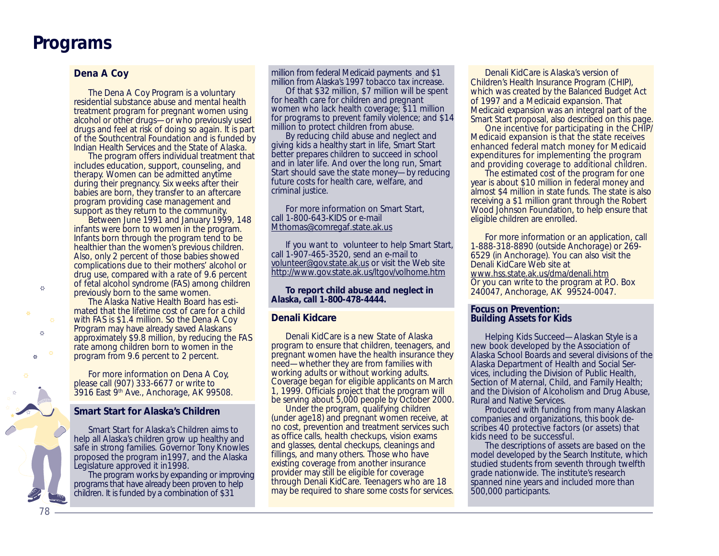## **Programs**

78

 $\heartsuit$ 

者  $\boldsymbol{\mathcal{Q}}$ 

春 z.

#### **Dena A Coy**

The Dena A Coy Program is a voluntary residential substance abuse and mental health treatment program for pregnant women using alcohol or other drugs—or who previously used drugs and feel at risk of doing so again. It is part of the Southcentral Foundation and is funded by Indian Health Services and the State of Alaska.

The program offers individual treatment that includes education, support, counseling, and therapy. Women can be admitted anytime during their pregnancy. Six weeks after their babies are born, they transfer to an aftercare program providing case management and support as they return to the community.

Between June 1991 and January 1999, 148 infants were born to women in the program. Infants born through the program tend to be healthier than the women's previous children. Also, only 2 percent of those babies showed complications due to their mothers' alcohol or drug use, compared with a rate of 9.6 percent of fetal alcohol syndrome (FAS) among children previously born to the same women.

The Alaska Native Health Board has estimated that the lifetime cost of care for a child with FAS is \$1.4 million. So the Dena A Coy Program may have already saved Alaskans approximately \$9.8 million, by reducing the FAS rate among children born to women in the program from 9.6 percent to 2 percent.

*For more information on Dena A Coy, please call (907) 333-6677 or write to 3916 East 9th Ave., Anchorage, AK 99508.*

#### **Smart Start for Alaska's Children**

Smart Start for Alaska's Children aims to help all Alaska's children grow up healthy and safe in strong families. Governor Tony Knowles proposed the program in1997, and the Alaska Legislature approved it in1998. The program works by expanding or improving programs that have already been proven to help children. It is funded by a combination of \$31

million from federal Medicaid payments and \$1 million from Alaska's 1997 tobacco tax increase.

Of that \$32 million, \$7 million will be spent for health care for children and pregnant women who lack health coverage; \$11 million for programs to prevent family violence; and \$14 million to protect children from abuse.

By reducing child abuse and neglect and giving kids a healthy start in life, Smart Start better prepares children to succeed in school and in later life. And over the long run, Smart Start should save the state money—by reducing future costs for health care, welfare, and criminal justice.

#### *For more information on Smart Start, call 1-800-643-KIDS or e-mail* Mthomas@comregaf.state.ak.us

*If you want to volunteer to help Smart Start, call 1-907-465-3520, send an e-mail to* volunteer@gov.state.ak.us *or visit the Web site* http://www.gov.state.ak.us/ltgov/volhome.htm

#### *To report child abuse and neglect in Alaska, call 1-800-478-4444.*

#### **Denali Kidcare**

Denali KidCare is a new State of Alaska program to ensure that children, teenagers, and pregnant women have the health insurance they need—whether they are from families with working adults or without working adults. Coverage began for eligible applicants on March 1, 1999. Officials project that the program will be serving about 5,000 people by October 2000.

Under the program, qualifying children (under age18) and pregnant women receive, at no cost, prevention and treatment services such as office calls, health checkups, vision exams and glasses, dental checkups, cleanings and fillings, and many others. Those who have existing coverage from another insurance provider may still be eligible for coverage through Denali KidCare. Teenagers who are 18 may be required to share some costs for services.

Denali KidCare is Alaska's version of Children's Health Insurance Program (CHIP), which was created by the Balanced Budget Act of 1997 and a Medicaid expansion. That Medicaid expansion was an integral part of the Smart Start proposal, also described on this page.

One incentive for participating in the CHIP/ Medicaid expansion is that the state receives enhanced federal match money for Medicaid expenditures for implementing the program and providing coverage to additional children.

The estimated cost of the program for one year is about \$10 million in federal money and almost \$4 million in state funds. The state is also receiving a \$1 million grant through the Robert Wood Johnson Foundation, to help ensure that eligible children are enrolled.

*For more information or an application, call 1-888-318-8890 (outside Anchorage) or 269- 6529 (in Anchorage). You can also visit the Denali KidCare Web site at* www.hss.state.ak.us/dma/denali.htm *Or you can write to the program at P.O. Box 240047, Anchorage, AK 99524-0047*.

#### **Focus on Prevention: Building Assets for Kids**

*Helping Kids Succeed—Alaskan Style* is a new book developed by the Association of Alaska School Boards and several divisions of the Alaska Department of Health and Social Services, including the Division of Public Health, Section of Maternal, Child, and Family Health; and the Division of Alcoholism and Drug Abuse, Rural and Native Services.

Produced with funding from many Alaskan companies and organizations, this book describes 40 protective factors (or assets) that kids need to be successful.

The descriptions of assets are based on the model developed by the Search Institute, which studied students from seventh through twelfth grade nationwide. The institute's research spanned nine years and included more than 500,000 participants.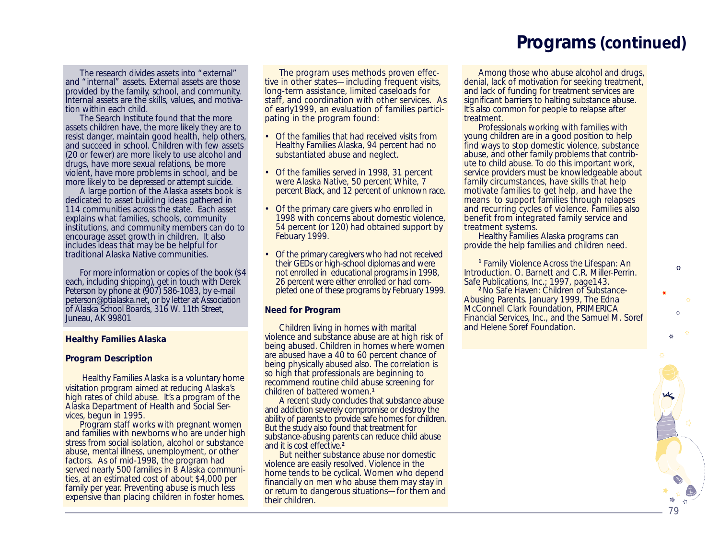### **Programs (continued)**

The research divides assets into "external" and "internal" assets. External assets are those provided by the family, school, and community. Internal assets are the skills, values, and motivation within each child.

The Search Institute found that the more assets children have, the more likely they are to resist danger, maintain good health, help others, and succeed in school. Children with few assets (20 or fewer) are more likely to use alcohol and drugs, have more sexual relations, be more violent, have more problems in school, and be more likely to be depressed or attempt suicide.

A large portion of the Alaska assets book is dedicated to asset building ideas gathered in 114 communities across the state. Each asset explains what families, schools, community institutions, and community members can do to encourage asset growth in children. It also includes ideas that may be be helpful for traditional Alaska Native communities.

*For more information or copies of the book (\$4 each, including shipping), get in touch with Derek Peterson by phone at (907) 586-1083, by e-mail* peterson@ptialaska.net, *or by letter at Association of Alaska School Boards, 316 W. 11th Street, Juneau, AK 99801*

#### **Healthy Families Alaska**

#### *Program Description*

 Healthy Families Alaska is a voluntary home visitation program aimed at reducing Alaska's high rates of child abuse. It's a program of the Alaska Department of Health and Social Services, begun in 1995.

Program staff works with pregnant women and families with newborns who are under high stress from social isolation, alcohol or substance abuse, mental illness, unemployment, or other factors. As of mid-1998, the program had served nearly 500 families in 8 Alaska communities, at an estimated cost of about \$4,000 per family per year. Preventing abuse is much less expensive than placing children in foster homes.

The program uses methods proven effective in other states—including frequent visits, long-term assistance, limited caseloads for staff, and coordination with other services. As of early1999, an evaluation of families participating in the program found:

- Of the families that had received visits from Healthy Families Alaska, 94 percent had no substantiated abuse and neglect.
- Of the families served in 1998, 31 percent were Alaska Native, 50 percent White, 7 percent Black, and 12 percent of unknown race.
- Of the primary care givers who enrolled in 1998 with concerns about domestic violence, 54 percent (or 120) had obtained support by Febuary 1999.
- Of the primary caregivers who had not received their GEDs or high-school diplomas and were not enrolled in educational programs in 1998, 26 percent were either enrolled or had completed one of these programs by February 1999.

#### *Need for Program*

Children living in homes with marital violence and substance abuse are at high risk of being abused. Children in homes where women are abused have a 40 to 60 percent chance of being physically abused also. The correlation is so high that professionals are beginning to recommend routine child abuse screening for children of battered women.**<sup>1</sup>**

A recent study concludes that substance abuse and addiction severely compromise or destroy the ability of parents to provide safe homes for children. But the study also found that treatment for substance-abusing parents can reduce child abuse and it is cost effective.**<sup>2</sup>**

But neither substance abuse nor domestic violence are easily resolved. Violence in the home tends to be cyclical. Women who depend financially on men who abuse them may stay in or return to dangerous situations—for them and their children.

Among those who abuse alcohol and drugs, denial, lack of motivation for seeking treatment, and lack of funding for treatment services are significant barriers to halting substance abuse. It's also common for people to relapse after treatment.

Professionals working with families with young children are in a good position to help find ways to stop domestic violence, substance abuse, and other family problems that contribute to child abuse. To do this important work, service providers must be knowledgeable about family circumstances, have skills that help motivate families to get help, and have the means to support families through relapses and recurring cycles of violence. Families also benefit from integrated family service and treatment systems.

Healthy Families Alaska programs can provide the help families and children need.

**<sup>1</sup>** *Family Violence Across the Lifespan: An Introduction.* O. Barnett and C.R. Miller-Perrin.<br>Safe Publications, Inc.; 1997, page143.

<sup>2</sup> No Safe Haven: Children of Substance-*Abusing Parents*. January 1999, The Edna McConnell Clark Foundation, PRIMERICA Financial Services, Inc., and the Samuel M. Soref and Helene Soref Foundation.

79

₩

Ł.

R.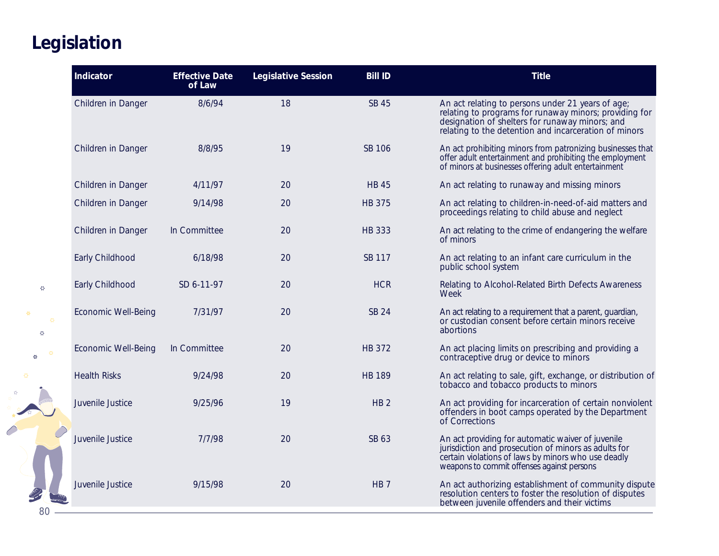# **Legislation**

| Indicator                  | <b>Effective Date</b><br>of Law | <b>Legislative Session</b> | <b>Bill ID</b>  | <b>Title</b>                                                                                                                                                                                                            |
|----------------------------|---------------------------------|----------------------------|-----------------|-------------------------------------------------------------------------------------------------------------------------------------------------------------------------------------------------------------------------|
| Children in Danger         | 8/6/94                          | 18                         | SB 45           | An act relating to persons under 21 years of age;<br>relating to programs for runaway minors; providing for<br>designation of shelters for runaway minors; and<br>relating to the detention and incarceration of minors |
| Children in Danger         | 8/8/95                          | 19                         | SB 106          | An act prohibiting minors from patronizing businesses that<br>offer adult entertainment and prohibiting the employment<br>of minors at businesses offering adult entertainment                                          |
| Children in Danger         | 4/11/97                         | 20                         | <b>HB 45</b>    | An act relating to runaway and missing minors                                                                                                                                                                           |
| Children in Danger         | 9/14/98                         | 20                         | <b>HB 375</b>   | An act relating to children-in-need-of-aid matters and<br>proceedings relating to child abuse and neglect                                                                                                               |
| Children in Danger         | In Committee                    | 20                         | <b>HB 333</b>   | An act relating to the crime of endangering the welfare<br>of minors                                                                                                                                                    |
| Early Childhood            | 6/18/98                         | 20                         | SB 117          | An act relating to an infant care curriculum in the<br>public school system                                                                                                                                             |
| Early Childhood            | SD 6-11-97                      | 20                         | <b>HCR</b>      | Relating to Alcohol-Related Birth Defects Awareness<br>Week                                                                                                                                                             |
| <b>Economic Well-Being</b> | 7/31/97                         | 20                         | <b>SB 24</b>    | An act relating to a requirement that a parent, guardian,<br>or custodian consent before certain minors receive<br>abortions                                                                                            |
| <b>Economic Well-Being</b> | In Committee                    | 20                         | <b>HB 372</b>   | An act placing limits on prescribing and providing a<br>contraceptive drug or device to minors                                                                                                                          |
| <b>Health Risks</b>        | 9/24/98                         | 20                         | <b>HB 189</b>   | An act relating to sale, gift, exchange, or distribution of<br>tobacco and tobacco products to minors                                                                                                                   |
| Juvenile Justice           | 9/25/96                         | 19                         | HB <sub>2</sub> | An act providing for incarceration of certain nonviolent<br>offenders in boot camps operated by the Department<br>of Corrections                                                                                        |
| Juvenile Justice           | 7/7/98                          | 20                         | SB 63           | An act providing for automatic waiver of juvenile<br>jurisdiction and prosecution of minors as adults for<br>certain violations of laws by minors who use deadly<br>weapons to commit offenses against persons          |
| Juvenile Justice           | 9/15/98                         | 20                         | HB <sub>7</sub> | An act authorizing establishment of community dispute<br>resolution centers to foster the resolution of disputes<br>between juvenile offenders and their victims                                                        |
|                            |                                 |                            |                 |                                                                                                                                                                                                                         |

 $\boldsymbol{\Sigma}$ 

 $\boldsymbol{\ddot{\zeta}}$  $\, \, \mathfrak{S} \,$ 

 $\langle \cdot \rangle$  $\tilde{\kappa}^2$ 

誉

×

 $\vec{\Sigma}^{\text{S}}_i$ 

 $\overline{C}$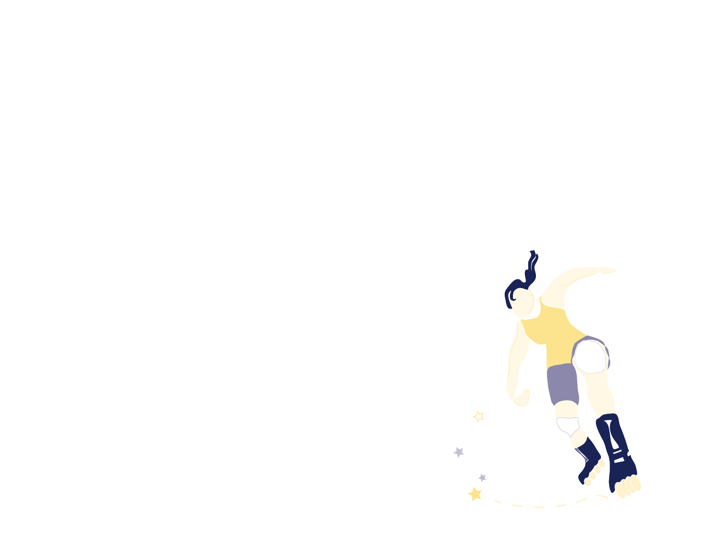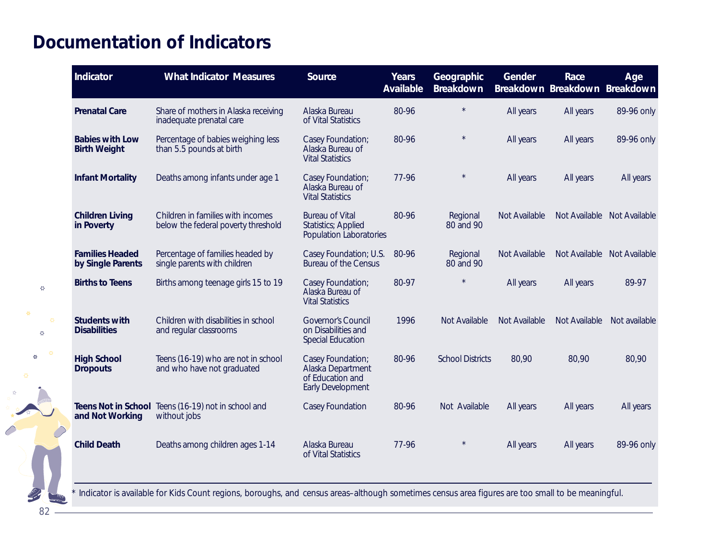# **Documentation of Indicators**

| <b>Indicator</b>                              | <b>What Indicator Measures</b>                                           | Source                                                                                 | <b>Years</b><br><b>Available</b> | Geographic<br><b>Breakdown</b> | Gender        | Race<br>Breakdown Breakdown Breakdown | Age                         |
|-----------------------------------------------|--------------------------------------------------------------------------|----------------------------------------------------------------------------------------|----------------------------------|--------------------------------|---------------|---------------------------------------|-----------------------------|
| <b>Prenatal Care</b>                          | Share of mothers in Alaska receiving<br>inadequate prenatal care         | Alaska Bureau<br>of Vital Statistics                                                   | 80-96                            | $\star$                        | All years     | All years                             | 89-96 only                  |
| <b>Babies with Low</b><br><b>Birth Weight</b> | Percentage of babies weighing less<br>than 5.5 pounds at birth           | Casey Foundation;<br>Alaska Bureau of<br><b>Vital Statistics</b>                       | 80-96                            | $\star$                        | All years     | All years                             | 89-96 only                  |
| <b>Infant Mortality</b>                       | Deaths among infants under age 1                                         | Casey Foundation;<br>Alaska Bureau of<br><b>Vital Statistics</b>                       | 77-96                            | $\star$                        | All years     | All years                             | All years                   |
| <b>Children Living</b><br>in Poverty          | Children in families with incomes<br>below the federal poverty threshold | <b>Bureau of Vital</b><br><b>Statistics</b> ; Applied<br>Population Laboratories       | 80-96                            | Regional<br>80 and 90          | Not Available |                                       | Not Available Not Available |
| <b>Families Headed</b><br>by Single Parents   | Percentage of families headed by<br>single parents with children         | Casey Foundation; U.S.<br><b>Bureau of the Census</b>                                  | 80-96                            | Regional<br>80 and 90          | Not Available | Not Available                         | Not Available               |
| <b>Births to Teens</b>                        | Births among teenage girls 15 to 19                                      | Casey Foundation;<br>Alaska Bureau of<br><b>Vital Statistics</b>                       | 80-97                            | $\star$                        | All years     | All years                             | 89-97                       |
| <b>Students with</b><br><b>Disabilities</b>   | Children with disabilities in school<br>and regular classrooms           | <b>Governor's Council</b><br>on Disabilities and<br><b>Special Education</b>           | 1996                             | Not Available                  | Not Available | Not Available                         | Not available               |
| <b>High School</b><br><b>Dropouts</b>         | Teens (16-19) who are not in school<br>and who have not graduated        | Casey Foundation;<br>Alaska Department<br>of Education and<br><b>Early Development</b> | 80-96                            | <b>School Districts</b>        | 80,90         | 80,90                                 | 80,90                       |
| and Not Working                               | Teens Not in School Teens (16-19) not in school and<br>without jobs      | Casey Foundation                                                                       | 80-96                            | Not Available                  | All years     | All years                             | All years                   |
| <b>Child Death</b>                            | Deaths among children ages 1-14                                          | Alaska Bureau<br>of Vital Statistics                                                   | 77-96                            | $^\star$                       | All years     | All years                             | 89-96 only                  |

*\* Indicator is available for Kids Count regions, boroughs, and census areas–although sometimes census area figures are too small to be meaningful.*

 $\mathfrak{P}$ 

证  $\boldsymbol{\mathcal{U}}$ 

- 즉  $\sum_{k=1}^{n}$ 

₹≸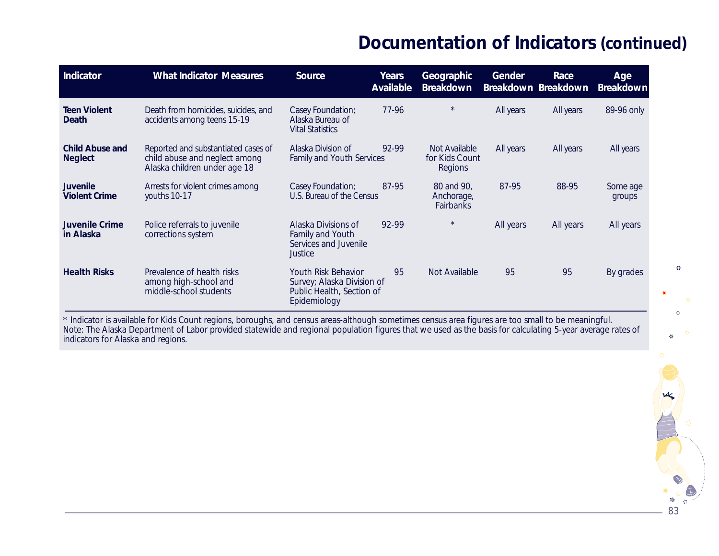# **Documentation of Indicators (continued)**

83

 $\Rightarrow$ 

₩

Ł.

₹\$

 $\overline{\mathcal{K}}$ 

k) ø

| <b>Indicator</b>                         | <b>What Indicator Measures</b>                                                                       | <b>Source</b>                                                                                         | Years<br><b>Available</b> | Geographic<br><b>Breakdown</b>             | Gender    | Race<br>Breakdown Breakdown | Age<br><b>Breakdown</b> |
|------------------------------------------|------------------------------------------------------------------------------------------------------|-------------------------------------------------------------------------------------------------------|---------------------------|--------------------------------------------|-----------|-----------------------------|-------------------------|
| <b>Teen Violent</b><br>Death             | Death from homicides, suicides, and<br>accidents among teens 15-19                                   | Casey Foundation;<br>Alaska Bureau of<br><b>Vital Statistics</b>                                      | 77-96                     | $\star$                                    | All years | All years                   | 89-96 only              |
| <b>Child Abuse and</b><br><b>Neglect</b> | Reported and substantiated cases of<br>child abuse and neglect among<br>Alaska children under age 18 | Alaska Division of<br><b>Family and Youth Services</b>                                                | 92-99                     | Not Available<br>for Kids Count<br>Regions | All years | All years                   | All years               |
| <b>Juvenile</b><br><b>Violent Crime</b>  | Arrests for violent crimes among<br>youths 10-17                                                     | Casey Foundation;<br>U.S. Bureau of the Census                                                        | 87-95                     | 80 and 90.<br>Anchorage,<br>Fairbanks      | 87-95     | 88-95                       | Some age<br>groups      |
| <b>Juvenile Crime</b><br>in Alaska       | Police referrals to juvenile<br>corrections system                                                   | Alaska Divisions of<br>Family and Youth<br>Services and Juvenile<br>Justice                           | 92-99                     | $\star$                                    | All years | All years                   | All years               |
| <b>Health Risks</b>                      | Prevalence of health risks<br>among high-school and<br>middle-school students                        | <b>Youth Risk Behavior</b><br>Survey; Alaska Division of<br>Public Health, Section of<br>Epidemiology | 95                        | Not Available                              | 95        | 95                          | By grades               |

*\* Indicator is available for Kids Count regions, boroughs, and census areas-although sometimes census area figures are too small to be meaningful.* Note: The Alaska Department of Labor provided statewide and regional population figures that we used as the basis for calculating 5-year average rates of indicators for Alaska and regions.